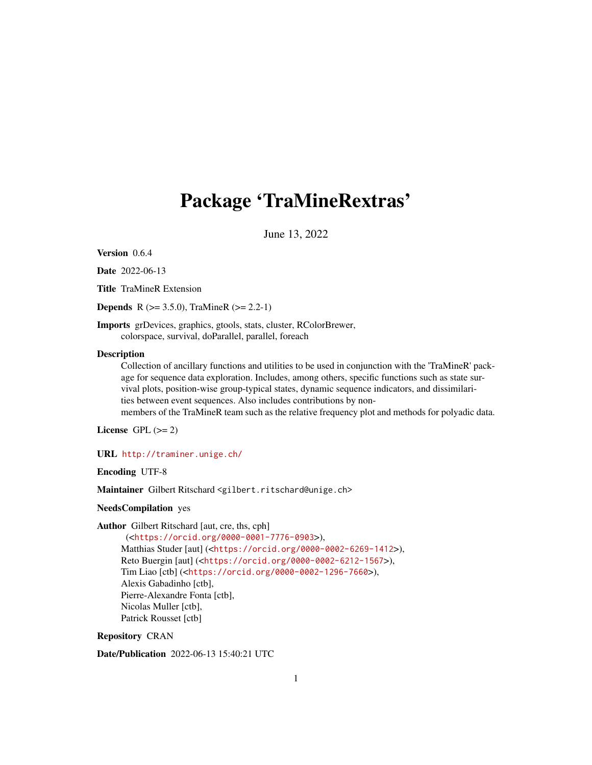## <span id="page-0-0"></span>Package 'TraMineRextras'

June 13, 2022

Version 0.6.4

Date 2022-06-13

Title TraMineR Extension

**Depends** R ( $>= 3.5.0$ ), TraMineR ( $>= 2.2-1$ )

Imports grDevices, graphics, gtools, stats, cluster, RColorBrewer, colorspace, survival, doParallel, parallel, foreach

#### **Description**

Collection of ancillary functions and utilities to be used in conjunction with the 'TraMineR' package for sequence data exploration. Includes, among others, specific functions such as state survival plots, position-wise group-typical states, dynamic sequence indicators, and dissimilarities between event sequences. Also includes contributions by non-

members of the TraMineR team such as the relative frequency plot and methods for polyadic data.

License GPL  $(>= 2)$ 

URL <http://traminer.unige.ch/>

Encoding UTF-8

Maintainer Gilbert Ritschard <gilbert.ritschard@unige.ch>

NeedsCompilation yes

Author Gilbert Ritschard [aut, cre, ths, cph]

(<<https://orcid.org/0000-0001-7776-0903>>), Matthias Studer [aut] (<<https://orcid.org/0000-0002-6269-1412>>), Reto Buergin [aut] (<<https://orcid.org/0000-0002-6212-1567>>), Tim Liao [ctb] (<<https://orcid.org/0000-0002-1296-7660>>), Alexis Gabadinho [ctb], Pierre-Alexandre Fonta [ctb], Nicolas Muller [ctb], Patrick Rousset [ctb]

Repository CRAN

Date/Publication 2022-06-13 15:40:21 UTC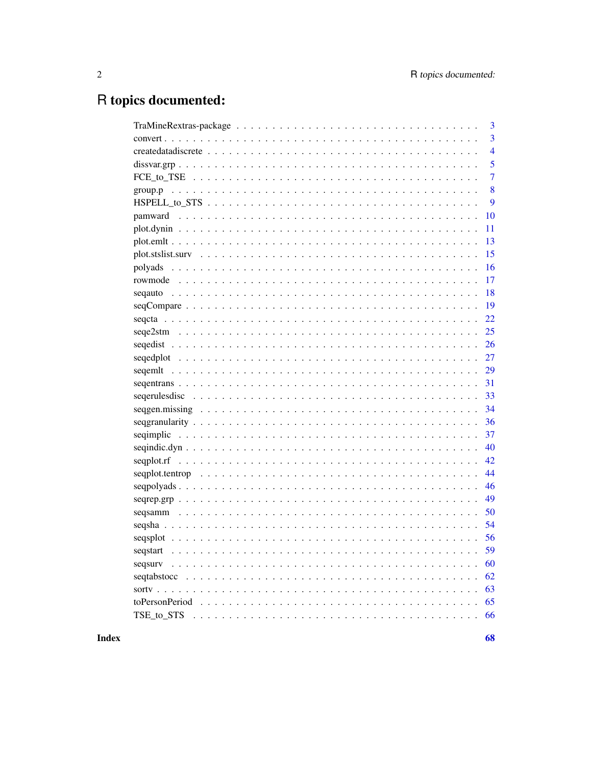## R topics documented:

|          | 3              |
|----------|----------------|
|          | 3              |
|          | $\overline{4}$ |
|          | 5              |
|          | 7              |
|          | 8              |
|          | 9              |
|          | 10             |
|          | 11             |
|          | 13             |
|          | 15             |
|          | 16             |
|          | 17             |
|          | 18             |
|          | 19             |
|          | 22             |
|          | 25             |
|          | 26             |
|          | 27             |
|          | 29             |
|          | 31             |
|          | 33             |
|          | 34             |
|          | 36             |
|          | 37             |
|          | 40             |
|          | 42             |
|          | 44             |
|          | 46             |
|          | 49             |
|          | 50             |
|          | 54             |
|          | 56             |
| segstart | 59             |
| segsury  | 60             |
|          | 62             |
|          | 63             |
|          | 65             |
|          | 66             |
|          |                |

**Index**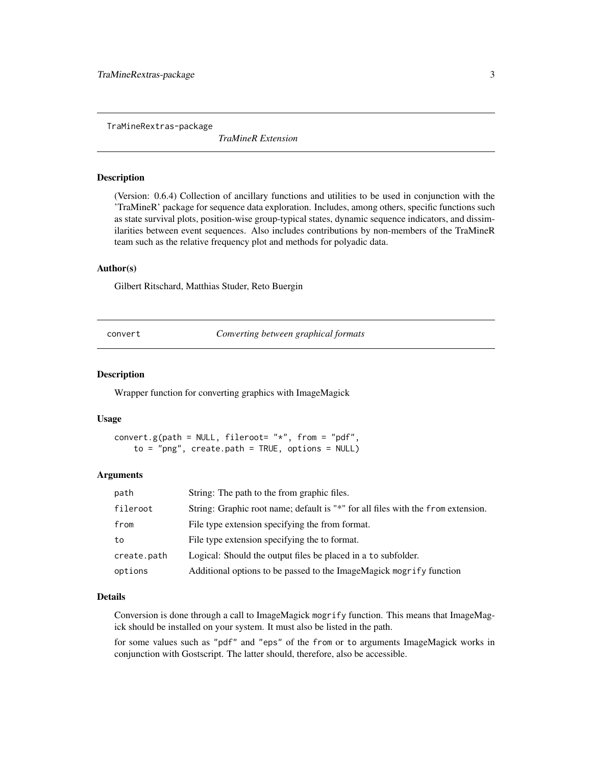<span id="page-2-0"></span>TraMineRextras-package

*TraMineR Extension*

#### Description

(Version: 0.6.4) Collection of ancillary functions and utilities to be used in conjunction with the 'TraMineR' package for sequence data exploration. Includes, among others, specific functions such as state survival plots, position-wise group-typical states, dynamic sequence indicators, and dissimilarities between event sequences. Also includes contributions by non-members of the TraMineR team such as the relative frequency plot and methods for polyadic data.

## Author(s)

Gilbert Ritschard, Matthias Studer, Reto Buergin

convert *Converting between graphical formats*

#### Description

Wrapper function for converting graphics with ImageMagick

#### Usage

convert.g(path = NULL, fileroot=  $"*"$ , from = "pdf",  $to = "png", create.path = TRUE, options = NULL)$ 

#### Arguments

| path        | String: The path to the from graphic files.                                      |
|-------------|----------------------------------------------------------------------------------|
| fileroot    | String: Graphic root name; default is "*" for all files with the from extension. |
| from        | File type extension specifying the from format.                                  |
| to          | File type extension specifying the to format.                                    |
| create.path | Logical: Should the output files be placed in a to subfolder.                    |
| options     | Additional options to be passed to the ImageMagick mogrify function              |

## Details

Conversion is done through a call to ImageMagick mogrify function. This means that ImageMagick should be installed on your system. It must also be listed in the path.

for some values such as "pdf" and "eps" of the from or to arguments ImageMagick works in conjunction with Gostscript. The latter should, therefore, also be accessible.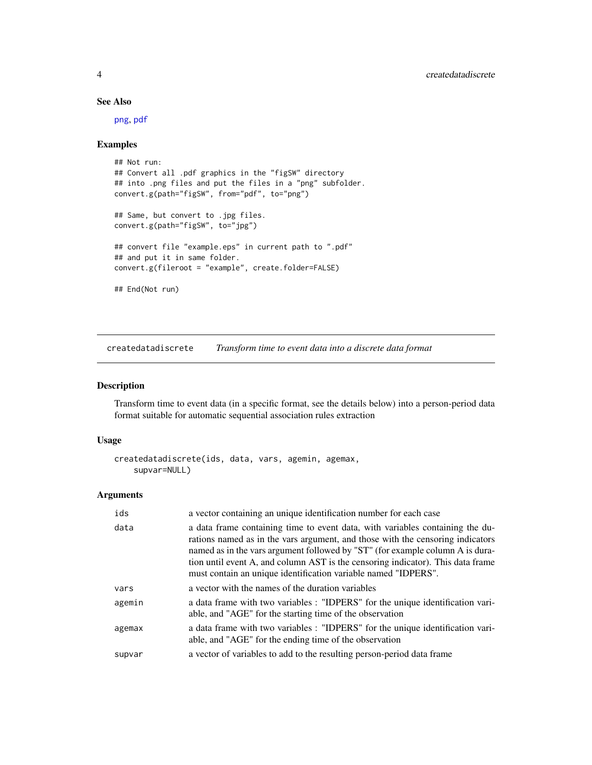## See Also

[png](#page-0-0), [pdf](#page-0-0)

## Examples

```
## Not run:
## Convert all .pdf graphics in the "figSW" directory
## into .png files and put the files in a "png" subfolder.
convert.g(path="figSW", from="pdf", to="png")
## Same, but convert to .jpg files.
convert.g(path="figSW", to="jpg")
## convert file "example.eps" in current path to ".pdf"
## and put it in same folder.
convert.g(fileroot = "example", create.folder=FALSE)
## End(Not run)
```
<span id="page-3-1"></span>createdatadiscrete *Transform time to event data into a discrete data format*

#### Description

Transform time to event data (in a specific format, see the details below) into a person-period data format suitable for automatic sequential association rules extraction

### Usage

```
createdatadiscrete(ids, data, vars, agemin, agemax,
    supvar=NULL)
```

| ids    | a vector containing an unique identification number for each case                                                                                                                                                                                                                                                                                                                                     |
|--------|-------------------------------------------------------------------------------------------------------------------------------------------------------------------------------------------------------------------------------------------------------------------------------------------------------------------------------------------------------------------------------------------------------|
| data   | a data frame containing time to event data, with variables containing the du-<br>rations named as in the vars argument, and those with the censoring indicators<br>named as in the vars argument followed by "ST" (for example column A is dura-<br>tion until event A, and column AST is the censoring indicator). This data frame<br>must contain an unique identification variable named "IDPERS". |
| vars   | a vector with the names of the duration variables                                                                                                                                                                                                                                                                                                                                                     |
| agemin | a data frame with two variables : "IDPERS" for the unique identification vari-<br>able, and "AGE" for the starting time of the observation                                                                                                                                                                                                                                                            |
| agemax | a data frame with two variables : "IDPERS" for the unique identification vari-<br>able, and "AGE" for the ending time of the observation                                                                                                                                                                                                                                                              |
| supvar | a vector of variables to add to the resulting person-period data frame                                                                                                                                                                                                                                                                                                                                |

<span id="page-3-0"></span>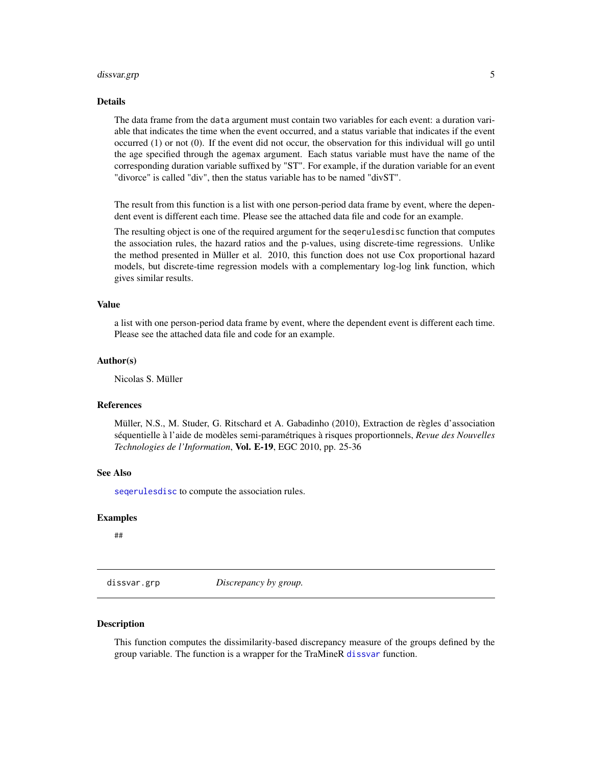#### <span id="page-4-0"></span>dissvar.grp 55 to 55 to 55 to 55 to 55 to 55 to 55 to 55 to 55 to 55 to 55 to 55 to 55 to 55 to 55 to 55 to 55

#### Details

The data frame from the data argument must contain two variables for each event: a duration variable that indicates the time when the event occurred, and a status variable that indicates if the event occurred (1) or not (0). If the event did not occur, the observation for this individual will go until the age specified through the agemax argument. Each status variable must have the name of the corresponding duration variable suffixed by "ST". For example, if the duration variable for an event "divorce" is called "div", then the status variable has to be named "divST".

The result from this function is a list with one person-period data frame by event, where the dependent event is different each time. Please see the attached data file and code for an example.

The resulting object is one of the required argument for the seqerulesdisc function that computes the association rules, the hazard ratios and the p-values, using discrete-time regressions. Unlike the method presented in Müller et al. 2010, this function does not use Cox proportional hazard models, but discrete-time regression models with a complementary log-log link function, which gives similar results.

#### Value

a list with one person-period data frame by event, where the dependent event is different each time. Please see the attached data file and code for an example.

#### Author(s)

Nicolas S. Müller

#### References

Müller, N.S., M. Studer, G. Ritschard et A. Gabadinho (2010), Extraction de règles d'association séquentielle à l'aide de modèles semi-paramétriques à risques proportionnels, *Revue des Nouvelles Technologies de l'Information*, Vol. E-19, EGC 2010, pp. 25-36

## See Also

[seqerulesdisc](#page-32-1) to compute the association rules.

#### Examples

##

dissvar.grp *Discrepancy by group.*

#### **Description**

This function computes the dissimilarity-based discrepancy measure of the groups defined by the group variable. The function is a wrapper for the TraMineR [dissvar](#page-0-0) function.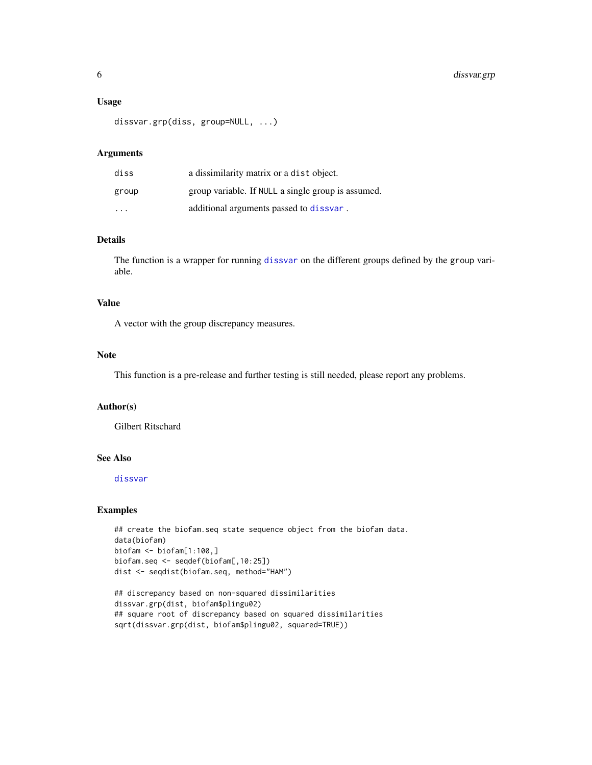#### <span id="page-5-0"></span>Usage

```
dissvar.grp(diss, group=NULL, ...)
```
## Arguments

| diss  | a dissimilarity matrix or a dist object.           |
|-------|----------------------------------------------------|
| group | group variable. If NULL a single group is assumed. |
| .     | additional arguments passed to dissvar.            |

## Details

The function is a wrapper for running [dissvar](#page-0-0) on the different groups defined by the group variable.

## Value

A vector with the group discrepancy measures.

#### **Note**

This function is a pre-release and further testing is still needed, please report any problems.

## Author(s)

Gilbert Ritschard

## See Also

[dissvar](#page-0-0)

## Examples

```
## create the biofam.seq state sequence object from the biofam data.
data(biofam)
biofam <- biofam[1:100,]
biofam.seq <- seqdef(biofam[,10:25])
dist <- seqdist(biofam.seq, method="HAM")
```
## discrepancy based on non-squared dissimilarities dissvar.grp(dist, biofam\$plingu02) ## square root of discrepancy based on squared dissimilarities sqrt(dissvar.grp(dist, biofam\$plingu02, squared=TRUE))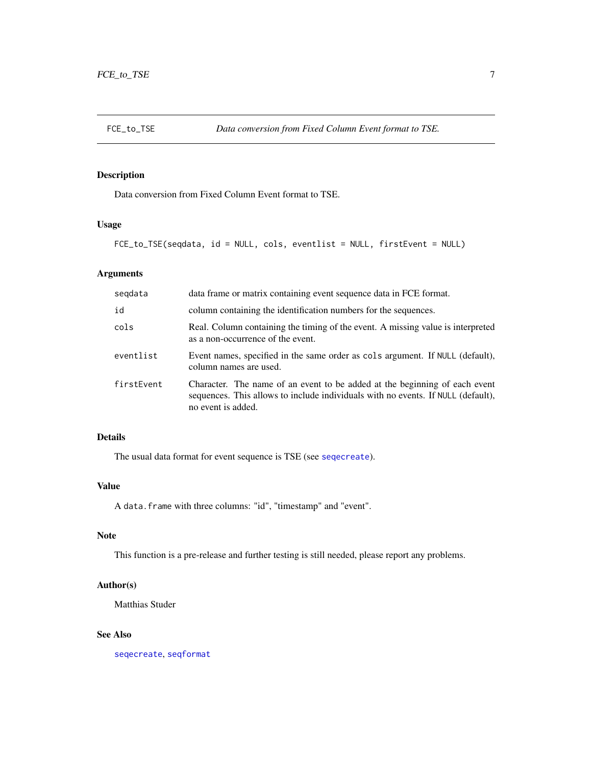<span id="page-6-0"></span>

Data conversion from Fixed Column Event format to TSE.

## Usage

```
FCE_to_TSE(seqdata, id = NULL, cols, eventlist = NULL, firstEvent = NULL)
```
## Arguments

| segdata    | data frame or matrix containing event sequence data in FCE format.                                                                                                                   |
|------------|--------------------------------------------------------------------------------------------------------------------------------------------------------------------------------------|
| id         | column containing the identification numbers for the sequences.                                                                                                                      |
| cols       | Real. Column containing the timing of the event. A missing value is interpreted<br>as a non-occurrence of the event.                                                                 |
| eventlist  | Event names, specified in the same order as cols argument. If NULL (default),<br>column names are used.                                                                              |
| firstEvent | Character. The name of an event to be added at the beginning of each event<br>sequences. This allows to include individuals with no events. If NULL (default),<br>no event is added. |

## Details

The usual data format for event sequence is TSE (see [seqecreate](#page-0-0)).

## Value

A data.frame with three columns: "id", "timestamp" and "event".

## Note

This function is a pre-release and further testing is still needed, please report any problems.

## Author(s)

Matthias Studer

## See Also

[seqecreate](#page-0-0), [seqformat](#page-0-0)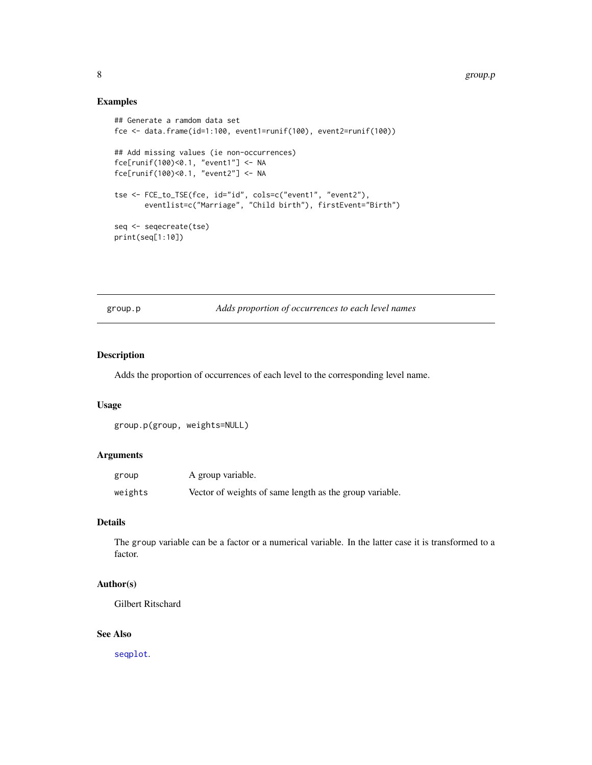## <span id="page-7-0"></span>Examples

```
## Generate a ramdom data set
fce <- data.frame(id=1:100, event1=runif(100), event2=runif(100))
## Add missing values (ie non-occurrences)
fce[runif(100)<0.1, "event1"] <- NA
fce[runif(100)<0.1, "event2"] <- NA
tse <- FCE_to_TSE(fce, id="id", cols=c("event1", "event2"),
       eventlist=c("Marriage", "Child birth"), firstEvent="Birth")
seq <- seqecreate(tse)
print(seq[1:10])
```
group.p *Adds proportion of occurrences to each level names*

## Description

Adds the proportion of occurrences of each level to the corresponding level name.

#### Usage

```
group.p(group, weights=NULL)
```
## Arguments

| group   | A group variable.                                       |
|---------|---------------------------------------------------------|
| weights | Vector of weights of same length as the group variable. |

#### Details

The group variable can be a factor or a numerical variable. In the latter case it is transformed to a factor.

## Author(s)

Gilbert Ritschard

## See Also

[seqplot](#page-0-0).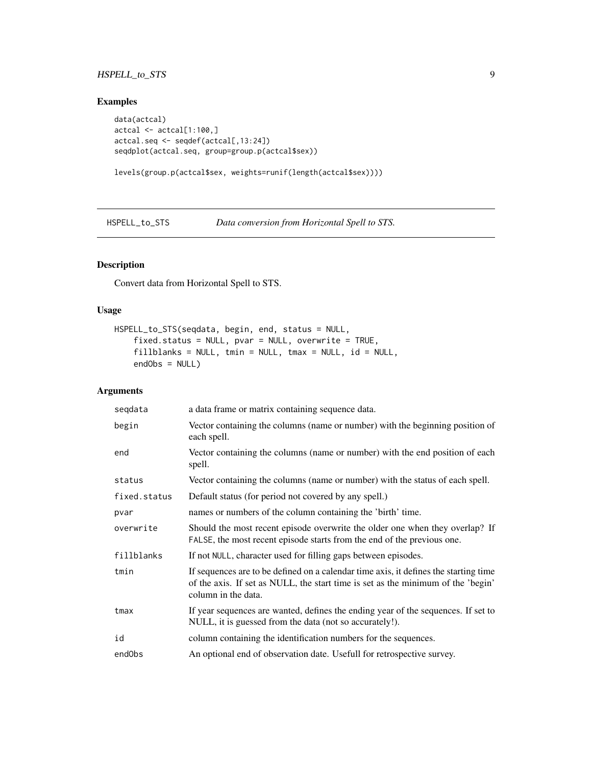## <span id="page-8-0"></span>HSPELL\_to\_STS 9

## Examples

```
data(actcal)
actcal <- actcal[1:100,]
actcal.seq <- seqdef(actcal[,13:24])
seqdplot(actcal.seq, group=group.p(actcal$sex))
```

```
levels(group.p(actcal$sex, weights=runif(length(actcal$sex))))
```
HSPELL\_to\_STS *Data conversion from Horizontal Spell to STS.*

## Description

Convert data from Horizontal Spell to STS.

#### Usage

```
HSPELL_to_STS(seqdata, begin, end, status = NULL,
    fixed.status = NULL, pvar = NULL, overwrite = TRUE,
    fillblanks = NULL, tmin = NULL, tmax = NULL, id = NULL,
   endObs = NULL)
```

| segdata      | a data frame or matrix containing sequence data.                                                                                                                                                |
|--------------|-------------------------------------------------------------------------------------------------------------------------------------------------------------------------------------------------|
| begin        | Vector containing the columns (name or number) with the beginning position of<br>each spell.                                                                                                    |
| end          | Vector containing the columns (name or number) with the end position of each<br>spell.                                                                                                          |
| status       | Vector containing the columns (name or number) with the status of each spell.                                                                                                                   |
| fixed.status | Default status (for period not covered by any spell.)                                                                                                                                           |
| pvar         | names or numbers of the column containing the 'birth' time.                                                                                                                                     |
| overwrite    | Should the most recent episode overwrite the older one when they overlap? If<br>FALSE, the most recent episode starts from the end of the previous one.                                         |
| fillblanks   | If not NULL, character used for filling gaps between episodes.                                                                                                                                  |
| tmin         | If sequences are to be defined on a calendar time axis, it defines the starting time<br>of the axis. If set as NULL, the start time is set as the minimum of the 'begin'<br>column in the data. |
| tmax         | If year sequences are wanted, defines the ending year of the sequences. If set to<br>NULL, it is guessed from the data (not so accurately!).                                                    |
| id           | column containing the identification numbers for the sequences.                                                                                                                                 |
| endObs       | An optional end of observation date. Usefull for retrospective survey.                                                                                                                          |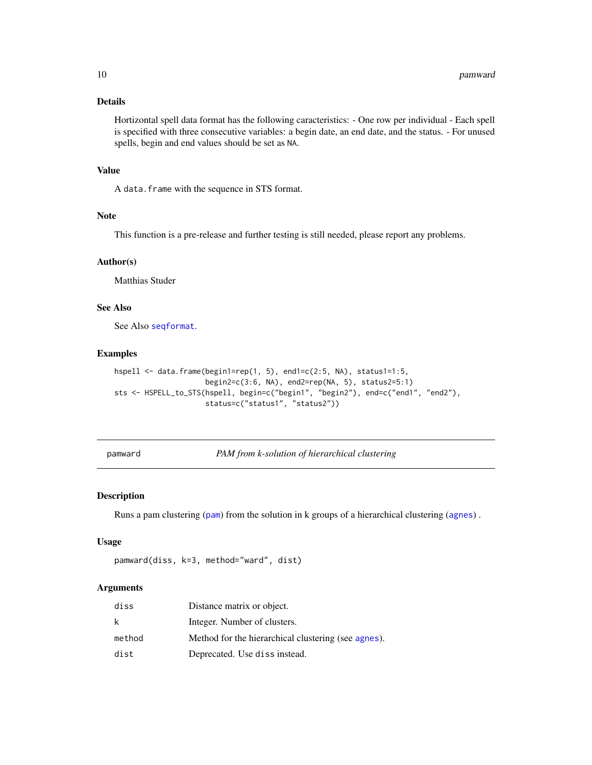## <span id="page-9-0"></span>Details

Hortizontal spell data format has the following caracteristics: - One row per individual - Each spell is specified with three consecutive variables: a begin date, an end date, and the status. - For unused spells, begin and end values should be set as NA.

## Value

A data.frame with the sequence in STS format.

#### Note

This function is a pre-release and further testing is still needed, please report any problems.

#### Author(s)

Matthias Studer

## See Also

See Also [seqformat](#page-0-0).

#### Examples

```
hspell <- data.frame(begin1=rep(1, 5), end1=c(2:5, NA), status1=1:5,
                     begin2=c(3:6, NA), end2=rep(NA, 5), status2=5:1)
sts <- HSPELL_to_STS(hspell, begin=c("begin1", "begin2"), end=c("end1", "end2"),
                     status=c("status1", "status2"))
```
pamward *PAM from k-solution of hierarchical clustering*

#### Description

Runs a pam clustering ([pam](#page-0-0)) from the solution in k groups of a hierarchical clustering ([agnes](#page-0-0)) .

## Usage

```
pamward(diss, k=3, method="ward", dist)
```

| diss   | Distance matrix or object.                          |
|--------|-----------------------------------------------------|
| k.     | Integer. Number of clusters.                        |
| method | Method for the hierarchical clustering (see agnes). |
| dist   | Deprecated. Use diss instead.                       |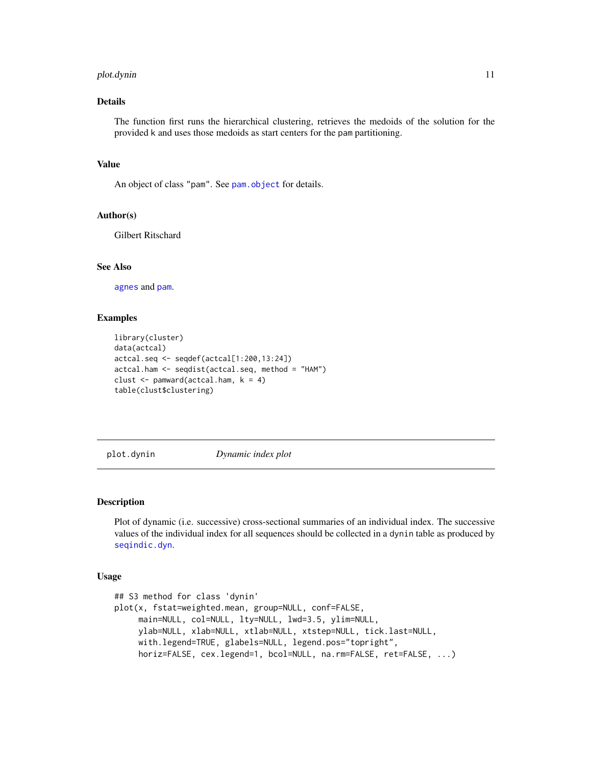#### <span id="page-10-0"></span>plot.dynin 11

## Details

The function first runs the hierarchical clustering, retrieves the medoids of the solution for the provided k and uses those medoids as start centers for the pam partitioning.

## Value

An object of class "pam". See [pam.object](#page-0-0) for details.

#### Author(s)

Gilbert Ritschard

#### See Also

[agnes](#page-0-0) and [pam](#page-0-0).

#### Examples

```
library(cluster)
data(actcal)
actcal.seq <- seqdef(actcal[1:200,13:24])
actcal.ham <- seqdist(actcal.seq, method = "HAM")
clust \leq pamward(actcal.ham, k = 4)
table(clust$clustering)
```
<span id="page-10-1"></span>plot.dynin *Dynamic index plot*

#### Description

Plot of dynamic (i.e. successive) cross-sectional summaries of an individual index. The successive values of the individual index for all sequences should be collected in a dynin table as produced by [seqindic.dyn](#page-39-1).

#### Usage

```
## S3 method for class 'dynin'
plot(x, fstat=weighted.mean, group=NULL, conf=FALSE,
     main=NULL, col=NULL, lty=NULL, lwd=3.5, ylim=NULL,
     ylab=NULL, xlab=NULL, xtlab=NULL, xtstep=NULL, tick.last=NULL,
     with.legend=TRUE, glabels=NULL, legend.pos="topright",
     horiz=FALSE, cex.legend=1, bcol=NULL, na.rm=FALSE, ret=FALSE, ...)
```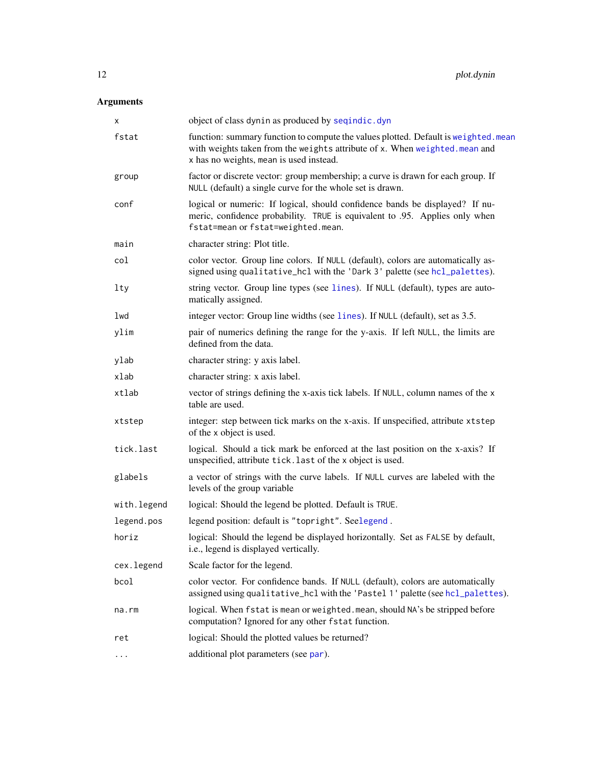<span id="page-11-0"></span>

| X           | object of class dynin as produced by seqindic.dyn                                                                                                                                                             |
|-------------|---------------------------------------------------------------------------------------------------------------------------------------------------------------------------------------------------------------|
| fstat       | function: summary function to compute the values plotted. Default is weighted. mean<br>with weights taken from the weights attribute of x. When weighted. mean and<br>x has no weights, mean is used instead. |
| group       | factor or discrete vector: group membership; a curve is drawn for each group. If<br>NULL (default) a single curve for the whole set is drawn.                                                                 |
| conf        | logical or numeric: If logical, should confidence bands be displayed? If nu-<br>meric, confidence probability. TRUE is equivalent to .95. Applies only when<br>fstat=mean or fstat=weighted.mean.             |
| main        | character string: Plot title.                                                                                                                                                                                 |
| col         | color vector. Group line colors. If NULL (default), colors are automatically as-<br>signed using qualitative_hcl with the 'Dark 3' palette (see hcl_palettes).                                                |
| lty         | string vector. Group line types (see lines). If NULL (default), types are auto-<br>matically assigned.                                                                                                        |
| lwd         | integer vector: Group line widths (see lines). If NULL (default), set as 3.5.                                                                                                                                 |
| ylim        | pair of numerics defining the range for the y-axis. If left NULL, the limits are<br>defined from the data.                                                                                                    |
| ylab        | character string: y axis label.                                                                                                                                                                               |
| xlab        | character string: x axis label.                                                                                                                                                                               |
| xtlab       | vector of strings defining the x-axis tick labels. If NULL, column names of the x<br>table are used.                                                                                                          |
| xtstep      | integer: step between tick marks on the x-axis. If unspecified, attribute xtstep<br>of the x object is used.                                                                                                  |
| tick.last   | logical. Should a tick mark be enforced at the last position on the x-axis? If<br>unspecified, attribute tick. last of the x object is used.                                                                  |
| glabels     | a vector of strings with the curve labels. If NULL curves are labeled with the<br>levels of the group variable                                                                                                |
| with.legend | logical: Should the legend be plotted. Default is TRUE.                                                                                                                                                       |
| legend.pos  | legend position: default is "topright". Seelegend.                                                                                                                                                            |
| horiz       | logical: Should the legend be displayed horizontally. Set as FALSE by default,<br>i.e., legend is displayed vertically.                                                                                       |
| cex.legend  | Scale factor for the legend.                                                                                                                                                                                  |
| bcol        | color vector. For confidence bands. If NULL (default), colors are automatically<br>assigned using qualitative_hcl with the 'Pastel 1' palette (see hcl_palettes).                                             |
| na.rm       | logical. When fstat is mean or weighted. mean, should NA's be stripped before<br>computation? Ignored for any other fstat function.                                                                           |
| ret         | logical: Should the plotted values be returned?                                                                                                                                                               |
| .           | additional plot parameters (see par).                                                                                                                                                                         |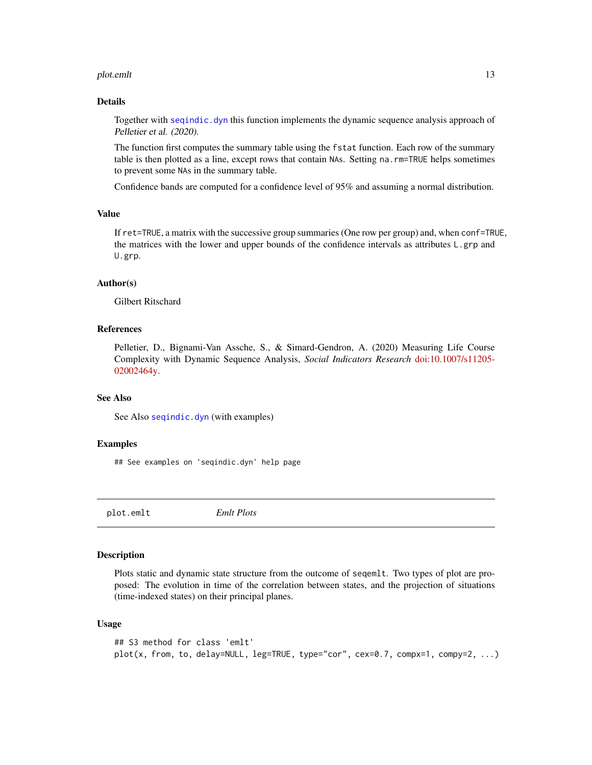#### <span id="page-12-0"></span>plot.emlt 13

## Details

Together with [seqindic.dyn](#page-39-1) this function implements the dynamic sequence analysis approach of Pelletier et al. (2020).

The function first computes the summary table using the fstat function. Each row of the summary table is then plotted as a line, except rows that contain NAs. Setting na.rm=TRUE helps sometimes to prevent some NAs in the summary table.

Confidence bands are computed for a confidence level of 95% and assuming a normal distribution.

#### Value

If ret=TRUE, a matrix with the successive group summaries (One row per group) and, when conf=TRUE, the matrices with the lower and upper bounds of the confidence intervals as attributes L.grp and U.grp.

#### Author(s)

Gilbert Ritschard

#### References

Pelletier, D., Bignami-Van Assche, S., & Simard-Gendron, A. (2020) Measuring Life Course Complexity with Dynamic Sequence Analysis, *Social Indicators Research* [doi:10.1007/s11205-](https://doi.org/10.1007/s11205-020-02464-y) [02002464y.](https://doi.org/10.1007/s11205-020-02464-y)

## See Also

See Also [seqindic.dyn](#page-39-1) (with examples)

#### Examples

## See examples on 'seqindic.dyn' help page

<span id="page-12-1"></span>plot.emlt *Emlt Plots*

#### **Description**

Plots static and dynamic state structure from the outcome of seqemlt. Two types of plot are proposed: The evolution in time of the correlation between states, and the projection of situations (time-indexed states) on their principal planes.

#### Usage

```
## S3 method for class 'emlt'
plot(x, from, to, delay=NULL, leg=TRUE, type="cor", cex=0.7, compx=1, compy=2, ...)
```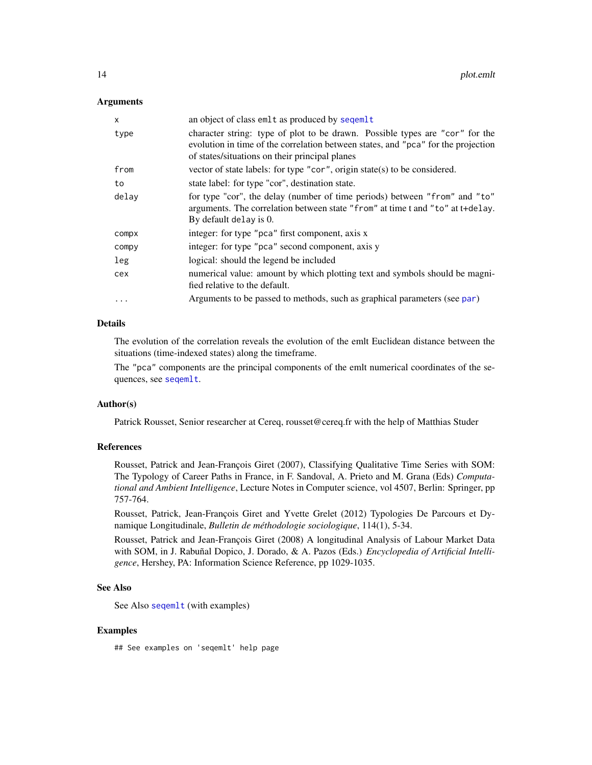#### <span id="page-13-0"></span>**Arguments**

| x        | an object of class emlt as produced by seqemlt                                                                                                                                                                      |
|----------|---------------------------------------------------------------------------------------------------------------------------------------------------------------------------------------------------------------------|
| type     | character string: type of plot to be drawn. Possible types are "cor" for the<br>evolution in time of the correlation between states, and "pca" for the projection<br>of states/situations on their principal planes |
| from     | vector of state labels: for type "cor", origin state(s) to be considered.                                                                                                                                           |
| to       | state label: for type "cor", destination state.                                                                                                                                                                     |
| delav    | for type "cor", the delay (number of time periods) between "from" and "to"<br>arguments. The correlation between state "from" at time t and "to" at t+delay.<br>By default delay is 0.                              |
| compx    | integer: for type "pca" first component, axis x                                                                                                                                                                     |
| compy    | integer: for type "pca" second component, axis y                                                                                                                                                                    |
| leg      | logical: should the legend be included                                                                                                                                                                              |
| cex      | numerical value: amount by which plotting text and symbols should be magni-<br>fied relative to the default.                                                                                                        |
| $\cdots$ | Arguments to be passed to methods, such as graphical parameters (see par)                                                                                                                                           |

## Details

The evolution of the correlation reveals the evolution of the emlt Euclidean distance between the situations (time-indexed states) along the timeframe.

The "pca" components are the principal components of the emlt numerical coordinates of the sequences, see [seqemlt](#page-28-1).

### Author(s)

Patrick Rousset, Senior researcher at Cereq, rousset@cereq.fr with the help of Matthias Studer

## References

Rousset, Patrick and Jean-François Giret (2007), Classifying Qualitative Time Series with SOM: The Typology of Career Paths in France, in F. Sandoval, A. Prieto and M. Grana (Eds) *Computational and Ambient Intelligence*, Lecture Notes in Computer science, vol 4507, Berlin: Springer, pp 757-764.

Rousset, Patrick, Jean-François Giret and Yvette Grelet (2012) Typologies De Parcours et Dynamique Longitudinale, *Bulletin de méthodologie sociologique*, 114(1), 5-34.

Rousset, Patrick and Jean-François Giret (2008) A longitudinal Analysis of Labour Market Data with SOM, in J. Rabuñal Dopico, J. Dorado, & A. Pazos (Eds.) *Encyclopedia of Artificial Intelligence*, Hershey, PA: Information Science Reference, pp 1029-1035.

## See Also

See Also [seqemlt](#page-28-1) (with examples)

#### Examples

## See examples on 'seqemlt' help page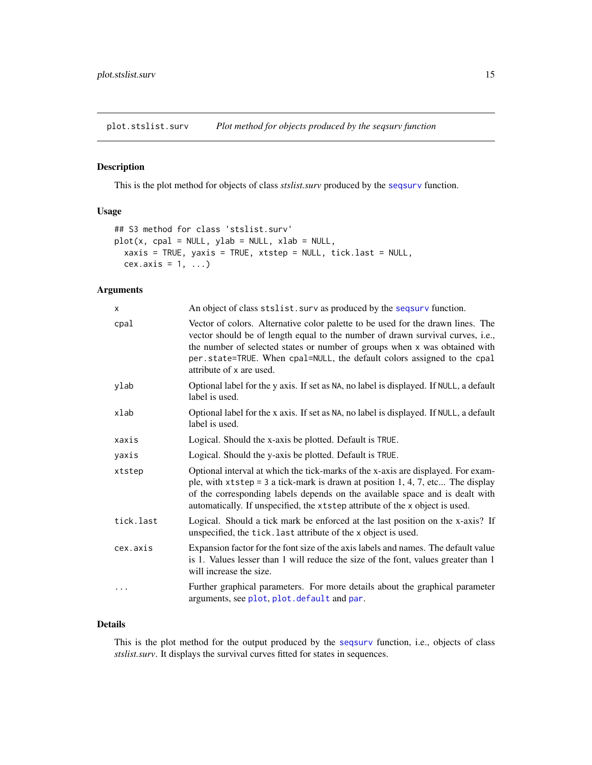<span id="page-14-1"></span><span id="page-14-0"></span>plot.stslist.surv *Plot method for objects produced by the seqsurv function*

## Description

This is the plot method for objects of class *stslist.surv* produced by the [seqsurv](#page-59-1) function.

#### Usage

```
## S3 method for class 'stslist.surv'
plot(x, cpal = NULL, ylab = NULL, xlab = NULL,xaxis = TRUE, yaxis = TRUE, xtstep = NULL, tick.last = NULL,
 cex.axis = 1, ...)
```
### Arguments

| X         | An object of class stslist. surv as produced by the seqsurv function.                                                                                                                                                                                                                                                                                  |
|-----------|--------------------------------------------------------------------------------------------------------------------------------------------------------------------------------------------------------------------------------------------------------------------------------------------------------------------------------------------------------|
| cpal      | Vector of colors. Alternative color palette to be used for the drawn lines. The<br>vector should be of length equal to the number of drawn survival curves, i.e.,<br>the number of selected states or number of groups when x was obtained with<br>per.state=TRUE. When cpal=NULL, the default colors assigned to the cpal<br>attribute of x are used. |
| ylab      | Optional label for the y axis. If set as NA, no label is displayed. If NULL, a default<br>label is used.                                                                                                                                                                                                                                               |
| xlab      | Optional label for the x axis. If set as NA, no label is displayed. If NULL, a default<br>label is used.                                                                                                                                                                                                                                               |
| xaxis     | Logical. Should the x-axis be plotted. Default is TRUE.                                                                                                                                                                                                                                                                                                |
| yaxis     | Logical. Should the y-axis be plotted. Default is TRUE.                                                                                                                                                                                                                                                                                                |
| xtstep    | Optional interval at which the tick-marks of the x-axis are displayed. For exam-<br>ple, with $x$ tstep = 3 a tick-mark is drawn at position 1, 4, 7, etc The display<br>of the corresponding labels depends on the available space and is dealt with<br>automatically. If unspecified, the xtstep attribute of the x object is used.                  |
| tick.last | Logical. Should a tick mark be enforced at the last position on the x-axis? If<br>unspecified, the tick. last attribute of the x object is used.                                                                                                                                                                                                       |
| cex.axis  | Expansion factor for the font size of the axis labels and names. The default value<br>is 1. Values lesser than 1 will reduce the size of the font, values greater than 1<br>will increase the size.                                                                                                                                                    |
| $\cdots$  | Further graphical parameters. For more details about the graphical parameter<br>arguments, see plot, plot.default and par.                                                                                                                                                                                                                             |

## Details

This is the plot method for the output produced by the [seqsurv](#page-59-1) function, i.e., objects of class *stslist.surv*. It displays the survival curves fitted for states in sequences.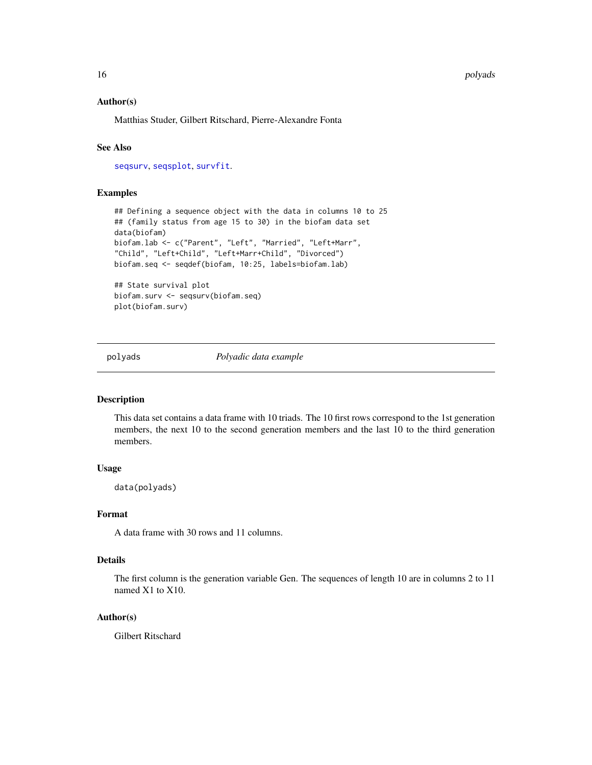#### <span id="page-15-0"></span>16 polyads and the polyads of the polyads of the polyads of the polyads of the polyads of the polyads of the polyads of the polyads of the polyads of the polyads of the polyads of the polyads of the polyads of the polyads

#### Author(s)

Matthias Studer, Gilbert Ritschard, Pierre-Alexandre Fonta

#### See Also

[seqsurv](#page-59-1), [seqsplot](#page-55-1), [survfit](#page-0-0).

#### Examples

```
## Defining a sequence object with the data in columns 10 to 25
## (family status from age 15 to 30) in the biofam data set
data(biofam)
biofam.lab <- c("Parent", "Left", "Married", "Left+Marr",
"Child", "Left+Child", "Left+Marr+Child", "Divorced")
biofam.seq <- seqdef(biofam, 10:25, labels=biofam.lab)
```
## State survival plot biofam.surv <- seqsurv(biofam.seq) plot(biofam.surv)

polyads *Polyadic data example*

## Description

This data set contains a data frame with 10 triads. The 10 first rows correspond to the 1st generation members, the next 10 to the second generation members and the last 10 to the third generation members.

## Usage

data(polyads)

## Format

A data frame with 30 rows and 11 columns.

## Details

The first column is the generation variable Gen. The sequences of length 10 are in columns 2 to 11 named X1 to X10.

## Author(s)

Gilbert Ritschard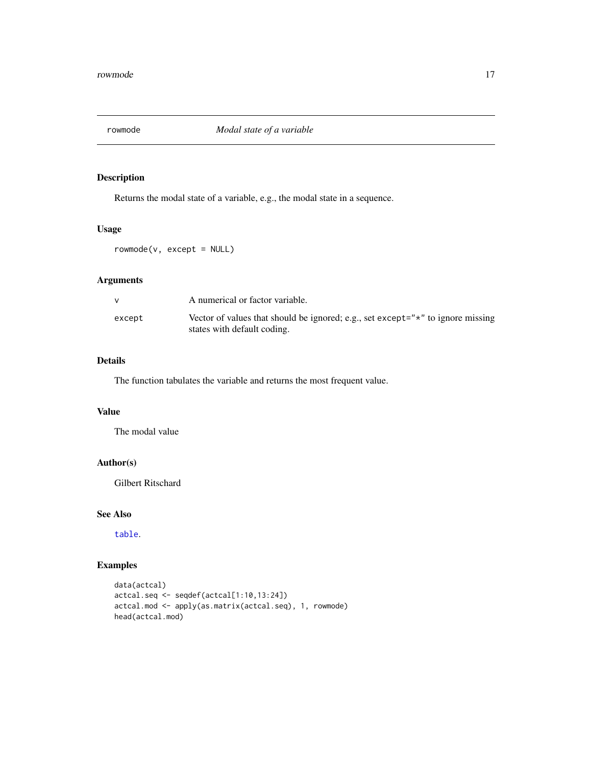<span id="page-16-0"></span>

Returns the modal state of a variable, e.g., the modal state in a sequence.

#### Usage

rowmode(v, except = NULL)

## Arguments

|        | A numerical or factor variable.                                                                                        |
|--------|------------------------------------------------------------------------------------------------------------------------|
| except | Vector of values that should be ignored; e.g., set except=" $\star$ " to ignore missing<br>states with default coding. |

## Details

The function tabulates the variable and returns the most frequent value.

## Value

The modal value

## Author(s)

Gilbert Ritschard

## See Also

[table](#page-0-0).

## Examples

```
data(actcal)
actcal.seq <- seqdef(actcal[1:10,13:24])
actcal.mod <- apply(as.matrix(actcal.seq), 1, rowmode)
head(actcal.mod)
```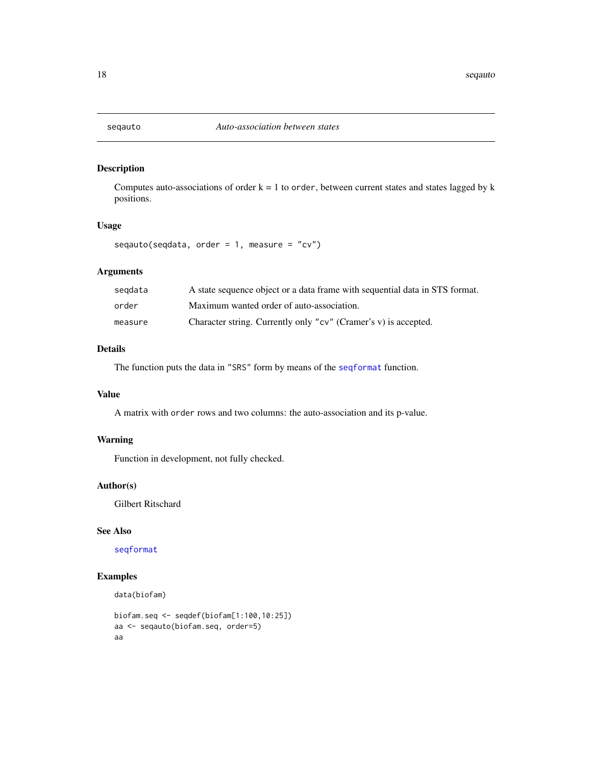<span id="page-17-0"></span>

Computes auto-associations of order  $k = 1$  to order, between current states and states lagged by  $k$ positions.

## Usage

seqauto(seqdata, order =  $1$ , measure = "cv")

## Arguments

| segdata | A state sequence object or a data frame with sequential data in STS format. |
|---------|-----------------------------------------------------------------------------|
| order   | Maximum wanted order of auto-association.                                   |
| measure | Character string. Currently only "cv" (Cramer's v) is accepted.             |

## Details

The function puts the data in "SRS" form by means of the [seqformat](#page-0-0) function.

## Value

A matrix with order rows and two columns: the auto-association and its p-value.

### Warning

Function in development, not fully checked.

#### Author(s)

Gilbert Ritschard

## See Also

[seqformat](#page-0-0)

## Examples

```
data(biofam)
```

```
biofam.seq <- seqdef(biofam[1:100,10:25])
aa <- seqauto(biofam.seq, order=5)
aa
```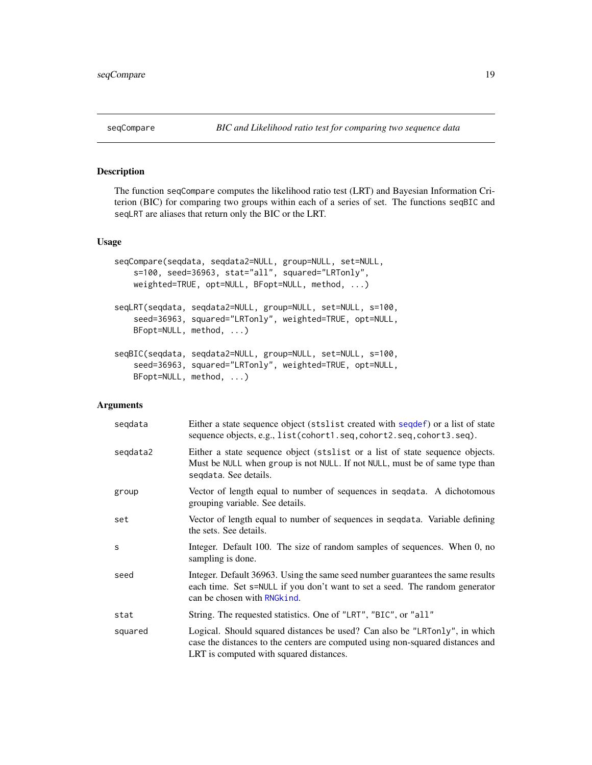<span id="page-18-0"></span>

The function seqCompare computes the likelihood ratio test (LRT) and Bayesian Information Criterion (BIC) for comparing two groups within each of a series of set. The functions seqBIC and seqLRT are aliases that return only the BIC or the LRT.

#### Usage

```
seqCompare(seqdata, seqdata2=NULL, group=NULL, set=NULL,
   s=100, seed=36963, stat="all", squared="LRTonly",
   weighted=TRUE, opt=NULL, BFopt=NULL, method, ...)
seqLRT(seqdata, seqdata2=NULL, group=NULL, set=NULL, s=100,
    seed=36963, squared="LRTonly", weighted=TRUE, opt=NULL,
   BFopt=NULL, method, ...)
seqBIC(seqdata, seqdata2=NULL, group=NULL, set=NULL, s=100,
    seed=36963, squared="LRTonly", weighted=TRUE, opt=NULL,
   BFopt=NULL, method, ...)
```

| segdata  | Either a state sequence object (stslist created with sequence is a list of state<br>sequence objects, e.g., list(cohort1.seq, cohort2.seq, cohort3.seq).                                                |
|----------|---------------------------------------------------------------------------------------------------------------------------------------------------------------------------------------------------------|
| segdata2 | Either a state sequence object (stslist or a list of state sequence objects.<br>Must be NULL when group is not NULL. If not NULL, must be of same type than<br>segdata. See details.                    |
| group    | Vector of length equal to number of sequences in sequatra. A dichotomous<br>grouping variable. See details.                                                                                             |
| set      | Vector of length equal to number of sequences in sequata. Variable defining<br>the sets. See details.                                                                                                   |
| S        | Integer. Default 100. The size of random samples of sequences. When 0, no<br>sampling is done.                                                                                                          |
| seed     | Integer. Default 36963. Using the same seed number guarantees the same results<br>each time. Set s=NULL if you don't want to set a seed. The random generator<br>can be chosen with RNG kind.           |
| stat     | String. The requested statistics. One of "LRT", "BIC", or "all"                                                                                                                                         |
| squared  | Logical. Should squared distances be used? Can also be "LRTonly", in which<br>case the distances to the centers are computed using non-squared distances and<br>LRT is computed with squared distances. |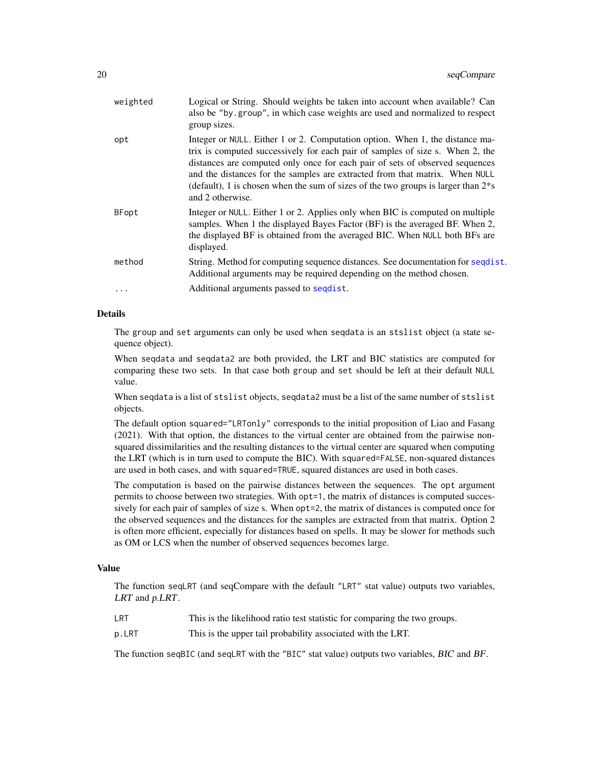<span id="page-19-0"></span>

| weighted     | Logical or String. Should weights be taken into account when available? Can<br>also be "by group", in which case weights are used and normalized to respect<br>group sizes.                                                                                                                                                                                                                                                              |
|--------------|------------------------------------------------------------------------------------------------------------------------------------------------------------------------------------------------------------------------------------------------------------------------------------------------------------------------------------------------------------------------------------------------------------------------------------------|
| opt          | Integer or NULL. Either 1 or 2. Computation option. When 1, the distance ma-<br>trix is computed successively for each pair of samples of size s. When 2, the<br>distances are computed only once for each pair of sets of observed sequences<br>and the distances for the samples are extracted from that matrix. When NULL<br>(default), 1 is chosen when the sum of sizes of the two groups is larger than $2*$ s<br>and 2 otherwise. |
| <b>BFopt</b> | Integer or NULL. Either 1 or 2. Applies only when BIC is computed on multiple<br>samples. When 1 the displayed Bayes Factor (BF) is the averaged BF. When 2,<br>the displayed BF is obtained from the averaged BIC. When NULL both BFs are<br>displayed.                                                                                                                                                                                 |
| method       | String. Method for computing sequence distances. See documentation for sequist.<br>Additional arguments may be required depending on the method chosen.                                                                                                                                                                                                                                                                                  |
| .            | Additional arguments passed to sequal st.                                                                                                                                                                                                                                                                                                                                                                                                |
|              |                                                                                                                                                                                                                                                                                                                                                                                                                                          |

## Details

The group and set arguments can only be used when seqdata is an stslist object (a state sequence object).

When seqdata and seqdata2 are both provided, the LRT and BIC statistics are computed for comparing these two sets. In that case both group and set should be left at their default NULL value.

When seqdata is a list of stslist objects, seqdata2 must be a list of the same number of stslist objects.

The default option squared="LRTonly" corresponds to the initial proposition of Liao and Fasang (2021). With that option, the distances to the virtual center are obtained from the pairwise nonsquared dissimilarities and the resulting distances to the virtual center are squared when computing the LRT (which is in turn used to compute the BIC). With squared=FALSE, non-squared distances are used in both cases, and with squared=TRUE, squared distances are used in both cases.

The computation is based on the pairwise distances between the sequences. The opt argument permits to choose between two strategies. With opt=1, the matrix of distances is computed successively for each pair of samples of size s. When opt=2, the matrix of distances is computed once for the observed sequences and the distances for the samples are extracted from that matrix. Option 2 is often more efficient, especially for distances based on spells. It may be slower for methods such as OM or LCS when the number of observed sequences becomes large.

#### Value

The function seqLRT (and seqCompare with the default "LRT" stat value) outputs two variables, LRT and p.LRT.

- LRT This is the likelihood ratio test statistic for comparing the two groups.
- p.LRT This is the upper tail probability associated with the LRT.

The function seqBIC (and seqLRT with the "BIC" stat value) outputs two variables, BIC and BF.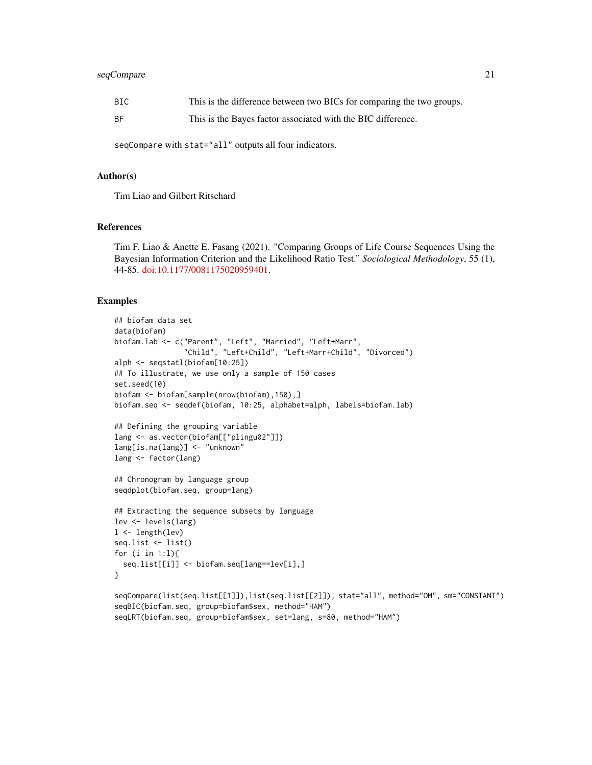## seqCompare 21

| BIC | This is the difference between two BICs for comparing the two groups. |
|-----|-----------------------------------------------------------------------|
| ΒF  | This is the Bayes factor associated with the BIC difference.          |

seqCompare with stat="all" outputs all four indicators.

#### Author(s)

Tim Liao and Gilbert Ritschard

#### References

Tim F. Liao & Anette E. Fasang (2021). "Comparing Groups of Life Course Sequences Using the Bayesian Information Criterion and the Likelihood Ratio Test." *Sociological Methodology*, 55 (1), 44-85. [doi:10.1177/0081175020959401.](https://doi.org/10.1177/0081175020959401)

#### Examples

```
## biofam data set
data(biofam)
biofam.lab <- c("Parent", "Left", "Married", "Left+Marr",
                "Child", "Left+Child", "Left+Marr+Child", "Divorced")
alph <- seqstatl(biofam[10:25])
## To illustrate, we use only a sample of 150 cases
set.seed(10)
biofam <- biofam[sample(nrow(biofam),150),]
biofam.seq <- seqdef(biofam, 10:25, alphabet=alph, labels=biofam.lab)
## Defining the grouping variable
lang <- as.vector(biofam[["plingu02"]])
lang[is.na(lang)] <- "unknown"
lang <- factor(lang)
## Chronogram by language group
seqdplot(biofam.seq, group=lang)
## Extracting the sequence subsets by language
lev <- levels(lang)
l <- length(lev)
seq.list <- list()
for (i in 1:l){
  seq.list[[i]] <- biofam.seq[lang==lev[i],]
}
seqCompare(list(seq.list[[1]]),list(seq.list[[2]]), stat="all", method="OM", sm="CONSTANT")
seqBIC(biofam.seq, group=biofam$sex, method="HAM")
seqLRT(biofam.seq, group=biofam$sex, set=lang, s=80, method="HAM")
```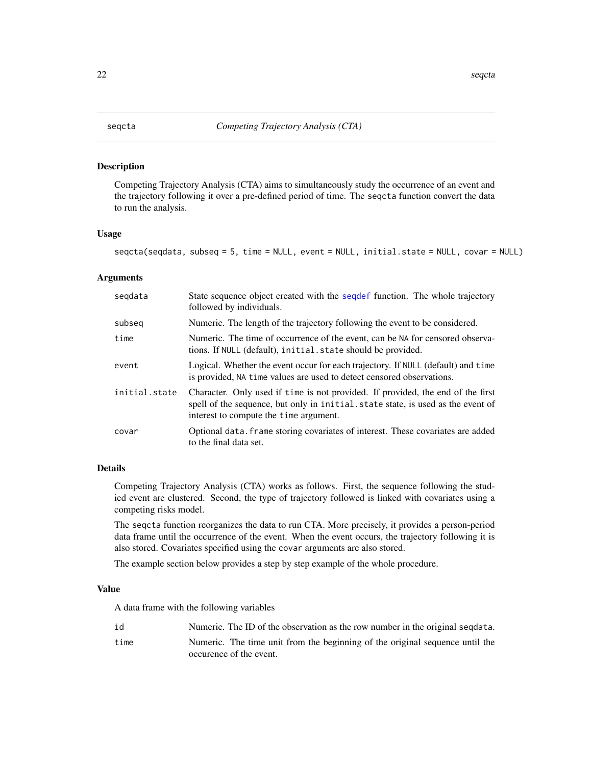<span id="page-21-1"></span><span id="page-21-0"></span>Competing Trajectory Analysis (CTA) aims to simultaneously study the occurrence of an event and the trajectory following it over a pre-defined period of time. The seqcta function convert the data to run the analysis.

## Usage

seqcta(seqdata, subseq = 5, time = NULL, event = NULL, initial.state = NULL, covar = NULL)

#### Arguments

| segdata       | State sequence object created with the sequent function. The whole trajectory<br>followed by individuals.                                                                                                     |
|---------------|---------------------------------------------------------------------------------------------------------------------------------------------------------------------------------------------------------------|
| subseg        | Numeric. The length of the trajectory following the event to be considered.                                                                                                                                   |
| time          | Numeric. The time of occurrence of the event, can be NA for censored observa-<br>tions. If NULL (default), initial.state should be provided.                                                                  |
| event         | Logical. Whether the event occur for each trajectory. If NULL (default) and time<br>is provided, NA time values are used to detect censored observations.                                                     |
| initial.state | Character. Only used if time is not provided. If provided, the end of the first<br>spell of the sequence, but only in initial. state state, is used as the event of<br>interest to compute the time argument. |
| covar         | Optional data. frame storing covariates of interest. These covariates are added<br>to the final data set.                                                                                                     |

## Details

Competing Trajectory Analysis (CTA) works as follows. First, the sequence following the studied event are clustered. Second, the type of trajectory followed is linked with covariates using a competing risks model.

The seqcta function reorganizes the data to run CTA. More precisely, it provides a person-period data frame until the occurrence of the event. When the event occurs, the trajectory following it is also stored. Covariates specified using the covar arguments are also stored.

The example section below provides a step by step example of the whole procedure.

## Value

A data frame with the following variables

| id   | Numeric. The ID of the observation as the row number in the original segulata. |
|------|--------------------------------------------------------------------------------|
| time | Numeric. The time unit from the beginning of the original sequence until the   |
|      | occurence of the event.                                                        |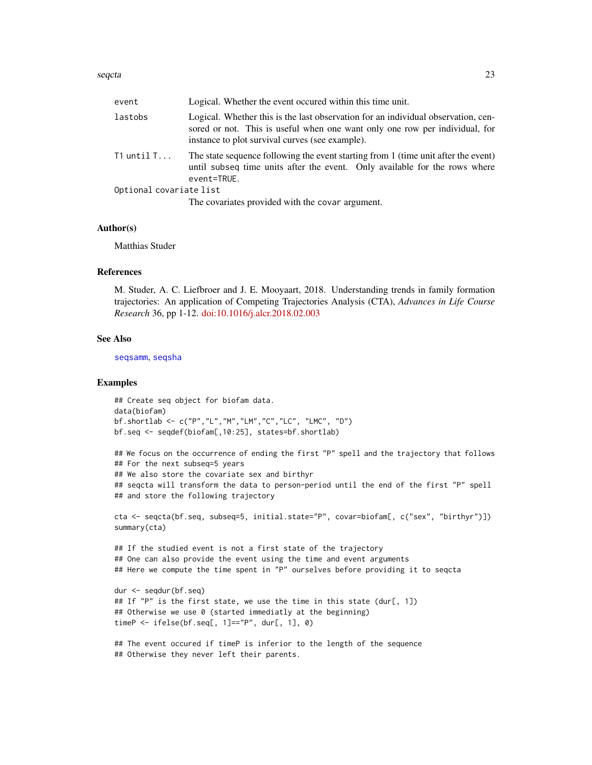#### <span id="page-22-0"></span>seqcta 23

| event                   | Logical. Whether the event occured within this time unit.                                                                                                                                                           |  |
|-------------------------|---------------------------------------------------------------------------------------------------------------------------------------------------------------------------------------------------------------------|--|
| lastobs                 | Logical. Whether this is the last observation for an individual observation, cen-<br>sored or not. This is useful when one want only one row per individual, for<br>instance to plot survival curves (see example). |  |
| T1 <code>untilT</code>  | The state sequence following the event starting from 1 (time unit after the event)<br>until subseq time units after the event. Only available for the rows where<br>event=TRUE.                                     |  |
| Optional covariate list |                                                                                                                                                                                                                     |  |
|                         | The covariates provided with the covar argument.                                                                                                                                                                    |  |
|                         |                                                                                                                                                                                                                     |  |

## Author(s)

Matthias Studer

#### References

M. Studer, A. C. Liefbroer and J. E. Mooyaart, 2018. Understanding trends in family formation trajectories: An application of Competing Trajectories Analysis (CTA), *Advances in Life Course Research* 36, pp 1-12. [doi:10.1016/j.alcr.2018.02.003](https://doi.org/10.1016/j.alcr.2018.02.003)

#### See Also

[seqsamm](#page-49-1), [seqsha](#page-53-1)

#### Examples

## Create seq object for biofam data. data(biofam) bf.shortlab <- c("P","L","M","LM","C","LC", "LMC", "D") bf.seq <- seqdef(biofam[,10:25], states=bf.shortlab)

```
## We focus on the occurrence of ending the first "P" spell and the trajectory that follows
## For the next subseq=5 years
## We also store the covariate sex and birthyr
## seqcta will transform the data to person-period until the end of the first "P" spell
## and store the following trajectory
```

```
cta <- seqcta(bf.seq, subseq=5, initial.state="P", covar=biofam[, c("sex", "birthyr")])
summary(cta)
```

```
## If the studied event is not a first state of the trajectory
## One can also provide the event using the time and event arguments
## Here we compute the time spent in "P" ourselves before providing it to seqcta
```

```
dur <- seqdur(bf.seq)
## If "P" is the first state, we use the time in this state (dur[, 1])
## Otherwise we use 0 (started immediatly at the beginning)
timeP <- ifelse(bf.seq[, 1]=="P", dur[, 1], 0)
```

```
## The event occured if timeP is inferior to the length of the sequence
## Otherwise they never left their parents.
```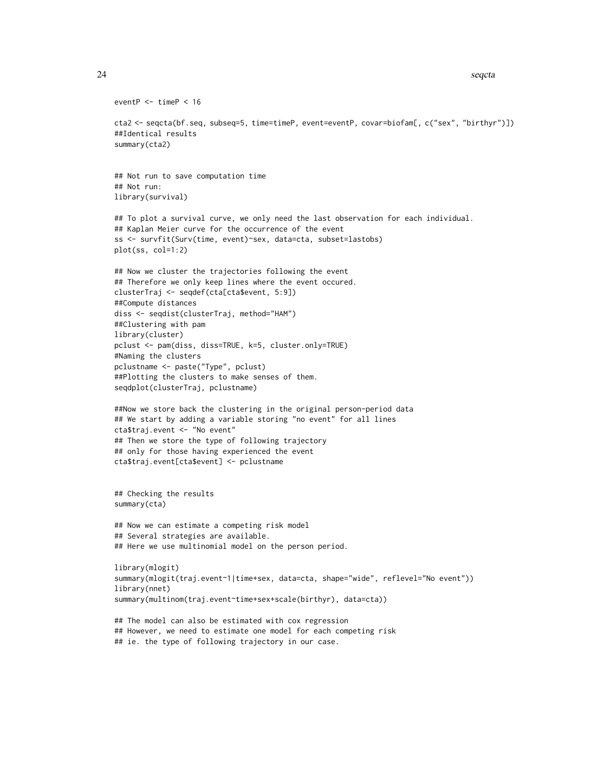```
24 seqcta
```

```
eventP <- timeP < 16
cta2 <- seqcta(bf.seq, subseq=5, time=timeP, event=eventP, covar=biofam[, c("sex", "birthyr")])
##Identical results
summary(cta2)
## Not run to save computation time
## Not run:
library(survival)
## To plot a survival curve, we only need the last observation for each individual.
## Kaplan Meier curve for the occurrence of the event
ss <- survfit(Surv(time, event)~sex, data=cta, subset=lastobs)
plot(ss, col=1:2)
## Now we cluster the trajectories following the event
## Therefore we only keep lines where the event occured.
clusterTraj <- seqdef(cta[cta$event, 5:9])
##Compute distances
diss <- seqdist(clusterTraj, method="HAM")
##Clustering with pam
library(cluster)
pclust <- pam(diss, diss=TRUE, k=5, cluster.only=TRUE)
#Naming the clusters
pclustname <- paste("Type", pclust)
##Plotting the clusters to make senses of them.
seqdplot(clusterTraj, pclustname)
##Now we store back the clustering in the original person-period data
## We start by adding a variable storing "no event" for all lines
cta$traj.event <- "No event"
## Then we store the type of following trajectory
## only for those having experienced the event
cta$traj.event[cta$event] <- pclustname
## Checking the results
summary(cta)
## Now we can estimate a competing risk model
## Several strategies are available.
## Here we use multinomial model on the person period.
library(mlogit)
summary(mlogit(traj.event~1|time+sex, data=cta, shape="wide", reflevel="No event"))
library(nnet)
summary(multinom(traj.event~time+sex+scale(birthyr), data=cta))
## The model can also be estimated with cox regression
## However, we need to estimate one model for each competing risk
## ie. the type of following trajectory in our case.
```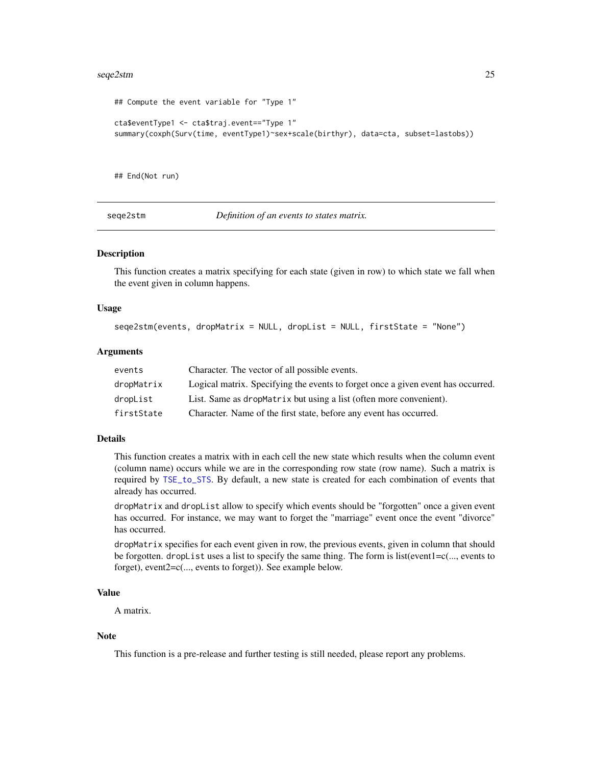#### <span id="page-24-0"></span>seqe2stm 25

```
## Compute the event variable for "Type 1"
cta$eventType1 <- cta$traj.event=="Type 1"
summary(coxph(Surv(time, eventType1)~sex+scale(birthyr), data=cta, subset=lastobs))
```
## End(Not run)

<span id="page-24-1"></span>seqe2stm *Definition of an events to states matrix.*

#### Description

This function creates a matrix specifying for each state (given in row) to which state we fall when the event given in column happens.

#### Usage

```
seqe2stm(events, dropMatrix = NULL, dropList = NULL, firstState = "None")
```
#### Arguments

| events     | Character. The vector of all possible events.                                    |
|------------|----------------------------------------------------------------------------------|
| dropMatrix | Logical matrix. Specifying the events to forget once a given event has occurred. |
| dropList   | List. Same as dropMatrix but using a list (often more convenient).               |
| firstState | Character. Name of the first state, before any event has occurred.               |

#### Details

This function creates a matrix with in each cell the new state which results when the column event (column name) occurs while we are in the corresponding row state (row name). Such a matrix is required by [TSE\\_to\\_STS](#page-65-1). By default, a new state is created for each combination of events that already has occurred.

dropMatrix and dropList allow to specify which events should be "forgotten" once a given event has occurred. For instance, we may want to forget the "marriage" event once the event "divorce" has occurred.

dropMatrix specifies for each event given in row, the previous events, given in column that should be forgotten. dropList uses a list to specify the same thing. The form is list(event1=c(..., events to forget), event2=c(..., events to forget)). See example below.

## Value

A matrix.

#### Note

This function is a pre-release and further testing is still needed, please report any problems.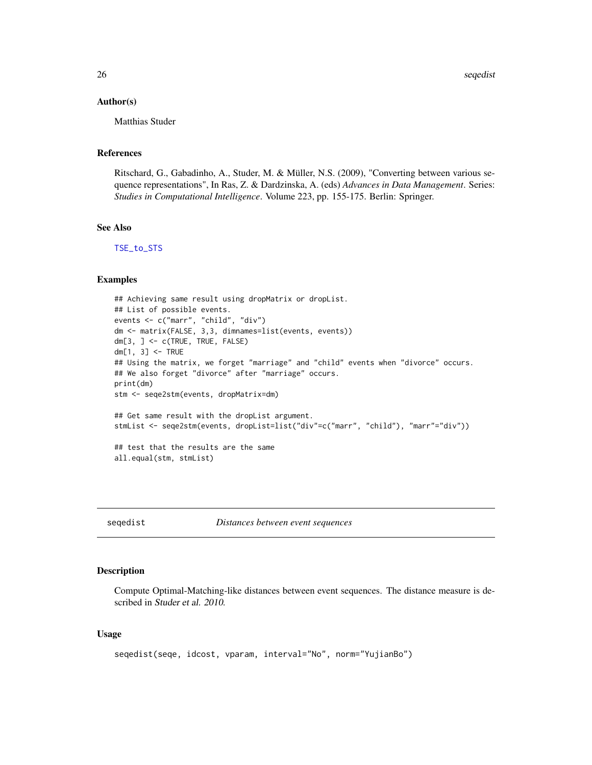#### <span id="page-25-0"></span>Author(s)

Matthias Studer

## References

Ritschard, G., Gabadinho, A., Studer, M. & Müller, N.S. (2009), "Converting between various sequence representations", In Ras, Z. & Dardzinska, A. (eds) *Advances in Data Management*. Series: *Studies in Computational Intelligence*. Volume 223, pp. 155-175. Berlin: Springer.

## See Also

[TSE\\_to\\_STS](#page-65-1)

#### Examples

```
## Achieving same result using dropMatrix or dropList.
## List of possible events.
events <- c("marr", "child", "div")
dm <- matrix(FALSE, 3,3, dimnames=list(events, events))
dm[3, ] \leftarrow c(TRUE, TRUE, FALSE)dm[1, 3] <- TRUE
## Using the matrix, we forget "marriage" and "child" events when "divorce" occurs.
## We also forget "divorce" after "marriage" occurs.
print(dm)
stm <- seqe2stm(events, dropMatrix=dm)
## Get same result with the dropList argument.
stmList <- seqe2stm(events, dropList=list("div"=c("marr", "child"), "marr"="div"))
## test that the results are the same
all.equal(stm, stmList)
```
seqedist *Distances between event sequences*

#### Description

Compute Optimal-Matching-like distances between event sequences. The distance measure is described in Studer et al. 2010.

#### Usage

```
seqedist(seqe, idcost, vparam, interval="No", norm="YujianBo")
```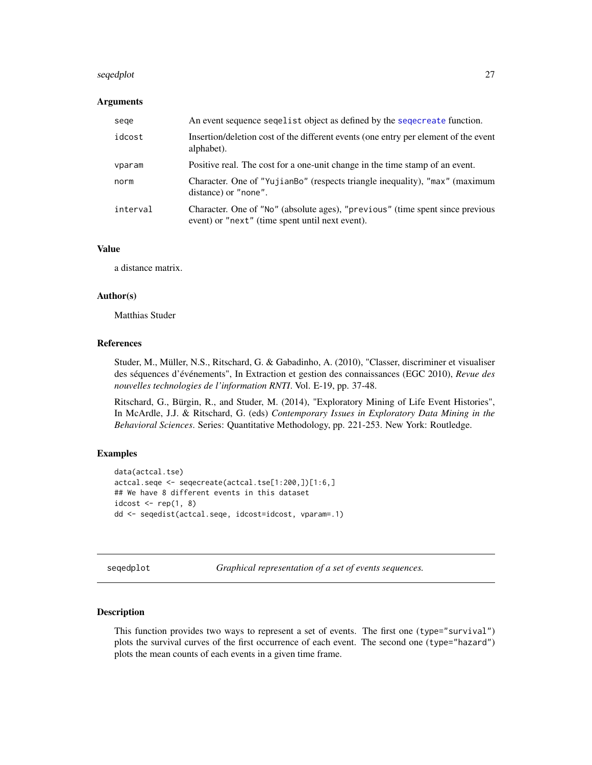#### <span id="page-26-0"></span>seqedplot 27  $\,$

#### Arguments

| sege     | An event sequence seguist object as defined by the segecreate function.                                                          |
|----------|----------------------------------------------------------------------------------------------------------------------------------|
| idcost   | Insertion/deletion cost of the different events (one entry per element of the event<br>alphabet).                                |
| vparam   | Positive real. The cost for a one-unit change in the time stamp of an event.                                                     |
| norm     | Character. One of "YujianBo" (respects triangle inequality), "max" (maximum<br>distance) or "none".                              |
| interval | Character. One of "No" (absolute ages), "previous" (time spent since previous<br>event) or "next" (time spent until next event). |

## Value

a distance matrix.

#### Author(s)

Matthias Studer

#### References

Studer, M., Müller, N.S., Ritschard, G. & Gabadinho, A. (2010), "Classer, discriminer et visualiser des séquences d'événements", In Extraction et gestion des connaissances (EGC 2010), *Revue des nouvelles technologies de l'information RNTI*. Vol. E-19, pp. 37-48.

Ritschard, G., Bürgin, R., and Studer, M. (2014), "Exploratory Mining of Life Event Histories", In McArdle, J.J. & Ritschard, G. (eds) *Contemporary Issues in Exploratory Data Mining in the Behavioral Sciences*. Series: Quantitative Methodology, pp. 221-253. New York: Routledge.

#### Examples

```
data(actcal.tse)
actcal.seqe <- seqecreate(actcal.tse[1:200,])[1:6,]
## We have 8 different events in this dataset
idcost \leq rep(1, 8)
dd <- seqedist(actcal.seqe, idcost=idcost, vparam=.1)
```
seqedplot *Graphical representation of a set of events sequences.*

#### Description

This function provides two ways to represent a set of events. The first one (type="survival") plots the survival curves of the first occurrence of each event. The second one (type="hazard") plots the mean counts of each events in a given time frame.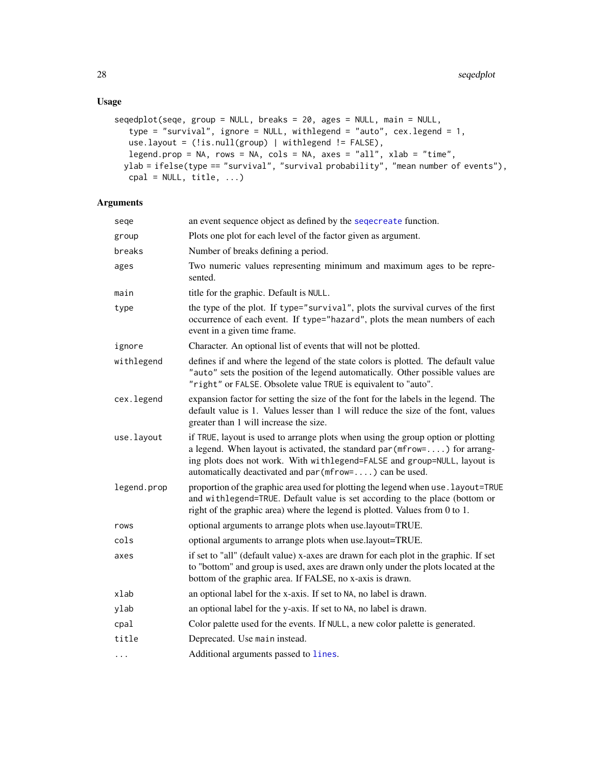```
seqedplot(seqe, group = NULL, breaks = 20, ages = NULL, main = NULL,
  type = "survival", ignore = NULL, withlegend = "auto", cex.legend = 1,
   use.layout = (!is.null(group) | withlegend != FALSE),
   legend.prop = NA, rows = NA, cols = NA, axes = "all", xlab = "time",
 ylab = ifelse(type == "survival", "survival probability", "mean number of events"),
  cpal = NULL, title, ...)
```

| sege        | an event sequence object as defined by the sequereate function.                                                                                                                                                                                                                                          |  |
|-------------|----------------------------------------------------------------------------------------------------------------------------------------------------------------------------------------------------------------------------------------------------------------------------------------------------------|--|
| group       | Plots one plot for each level of the factor given as argument.                                                                                                                                                                                                                                           |  |
| breaks      | Number of breaks defining a period.                                                                                                                                                                                                                                                                      |  |
| ages        | Two numeric values representing minimum and maximum ages to be repre-<br>sented.                                                                                                                                                                                                                         |  |
| main        | title for the graphic. Default is NULL.                                                                                                                                                                                                                                                                  |  |
| type        | the type of the plot. If type="survival", plots the survival curves of the first<br>occurrence of each event. If type="hazard", plots the mean numbers of each<br>event in a given time frame.                                                                                                           |  |
| ignore      | Character. An optional list of events that will not be plotted.                                                                                                                                                                                                                                          |  |
| withlegend  | defines if and where the legend of the state colors is plotted. The default value<br>"auto" sets the position of the legend automatically. Other possible values are<br>"right" or FALSE. Obsolete value TRUE is equivalent to "auto".                                                                   |  |
| cex.legend  | expansion factor for setting the size of the font for the labels in the legend. The<br>default value is 1. Values lesser than 1 will reduce the size of the font, values<br>greater than 1 will increase the size.                                                                                       |  |
| use.layout  | if TRUE, layout is used to arrange plots when using the group option or plotting<br>a legend. When layout is activated, the standard par ( $m$ frow=) for arrang-<br>ing plots does not work. With withlegend=FALSE and group=NULL, layout is<br>automatically deactivated and par (mfrow=) can be used. |  |
| legend.prop | proportion of the graphic area used for plotting the legend when use. layout=TRUE<br>and withlegend=TRUE. Default value is set according to the place (bottom or<br>right of the graphic area) where the legend is plotted. Values from 0 to 1.                                                          |  |
| rows        | optional arguments to arrange plots when use.layout=TRUE.                                                                                                                                                                                                                                                |  |
| cols        | optional arguments to arrange plots when use.layout=TRUE.                                                                                                                                                                                                                                                |  |
| axes        | if set to "all" (default value) x-axes are drawn for each plot in the graphic. If set<br>to "bottom" and group is used, axes are drawn only under the plots located at the<br>bottom of the graphic area. If FALSE, no x-axis is drawn.                                                                  |  |
| xlab        | an optional label for the x-axis. If set to NA, no label is drawn.                                                                                                                                                                                                                                       |  |
| ylab        | an optional label for the y-axis. If set to NA, no label is drawn.                                                                                                                                                                                                                                       |  |
| cpal        | Color palette used for the events. If NULL, a new color palette is generated.                                                                                                                                                                                                                            |  |
| title       | Deprecated. Use main instead.                                                                                                                                                                                                                                                                            |  |
| $\cdots$    | Additional arguments passed to lines.                                                                                                                                                                                                                                                                    |  |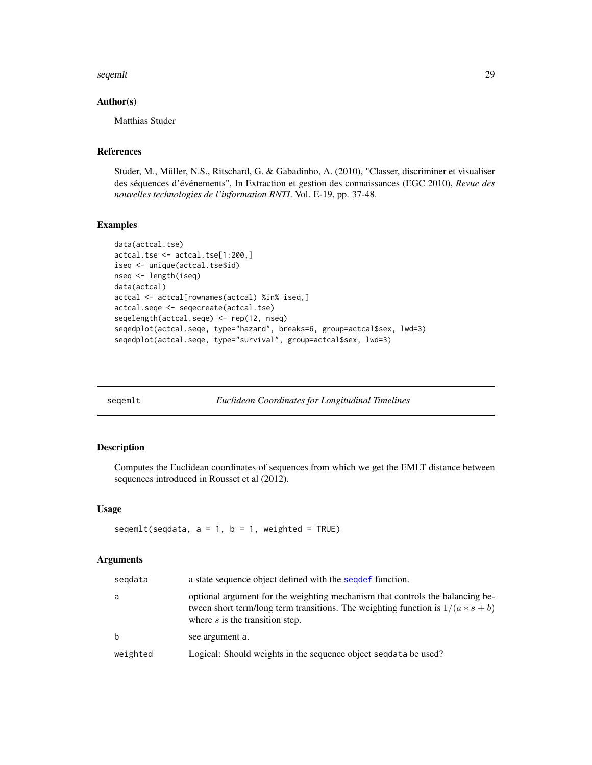#### <span id="page-28-0"></span>seqemlt 29

## Author(s)

Matthias Studer

## References

Studer, M., Müller, N.S., Ritschard, G. & Gabadinho, A. (2010), "Classer, discriminer et visualiser des séquences d'événements", In Extraction et gestion des connaissances (EGC 2010), *Revue des nouvelles technologies de l'information RNTI*. Vol. E-19, pp. 37-48.

## Examples

```
data(actcal.tse)
actcal.tse <- actcal.tse[1:200,]
iseq <- unique(actcal.tse$id)
nseq <- length(iseq)
data(actcal)
actcal <- actcal[rownames(actcal) %in% iseq,]
actcal.seqe <- seqecreate(actcal.tse)
seqelength(actcal.seqe) <- rep(12, nseq)
seqedplot(actcal.seqe, type="hazard", breaks=6, group=actcal$sex, lwd=3)
seqedplot(actcal.seqe, type="survival", group=actcal$sex, lwd=3)
```
<span id="page-28-1"></span>

| segemlt |  |
|---------|--|
|         |  |

**Euclidean Coordinates for Longitudinal Timelines** 

## Description

Computes the Euclidean coordinates of sequences from which we get the EMLT distance between sequences introduced in Rousset et al (2012).

## Usage

seqemlt(seqdata,  $a = 1$ ,  $b = 1$ , weighted = TRUE)

| segdata  | a state sequence object defined with the sequest function.                                                                                                                                              |
|----------|---------------------------------------------------------------------------------------------------------------------------------------------------------------------------------------------------------|
| a        | optional argument for the weighting mechanism that controls the balancing be-<br>tween short term/long term transitions. The weighting function is $1/(a * s + b)$<br>where $s$ is the transition step. |
| b        | see argument a.                                                                                                                                                                                         |
| weighted | Logical: Should weights in the sequence object sequata be used?                                                                                                                                         |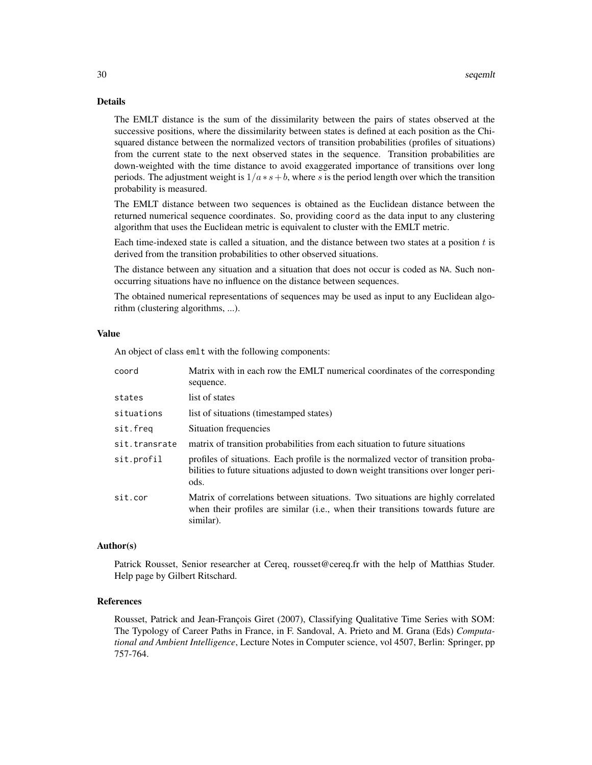## Details

The EMLT distance is the sum of the dissimilarity between the pairs of states observed at the successive positions, where the dissimilarity between states is defined at each position as the Chisquared distance between the normalized vectors of transition probabilities (profiles of situations) from the current state to the next observed states in the sequence. Transition probabilities are down-weighted with the time distance to avoid exaggerated importance of transitions over long periods. The adjustment weight is  $1/a * s + b$ , where s is the period length over which the transition probability is measured.

The EMLT distance between two sequences is obtained as the Euclidean distance between the returned numerical sequence coordinates. So, providing coord as the data input to any clustering algorithm that uses the Euclidean metric is equivalent to cluster with the EMLT metric.

Each time-indexed state is called a situation, and the distance between two states at a position  $t$  is derived from the transition probabilities to other observed situations.

The distance between any situation and a situation that does not occur is coded as NA. Such nonoccurring situations have no influence on the distance between sequences.

The obtained numerical representations of sequences may be used as input to any Euclidean algorithm (clustering algorithms, ...).

#### Value

An object of class emlt with the following components:

| coord         | Matrix with in each row the EMLT numerical coordinates of the corresponding<br>sequence.                                                                                          |
|---------------|-----------------------------------------------------------------------------------------------------------------------------------------------------------------------------------|
| states        | list of states                                                                                                                                                                    |
| situations    | list of situations (timestamped states)                                                                                                                                           |
| sit.freq      | Situation frequencies                                                                                                                                                             |
| sit.transrate | matrix of transition probabilities from each situation to future situations                                                                                                       |
| sit.profil    | profiles of situations. Each profile is the normalized vector of transition proba-<br>bilities to future situations adjusted to down weight transitions over longer peri-<br>ods. |
| sit.cor       | Matrix of correlations between situations. Two situations are highly correlated<br>when their profiles are similar (i.e., when their transitions towards future are<br>similar).  |

#### Author(s)

Patrick Rousset, Senior researcher at Cereq, rousset@cereq.fr with the help of Matthias Studer. Help page by Gilbert Ritschard.

#### References

Rousset, Patrick and Jean-François Giret (2007), Classifying Qualitative Time Series with SOM: The Typology of Career Paths in France, in F. Sandoval, A. Prieto and M. Grana (Eds) *Computational and Ambient Intelligence*, Lecture Notes in Computer science, vol 4507, Berlin: Springer, pp 757-764.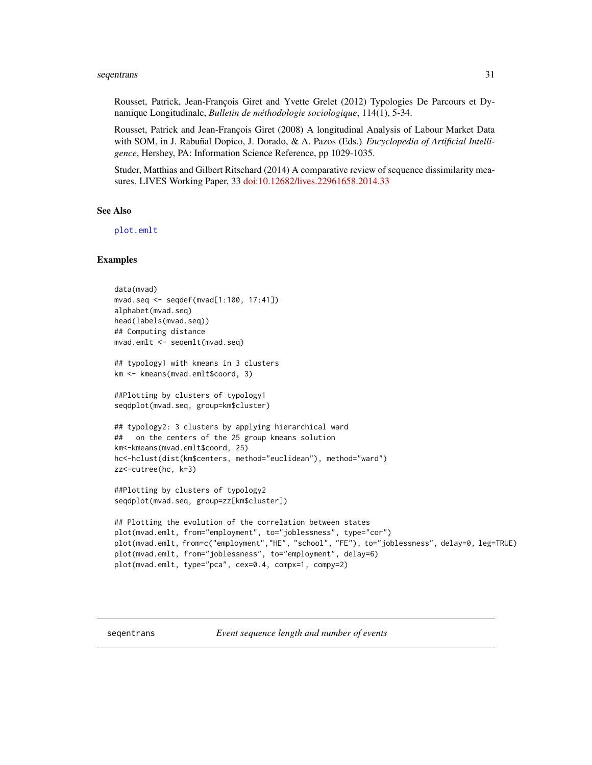#### <span id="page-30-0"></span>seqentrans 31

Rousset, Patrick, Jean-François Giret and Yvette Grelet (2012) Typologies De Parcours et Dynamique Longitudinale, *Bulletin de méthodologie sociologique*, 114(1), 5-34.

Rousset, Patrick and Jean-François Giret (2008) A longitudinal Analysis of Labour Market Data with SOM, in J. Rabuñal Dopico, J. Dorado, & A. Pazos (Eds.) *Encyclopedia of Artificial Intelligence*, Hershey, PA: Information Science Reference, pp 1029-1035.

Studer, Matthias and Gilbert Ritschard (2014) A comparative review of sequence dissimilarity measures. LIVES Working Paper, 33 [doi:10.12682/lives.22961658.2014.33](https://doi.org/10.12682/lives.2296-1658.2014.33)

#### See Also

[plot.emlt](#page-12-1)

## Examples

```
data(mvad)
mvad.seq <- seqdef(mvad[1:100, 17:41])
alphabet(mvad.seq)
head(labels(mvad.seq))
## Computing distance
mvad.emlt <- seqemlt(mvad.seq)
## typology1 with kmeans in 3 clusters
km <- kmeans(mvad.emlt$coord, 3)
##Plotting by clusters of typology1
seqdplot(mvad.seq, group=km$cluster)
## typology2: 3 clusters by applying hierarchical ward
## on the centers of the 25 group kmeans solution
km<-kmeans(mvad.emlt$coord, 25)
hc<-hclust(dist(km$centers, method="euclidean"), method="ward")
zz<-cutree(hc, k=3)
##Plotting by clusters of typology2
seqdplot(mvad.seq, group=zz[km$cluster])
## Plotting the evolution of the correlation between states
plot(mvad.emlt, from="employment", to="joblessness", type="cor")
plot(mvad.emlt, from=c("employment","HE", "school", "FE"), to="joblessness", delay=0, leg=TRUE)
plot(mvad.emlt, from="joblessness", to="employment", delay=6)
plot(mvad.emlt, type="pca", cex=0.4, compx=1, compy=2)
```
seqentrans *Event sequence length and number of events*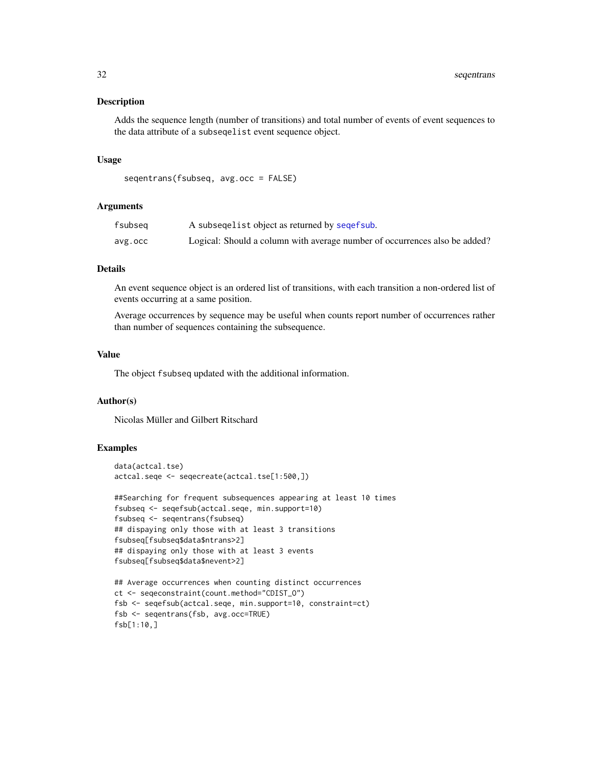Adds the sequence length (number of transitions) and total number of events of event sequences to the data attribute of a subseqelist event sequence object.

#### Usage

```
seqentrans(fsubseq, avg.occ = FALSE)
```
#### Arguments

| fsubseq | A subsequelist object as returned by sequest sub.                          |
|---------|----------------------------------------------------------------------------|
| avg.occ | Logical: Should a column with average number of occurrences also be added? |

## **Details**

An event sequence object is an ordered list of transitions, with each transition a non-ordered list of events occurring at a same position.

Average occurrences by sequence may be useful when counts report number of occurrences rather than number of sequences containing the subsequence.

#### Value

The object fsubseq updated with the additional information.

#### Author(s)

Nicolas Müller and Gilbert Ritschard

## Examples

```
data(actcal.tse)
actcal.seqe <- seqecreate(actcal.tse[1:500,])
```

```
##Searching for frequent subsequences appearing at least 10 times
fsubseq <- seqefsub(actcal.seqe, min.support=10)
fsubseq <- seqentrans(fsubseq)
## dispaying only those with at least 3 transitions
fsubseq[fsubseq$data$ntrans>2]
## dispaying only those with at least 3 events
fsubseq[fsubseq$data$nevent>2]
```

```
## Average occurrences when counting distinct occurrences
ct <- seqeconstraint(count.method="CDIST_O")
fsb <- seqefsub(actcal.seqe, min.support=10, constraint=ct)
fsb <- seqentrans(fsb, avg.occ=TRUE)
fsb[1:10,]
```
<span id="page-31-0"></span>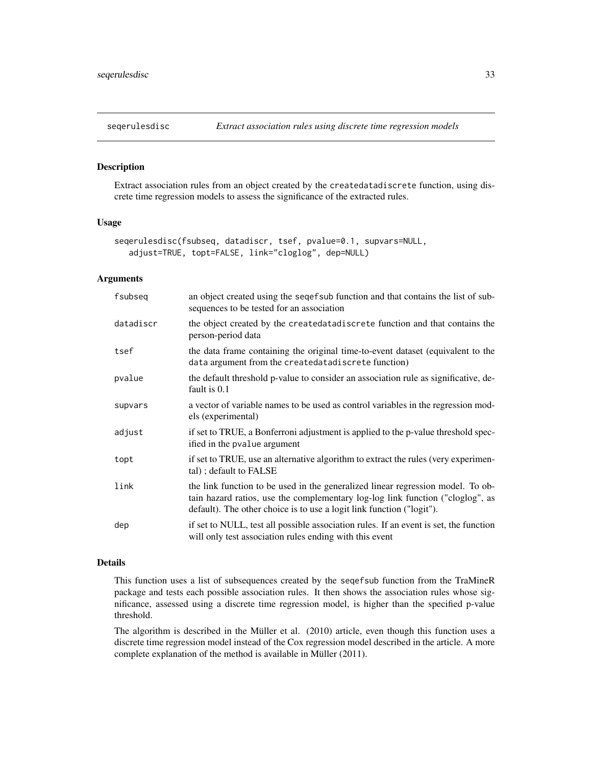<span id="page-32-1"></span><span id="page-32-0"></span>

Extract association rules from an object created by the createdatadiscrete function, using discrete time regression models to assess the significance of the extracted rules.

## Usage

```
seqerulesdisc(fsubseq, datadiscr, tsef, pvalue=0.1, supvars=NULL,
   adjust=TRUE, topt=FALSE, link="cloglog", dep=NULL)
```
## Arguments

| fsubseq   | an object created using the sequently function and that contains the list of sub-<br>sequences to be tested for an association                                                                                                             |
|-----------|--------------------------------------------------------------------------------------------------------------------------------------------------------------------------------------------------------------------------------------------|
| datadiscr | the object created by the createdatadiscrete function and that contains the<br>person-period data                                                                                                                                          |
| tsef      | the data frame containing the original time-to-event dataset (equivalent to the<br>data argument from the createdatadiscrete function)                                                                                                     |
| pvalue    | the default threshold p-value to consider an association rule as significative, de-<br>fault is 0.1                                                                                                                                        |
| supvars   | a vector of variable names to be used as control variables in the regression mod-<br>els (experimental)                                                                                                                                    |
| adjust    | if set to TRUE, a Bonferroni adjustment is applied to the p-value threshold spec-<br>ified in the pvalue argument                                                                                                                          |
| topt      | if set to TRUE, use an alternative algorithm to extract the rules (very experimen-<br>tal); default to FALSE                                                                                                                               |
| link      | the link function to be used in the generalized linear regression model. To ob-<br>tain hazard ratios, use the complementary log-log link function ("cloglog", as<br>default). The other choice is to use a logit link function ("logit"). |
| dep       | if set to NULL, test all possible association rules. If an event is set, the function<br>will only test association rules ending with this event                                                                                           |

## Details

This function uses a list of subsequences created by the seqefsub function from the TraMineR package and tests each possible association rules. It then shows the association rules whose significance, assessed using a discrete time regression model, is higher than the specified p-value threshold.

The algorithm is described in the Müller et al. (2010) article, even though this function uses a discrete time regression model instead of the Cox regression model described in the article. A more complete explanation of the method is available in Müller (2011).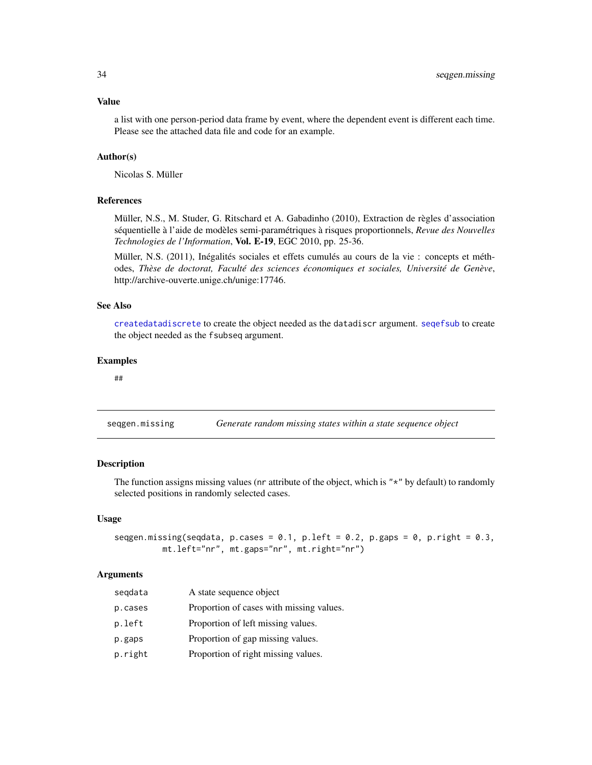<span id="page-33-0"></span>a list with one person-period data frame by event, where the dependent event is different each time. Please see the attached data file and code for an example.

## Author(s)

Nicolas S. Müller

#### References

Müller, N.S., M. Studer, G. Ritschard et A. Gabadinho (2010), Extraction de règles d'association séquentielle à l'aide de modèles semi-paramétriques à risques proportionnels, *Revue des Nouvelles Technologies de l'Information*, Vol. E-19, EGC 2010, pp. 25-36.

Müller, N.S. (2011), Inégalités sociales et effets cumulés au cours de la vie : concepts et méthodes, *Thèse de doctorat, Faculté des sciences économiques et sociales, Université de Genève*, http://archive-ouverte.unige.ch/unige:17746.

#### See Also

[createdatadiscrete](#page-3-1) to create the object needed as the datadiscr argument. [seqefsub](#page-0-0) to create the object needed as the fsubseq argument.

#### Examples

##

seqgen.missing *Generate random missing states within a state sequence object*

#### Description

The function assigns missing values (nr attribute of the object, which is " $*$ " by default) to randomly selected positions in randomly selected cases.

#### Usage

```
seqgen.missing(seqdata, p.cases = 0.1, p.left = 0.2, p.gaps = 0, p.right = 0.3,
          mt.left="nr", mt.gaps="nr", mt.right="nr")
```

| A state sequence object<br>seqdata                  |  |
|-----------------------------------------------------|--|
| Proportion of cases with missing values.<br>p.cases |  |
| Proportion of left missing values.<br>p.left        |  |
| Proportion of gap missing values.<br>p.gaps         |  |
| Proportion of right missing values.<br>p.right      |  |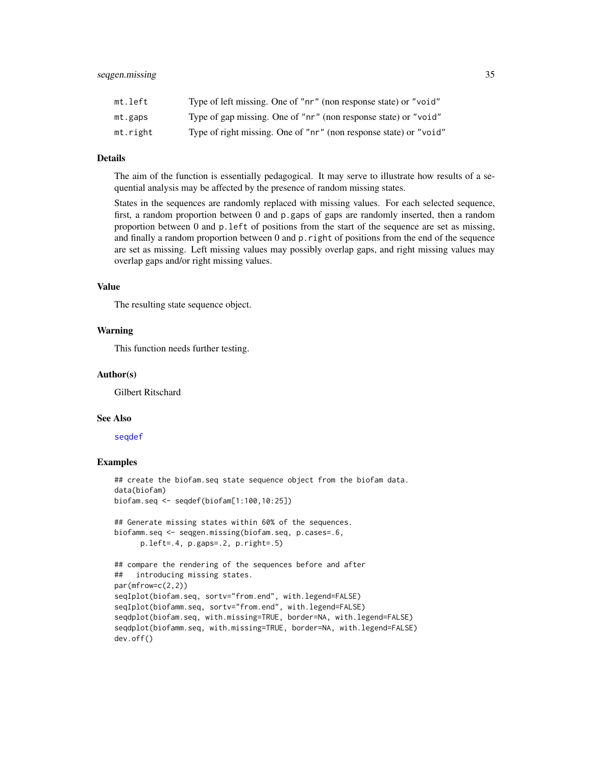<span id="page-34-0"></span>

| mt.left  | Type of left missing. One of "nr" (non response state) or "void"  |
|----------|-------------------------------------------------------------------|
| mt.gaps  | Type of gap missing. One of "nr" (non response state) or "void"   |
| mt.right | Type of right missing. One of "nr" (non response state) or "void" |

#### Details

The aim of the function is essentially pedagogical. It may serve to illustrate how results of a sequential analysis may be affected by the presence of random missing states.

States in the sequences are randomly replaced with missing values. For each selected sequence, first, a random proportion between 0 and p.gaps of gaps are randomly inserted, then a random proportion between 0 and p.left of positions from the start of the sequence are set as missing, and finally a random proportion between 0 and p.right of positions from the end of the sequence are set as missing. Left missing values may possibly overlap gaps, and right missing values may overlap gaps and/or right missing values.

## Value

The resulting state sequence object.

#### Warning

This function needs further testing.

#### Author(s)

Gilbert Ritschard

#### See Also

[seqdef](#page-0-0)

#### Examples

```
## create the biofam.seq state sequence object from the biofam data.
data(biofam)
biofam.seq <- seqdef(biofam[1:100,10:25])
## Generate missing states within 60% of the sequences.
biofamm.seq <- seqgen.missing(biofam.seq, p.cases=.6,
      p.left=.4, p.gaps=.2, p.right=.5)
## compare the rendering of the sequences before and after
## introducing missing states.
par(mfrow=c(2,2))
seqIplot(biofam.seq, sortv="from.end", with.legend=FALSE)
seqIplot(biofamm.seq, sortv="from.end", with.legend=FALSE)
seqdplot(biofam.seq, with.missing=TRUE, border=NA, with.legend=FALSE)
seqdplot(biofamm.seq, with.missing=TRUE, border=NA, with.legend=FALSE)
dev.off()
```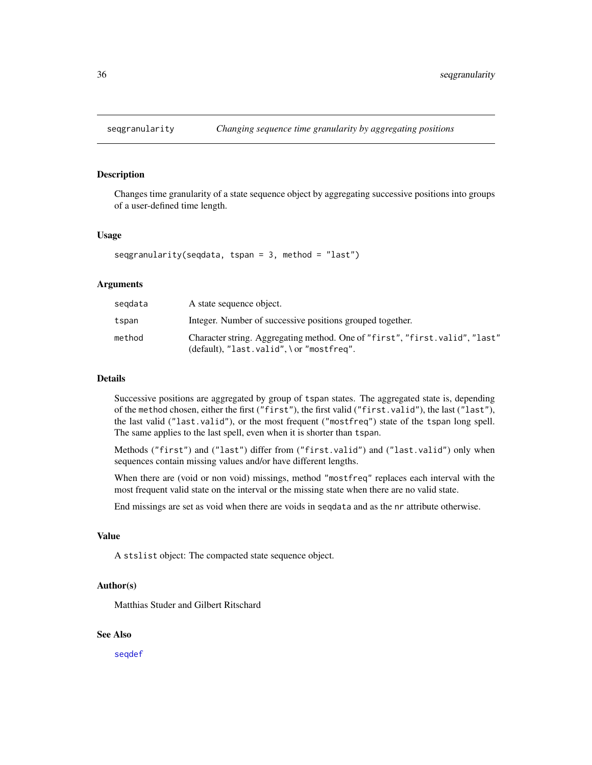<span id="page-35-0"></span>

Changes time granularity of a state sequence object by aggregating successive positions into groups of a user-defined time length.

#### Usage

seqgranularity(seqdata, tspan = 3, method = "last")

#### Arguments

| segdata | A state sequence object.                                                                                                  |
|---------|---------------------------------------------------------------------------------------------------------------------------|
| tspan   | Integer. Number of successive positions grouped together.                                                                 |
| method  | Character string. Aggregating method. One of "first", "first.valid", "last"<br>$(default), "last.valid", \or "mostfreq".$ |

## Details

Successive positions are aggregated by group of tspan states. The aggregated state is, depending of the method chosen, either the first ("first"), the first valid ("first.valid"), the last ("last"), the last valid ("last.valid"), or the most frequent ("mostfreq") state of the tspan long spell. The same applies to the last spell, even when it is shorter than tspan.

Methods ("first") and ("last") differ from ("first.valid") and ("last.valid") only when sequences contain missing values and/or have different lengths.

When there are (void or non void) missings, method "mostfreq" replaces each interval with the most frequent valid state on the interval or the missing state when there are no valid state.

End missings are set as void when there are voids in seqdata and as the nr attribute otherwise.

## Value

A stslist object: The compacted state sequence object.

## Author(s)

Matthias Studer and Gilbert Ritschard

#### See Also

[seqdef](#page-0-0)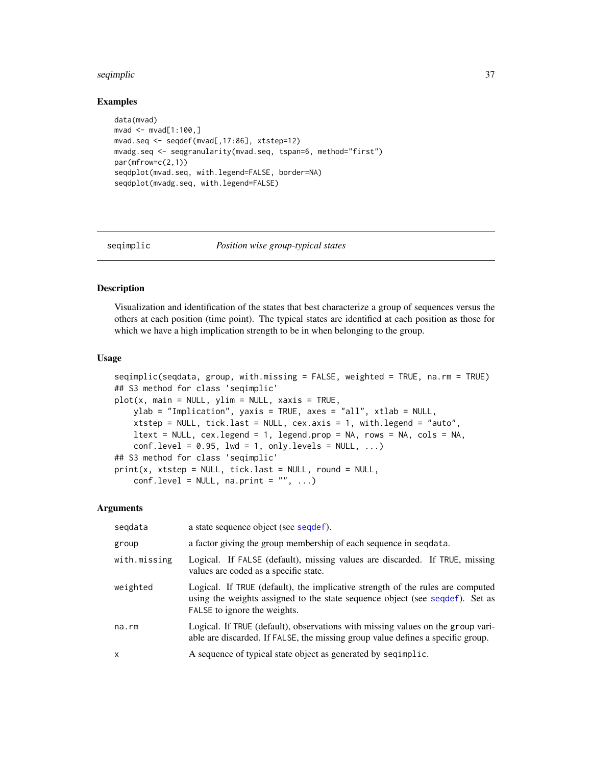#### <span id="page-36-0"></span>seqimplic 37 and 37 and 37 and 37 and 37 and 37 and 37 and 37 and 37 and 37 and 37 and 37 and 37 and 37 and 37

#### Examples

```
data(mvad)
mvad < - mvad[1:100, ]mvad.seq <- seqdef(mvad[,17:86], xtstep=12)
mvadg.seq <- seqgranularity(mvad.seq, tspan=6, method="first")
par(mfrow=c(2,1))
seqdplot(mvad.seq, with.legend=FALSE, border=NA)
seqdplot(mvadg.seq, with.legend=FALSE)
```
#### seqimplic *Position wise group-typical states*

#### Description

Visualization and identification of the states that best characterize a group of sequences versus the others at each position (time point). The typical states are identified at each position as those for which we have a high implication strength to be in when belonging to the group.

#### Usage

```
seqimplic(seqdata, group, with.missing = FALSE, weighted = TRUE, na.rm = TRUE)
## S3 method for class 'seqimplic'
plot(x, main = NULL, ylim = NULL, xaxis = TRUE,ylab = "Implication", yaxis = TRUE, axes = "all", xtlab = NULL,
   xtstep = NULL, tick.last = NULL, cex.axis = 1, with.legend = "auto",
   ltext = NULL, cex.legend = 1, legend.prop = NA, rows = NA, cols = NA,
   conf. level = 0.95, 1wd = 1, only.levels = NULL, ...)
## S3 method for class 'seqimplic'
print(x, xtstep = NULL, tick-last = NULL, round = NULL,conf. level = NULL, na.print = ''', ...)
```

| segdata      | a state sequence object (see sequef).                                                                                                                                                          |
|--------------|------------------------------------------------------------------------------------------------------------------------------------------------------------------------------------------------|
| group        | a factor giving the group membership of each sequence in sequata.                                                                                                                              |
| with.missing | Logical. If FALSE (default), missing values are discarded. If TRUE, missing<br>values are coded as a specific state.                                                                           |
| weighted     | Logical. If TRUE (default), the implicative strength of the rules are computed<br>using the weights assigned to the state sequence object (see sequef). Set as<br>FALSE to ignore the weights. |
| na.rm        | Logical. If TRUE (default), observations with missing values on the group vari-<br>able are discarded. If FALSE, the missing group value defines a specific group.                             |
| $\mathsf{x}$ | A sequence of typical state object as generated by sequality and A sequence of typical state object as generated by sequentlic.                                                                |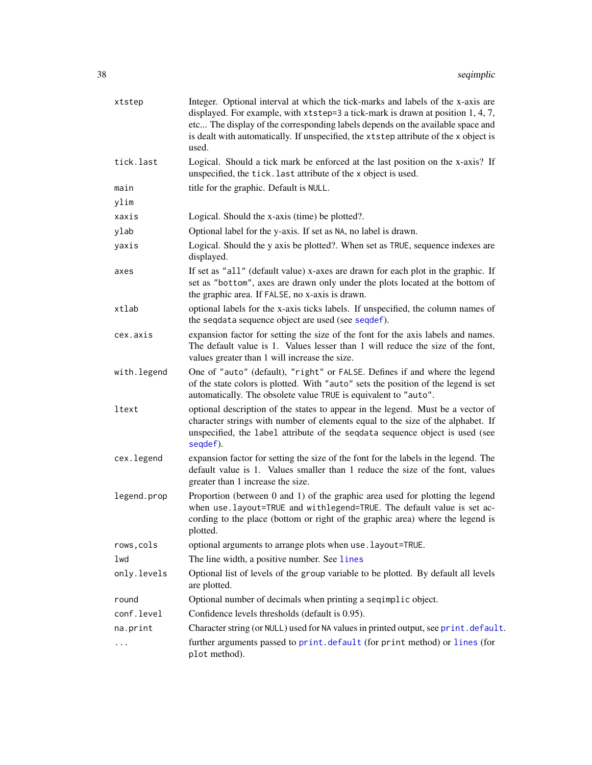<span id="page-37-0"></span>

| xtstep      | Integer. Optional interval at which the tick-marks and labels of the x-axis are<br>displayed. For example, with $x$ tstep=3 a tick-mark is drawn at position 1, 4, 7,<br>etc The display of the corresponding labels depends on the available space and<br>is dealt with automatically. If unspecified, the xtstep attribute of the x object is<br>used. |
|-------------|----------------------------------------------------------------------------------------------------------------------------------------------------------------------------------------------------------------------------------------------------------------------------------------------------------------------------------------------------------|
| tick.last   | Logical. Should a tick mark be enforced at the last position on the x-axis? If<br>unspecified, the tick. last attribute of the x object is used.                                                                                                                                                                                                         |
| main        | title for the graphic. Default is NULL.                                                                                                                                                                                                                                                                                                                  |
| ylim        |                                                                                                                                                                                                                                                                                                                                                          |
| xaxis       | Logical. Should the x-axis (time) be plotted?.                                                                                                                                                                                                                                                                                                           |
| ylab        | Optional label for the y-axis. If set as NA, no label is drawn.                                                                                                                                                                                                                                                                                          |
| yaxis       | Logical. Should the y axis be plotted?. When set as TRUE, sequence indexes are<br>displayed.                                                                                                                                                                                                                                                             |
| axes        | If set as "all" (default value) x-axes are drawn for each plot in the graphic. If<br>set as "bottom", axes are drawn only under the plots located at the bottom of<br>the graphic area. If FALSE, no x-axis is drawn.                                                                                                                                    |
| xtlab       | optional labels for the x-axis ticks labels. If unspecified, the column names of<br>the seqdata sequence object are used (see seqdef).                                                                                                                                                                                                                   |
| cex.axis    | expansion factor for setting the size of the font for the axis labels and names.<br>The default value is 1. Values lesser than 1 will reduce the size of the font,<br>values greater than 1 will increase the size.                                                                                                                                      |
| with.legend | One of "auto" (default), "right" or FALSE. Defines if and where the legend<br>of the state colors is plotted. With "auto" sets the position of the legend is set<br>automatically. The obsolete value TRUE is equivalent to "auto".                                                                                                                      |
| ltext       | optional description of the states to appear in the legend. Must be a vector of<br>character strings with number of elements equal to the size of the alphabet. If<br>unspecified, the label attribute of the sequata sequence object is used (see<br>seqdef).                                                                                           |
| cex.legend  | expansion factor for setting the size of the font for the labels in the legend. The<br>default value is 1. Values smaller than 1 reduce the size of the font, values<br>greater than 1 increase the size.                                                                                                                                                |
| legend.prop | Proportion (between $0$ and $1$ ) of the graphic area used for plotting the legend<br>when use.layout=TRUE and withlegend=TRUE. The default value is set ac-<br>cording to the place (bottom or right of the graphic area) where the legend is<br>plotted.                                                                                               |
| rows, cols  | optional arguments to arrange plots when use. layout=TRUE.                                                                                                                                                                                                                                                                                               |
| lwd         | The line width, a positive number. See lines                                                                                                                                                                                                                                                                                                             |
| only.levels | Optional list of levels of the group variable to be plotted. By default all levels<br>are plotted.                                                                                                                                                                                                                                                       |
| round       | Optional number of decimals when printing a seqimplic object.                                                                                                                                                                                                                                                                                            |
| conf.level  | Confidence levels thresholds (default is 0.95).                                                                                                                                                                                                                                                                                                          |
| na.print    | Character string (or NULL) used for NA values in printed output, see print.default.                                                                                                                                                                                                                                                                      |
| $\cdots$    | further arguments passed to print.default (for print method) or lines (for<br>plot method).                                                                                                                                                                                                                                                              |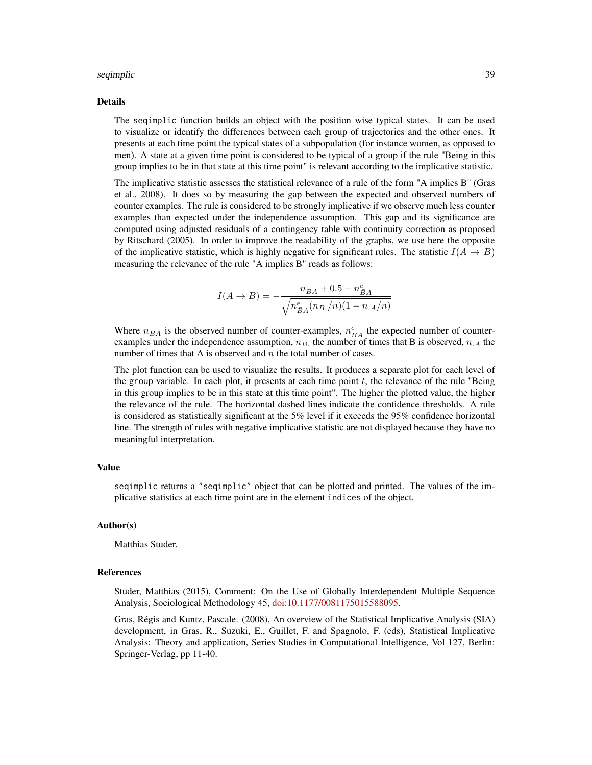#### seqimplic 39

#### Details

The seqimplic function builds an object with the position wise typical states. It can be used to visualize or identify the differences between each group of trajectories and the other ones. It presents at each time point the typical states of a subpopulation (for instance women, as opposed to men). A state at a given time point is considered to be typical of a group if the rule "Being in this group implies to be in that state at this time point" is relevant according to the implicative statistic.

The implicative statistic assesses the statistical relevance of a rule of the form "A implies B" (Gras et al., 2008). It does so by measuring the gap between the expected and observed numbers of counter examples. The rule is considered to be strongly implicative if we observe much less counter examples than expected under the independence assumption. This gap and its significance are computed using adjusted residuals of a contingency table with continuity correction as proposed by Ritschard (2005). In order to improve the readability of the graphs, we use here the opposite of the implicative statistic, which is highly negative for significant rules. The statistic  $I(A \rightarrow B)$ measuring the relevance of the rule "A implies B" reads as follows:

$$
I(A \to B) = -\frac{n_{\bar{B}A} + 0.5 - n_{\bar{B}A}^e}{\sqrt{n_{\bar{B}A}^e(n_{B.}/n)(1 - n_{.A}/n)}}
$$

Where  $n_{\bar{B}A}$  is the observed number of counter-examples,  $n_{\bar{B}A}^e$  the expected number of counterexamples under the independence assumption,  $n_B$ , the number of times that B is observed,  $n_A$  the number of times that A is observed and  $n$  the total number of cases.

The plot function can be used to visualize the results. It produces a separate plot for each level of the group variable. In each plot, it presents at each time point  $t$ , the relevance of the rule "Being" in this group implies to be in this state at this time point". The higher the plotted value, the higher the relevance of the rule. The horizontal dashed lines indicate the confidence thresholds. A rule is considered as statistically significant at the 5% level if it exceeds the 95% confidence horizontal line. The strength of rules with negative implicative statistic are not displayed because they have no meaningful interpretation.

#### Value

seqimplic returns a "seqimplic" object that can be plotted and printed. The values of the implicative statistics at each time point are in the element indices of the object.

#### Author(s)

Matthias Studer.

#### References

Studer, Matthias (2015), Comment: On the Use of Globally Interdependent Multiple Sequence Analysis, Sociological Methodology 45, [doi:10.1177/0081175015588095.](https://doi.org/10.1177/0081175015588095)

Gras, Régis and Kuntz, Pascale. (2008), An overview of the Statistical Implicative Analysis (SIA) development, in Gras, R., Suzuki, E., Guillet, F. and Spagnolo, F. (eds), Statistical Implicative Analysis: Theory and application, Series Studies in Computational Intelligence, Vol 127, Berlin: Springer-Verlag, pp 11-40.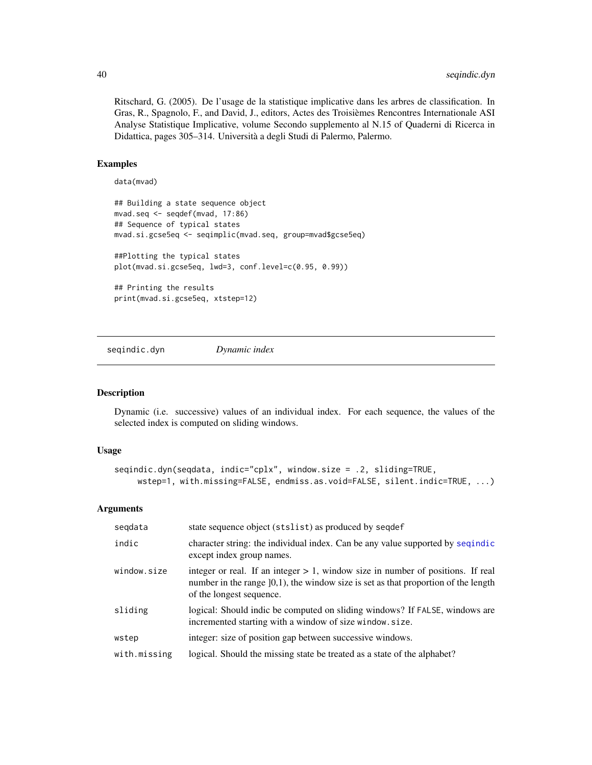<span id="page-39-0"></span>Ritschard, G. (2005). De l'usage de la statistique implicative dans les arbres de classification. In Gras, R., Spagnolo, F., and David, J., editors, Actes des Troisièmes Rencontres Internationale ASI Analyse Statistique Implicative, volume Secondo supplemento al N.15 of Quaderni di Ricerca in Didattica, pages 305–314. Università a degli Studi di Palermo, Palermo.

#### Examples

```
data(mvad)
```

```
## Building a state sequence object
mvad.seq <- seqdef(mvad, 17:86)
## Sequence of typical states
mvad.si.gcse5eq <- seqimplic(mvad.seq, group=mvad$gcse5eq)
##Plotting the typical states
plot(mvad.si.gcse5eq, lwd=3, conf.level=c(0.95, 0.99))
## Printing the results
print(mvad.si.gcse5eq, xtstep=12)
```
<span id="page-39-1"></span>seqindic.dyn *Dynamic index*

## Description

Dynamic (i.e. successive) values of an individual index. For each sequence, the values of the selected index is computed on sliding windows.

## Usage

```
seqindic.dyn(seqdata, indic="cplx", window.size = .2, sliding=TRUE,
    wstep=1, with.missing=FALSE, endmiss.as.void=FALSE, silent.indic=TRUE, ...)
```

| segdata      | state sequence object (stslist) as produced by seqdef                                                                                                                                                   |
|--------------|---------------------------------------------------------------------------------------------------------------------------------------------------------------------------------------------------------|
| indic        | character string: the individual index. Can be any value supported by sequindic<br>except index group names.                                                                                            |
| window.size  | integer or real. If an integer $> 1$ , window size in number of positions. If real<br>number in the range $]0,1)$ , the window size is set as that proportion of the length<br>of the longest sequence. |
| sliding      | logical: Should indic be computed on sliding windows? If FALSE, windows are<br>incremented starting with a window of size window.size.                                                                  |
| wstep        | integer: size of position gap between successive windows.                                                                                                                                               |
| with.missing | logical. Should the missing state be treated as a state of the alphabet?                                                                                                                                |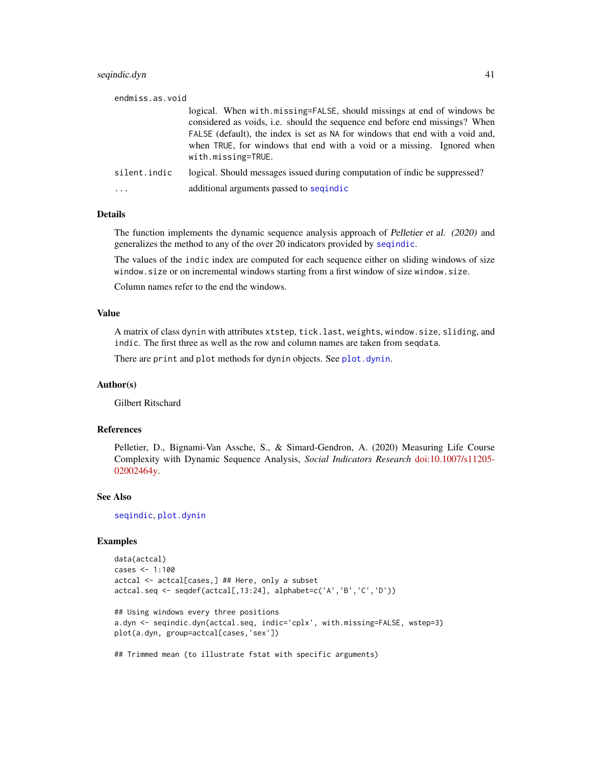## <span id="page-40-0"></span>seqindic.dyn 41

| endmiss.as.void |                                                                                                                                                                                                                                                                                                                                               |
|-----------------|-----------------------------------------------------------------------------------------------------------------------------------------------------------------------------------------------------------------------------------------------------------------------------------------------------------------------------------------------|
|                 | logical. When with missing=FALSE, should missings at end of windows be<br>considered as voids, <i>i.e.</i> should the sequence end before end missings? When<br>FALSE (default), the index is set as NA for windows that end with a void and,<br>when TRUE, for windows that end with a void or a missing. Ignored when<br>with.missing=TRUE. |
| silent.indic    | logical. Should messages issued during computation of indic be suppressed?                                                                                                                                                                                                                                                                    |
|                 | additional arguments passed to sequindic                                                                                                                                                                                                                                                                                                      |

#### Details

The function implements the dynamic sequence analysis approach of Pelletier et al. (2020) and generalizes the method to any of the over 20 indicators provided by [seqindic](#page-0-0).

The values of the indic index are computed for each sequence either on sliding windows of size window.size or on incremental windows starting from a first window of size window.size.

Column names refer to the end the windows.

## Value

A matrix of class dynin with attributes xtstep, tick.last, weights, window.size, sliding, and indic. The first three as well as the row and column names are taken from seqdata.

There are print and plot methods for dynin objects. See [plot.dynin](#page-10-1).

#### Author(s)

Gilbert Ritschard

## References

Pelletier, D., Bignami-Van Assche, S., & Simard-Gendron, A. (2020) Measuring Life Course Complexity with Dynamic Sequence Analysis, *Social Indicators Research* [doi:10.1007/s11205-](https://doi.org/10.1007/s11205-020-02464-y) [02002464y.](https://doi.org/10.1007/s11205-020-02464-y)

#### See Also

[seqindic](#page-0-0), [plot.dynin](#page-10-1)

#### Examples

```
data(actcal)
cases <- 1:100
actcal <- actcal[cases,] ## Here, only a subset
actcal.seq <- seqdef(actcal[,13:24], alphabet=c('A','B','C','D'))
## Using windows every three positions
a.dyn <- seqindic.dyn(actcal.seq, indic='cplx', with.missing=FALSE, wstep=3)
plot(a.dyn, group=actcal[cases,'sex'])
## Trimmed mean (to illustrate fstat with specific arguments)
```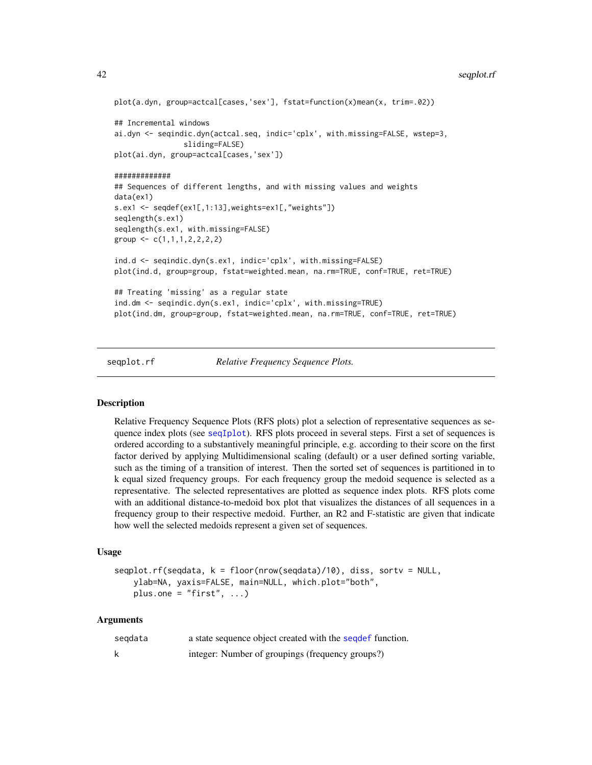#### <span id="page-41-0"></span>42 seqplot.rf

```
plot(a.dyn, group=actcal[cases,'sex'], fstat=function(x)mean(x, trim=.02))
## Incremental windows
ai.dyn <- seqindic.dyn(actcal.seq, indic='cplx', with.missing=FALSE, wstep=3,
                sliding=FALSE)
plot(ai.dyn, group=actcal[cases,'sex'])
#############
## Sequences of different lengths, and with missing values and weights
data(ex1)
s.ex1 <- seqdef(ex1[,1:13],weights=ex1[,"weights"])
seqlength(s.ex1)
seqlength(s.ex1, with.missing=FALSE)
group \leq c(1,1,1,2,2,2,2)ind.d <- seqindic.dyn(s.ex1, indic='cplx', with.missing=FALSE)
plot(ind.d, group=group, fstat=weighted.mean, na.rm=TRUE, conf=TRUE, ret=TRUE)
## Treating 'missing' as a regular state
ind.dm <- seqindic.dyn(s.ex1, indic='cplx', with.missing=TRUE)
plot(ind.dm, group=group, fstat=weighted.mean, na.rm=TRUE, conf=TRUE, ret=TRUE)
```
#### seqplot.rf *Relative Frequency Sequence Plots.*

## **Description**

Relative Frequency Sequence Plots (RFS plots) plot a selection of representative sequences as sequence index plots (see [seqIplot](#page-0-0)). RFS plots proceed in several steps. First a set of sequences is ordered according to a substantively meaningful principle, e.g. according to their score on the first factor derived by applying Multidimensional scaling (default) or a user defined sorting variable, such as the timing of a transition of interest. Then the sorted set of sequences is partitioned in to k equal sized frequency groups. For each frequency group the medoid sequence is selected as a representative. The selected representatives are plotted as sequence index plots. RFS plots come with an additional distance-to-medoid box plot that visualizes the distances of all sequences in a frequency group to their respective medoid. Further, an R2 and F-statistic are given that indicate how well the selected medoids represent a given set of sequences.

#### Usage

```
seqplot.rf(seqdata, k = floor(nrow(seqdata)/10), diss, sortv = NULL,
   ylab=NA, yaxis=FALSE, main=NULL, which.plot="both",
   plus.one = "first", ...)
```

| segdata | a state sequence object created with the sequent function. |
|---------|------------------------------------------------------------|
|         | integer: Number of groupings (frequency groups?)           |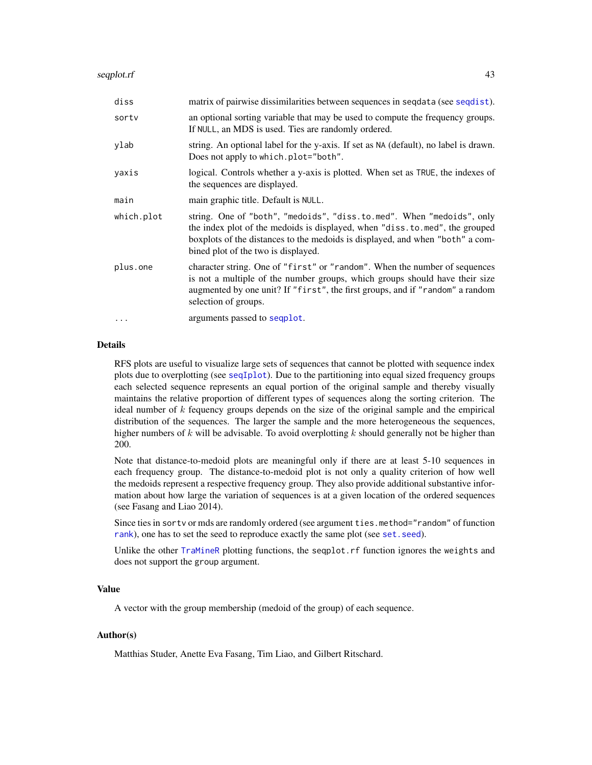<span id="page-42-0"></span>

| diss       | matrix of pairwise dissimilarities between sequences in sequata (see sequist).                                                                                                                                                                                               |
|------------|------------------------------------------------------------------------------------------------------------------------------------------------------------------------------------------------------------------------------------------------------------------------------|
| sortv      | an optional sorting variable that may be used to compute the frequency groups.<br>If NULL, an MDS is used. Ties are randomly ordered.                                                                                                                                        |
| ylab       | string. An optional label for the y-axis. If set as NA (default), no label is drawn.<br>Does not apply to which.plot="both".                                                                                                                                                 |
| yaxis      | logical. Controls whether a y-axis is plotted. When set as TRUE, the indexes of<br>the sequences are displayed.                                                                                                                                                              |
| main       | main graphic title. Default is NULL.                                                                                                                                                                                                                                         |
| which.plot | string. One of "both", "medoids", "diss.to.med". When "medoids", only<br>the index plot of the medoids is displayed, when "diss.to.med", the grouped<br>boxplots of the distances to the medoids is displayed, and when "both" a com-<br>bined plot of the two is displayed. |
| plus.one   | character string. One of "first" or "random". When the number of sequences<br>is not a multiple of the number groups, which groups should have their size<br>augmented by one unit? If "first", the first groups, and if "random" a random<br>selection of groups.           |
| $\cdot$    | arguments passed to seqplot.                                                                                                                                                                                                                                                 |

### Details

RFS plots are useful to visualize large sets of sequences that cannot be plotted with sequence index plots due to overplotting (see [seqIplot](#page-0-0)). Due to the partitioning into equal sized frequency groups each selected sequence represents an equal portion of the original sample and thereby visually maintains the relative proportion of different types of sequences along the sorting criterion. The ideal number of  $k$  fequency groups depends on the size of the original sample and the empirical distribution of the sequences. The larger the sample and the more heterogeneous the sequences, higher numbers of k will be advisable. To avoid overplotting k should generally not be higher than 200.

Note that distance-to-medoid plots are meaningful only if there are at least 5-10 sequences in each frequency group. The distance-to-medoid plot is not only a quality criterion of how well the medoids represent a respective frequency group. They also provide additional substantive information about how large the variation of sequences is at a given location of the ordered sequences (see Fasang and Liao 2014).

Since ties in sortv or mds are randomly ordered (see argument ties.method="random" of function [rank](#page-0-0)), one has to set the seed to reproduce exactly the same plot (see set. seed).

Unlike the other [TraMineR](#page-0-0) plotting functions, the seqplot.rf function ignores the weights and does not support the group argument.

## Value

A vector with the group membership (medoid of the group) of each sequence.

## Author(s)

Matthias Studer, Anette Eva Fasang, Tim Liao, and Gilbert Ritschard.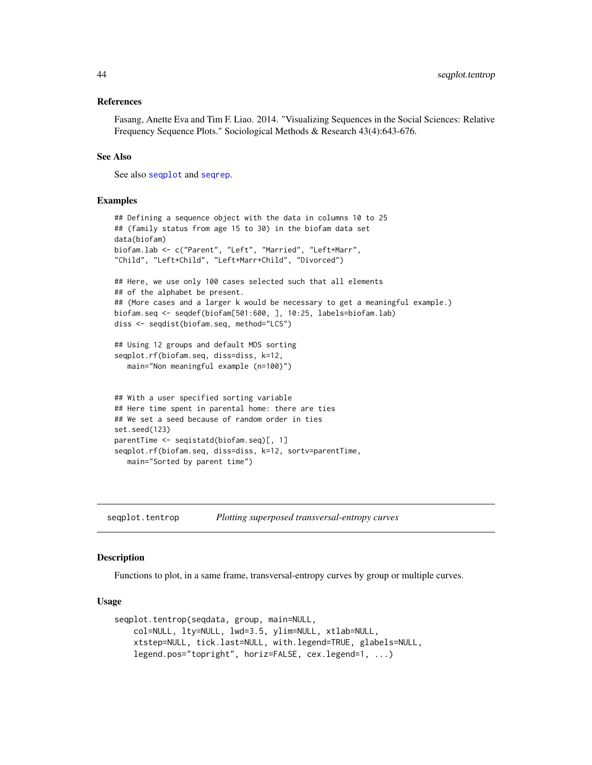#### <span id="page-43-0"></span>References

Fasang, Anette Eva and Tim F. Liao. 2014. "Visualizing Sequences in the Social Sciences: Relative Frequency Sequence Plots." Sociological Methods & Research 43(4):643-676.

#### See Also

See also [seqplot](#page-0-0) and [seqrep](#page-0-0).

### Examples

```
## Defining a sequence object with the data in columns 10 to 25
## (family status from age 15 to 30) in the biofam data set
data(biofam)
biofam.lab <- c("Parent", "Left", "Married", "Left+Marr",
"Child", "Left+Child", "Left+Marr+Child", "Divorced")
## Here, we use only 100 cases selected such that all elements
## of the alphabet be present.
## (More cases and a larger k would be necessary to get a meaningful example.)
biofam.seq <- seqdef(biofam[501:600, ], 10:25, labels=biofam.lab)
diss <- seqdist(biofam.seq, method="LCS")
## Using 12 groups and default MDS sorting
seqplot.rf(biofam.seq, diss=diss, k=12,
  main="Non meaningful example (n=100)")
## With a user specified sorting variable
## Here time spent in parental home: there are ties
## We set a seed because of random order in ties
set.seed(123)
parentTime <- seqistatd(biofam.seq)[, 1]
seqplot.rf(biofam.seq, diss=diss, k=12, sortv=parentTime,
  main="Sorted by parent time")
```
seqplot.tentrop *Plotting superposed transversal-entropy curves*

## Description

Functions to plot, in a same frame, transversal-entropy curves by group or multiple curves.

#### Usage

```
seqplot.tentrop(seqdata, group, main=NULL,
   col=NULL, lty=NULL, lwd=3.5, ylim=NULL, xtlab=NULL,
   xtstep=NULL, tick.last=NULL, with.legend=TRUE, glabels=NULL,
   legend.pos="topright", horiz=FALSE, cex.legend=1, ...)
```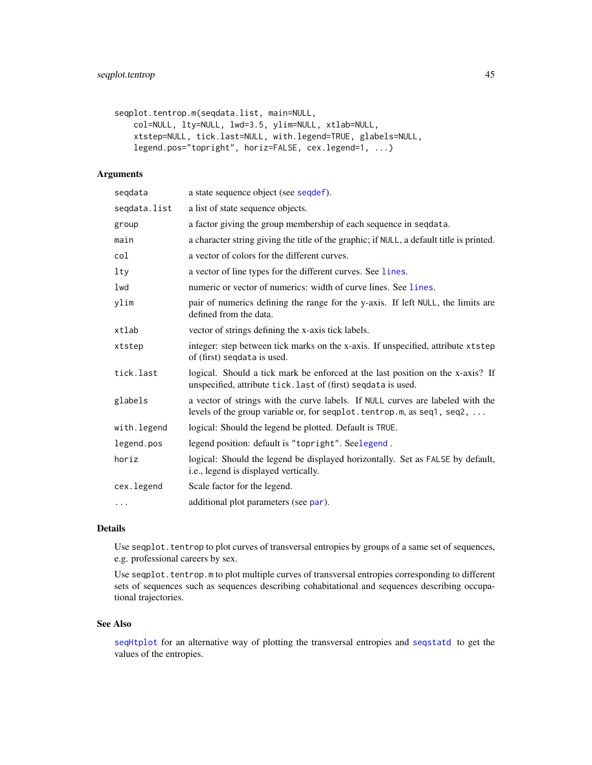```
seqplot.tentrop.m(seqdata.list, main=NULL,
   col=NULL, lty=NULL, lwd=3.5, ylim=NULL, xtlab=NULL,
   xtstep=NULL, tick.last=NULL, with.legend=TRUE, glabels=NULL,
   legend.pos="topright", horiz=FALSE, cex.legend=1, ...)
```
## Arguments

| seqdata      | a state sequence object (see seqdef).                                                                                                                     |
|--------------|-----------------------------------------------------------------------------------------------------------------------------------------------------------|
| seqdata.list | a list of state sequence objects.                                                                                                                         |
| group        | a factor giving the group membership of each sequence in sequata.                                                                                         |
| main         | a character string giving the title of the graphic; if NULL, a default title is printed.                                                                  |
| col          | a vector of colors for the different curves.                                                                                                              |
| lty          | a vector of line types for the different curves. See lines.                                                                                               |
| lwd          | numeric or vector of numerics: width of curve lines. See lines.                                                                                           |
| ylim         | pair of numerics defining the range for the y-axis. If left NULL, the limits are<br>defined from the data.                                                |
| xtlab        | vector of strings defining the x-axis tick labels.                                                                                                        |
| xtstep       | integer: step between tick marks on the x-axis. If unspecified, attribute xtstep<br>of (first) segdata is used.                                           |
| tick.last    | logical. Should a tick mark be enforced at the last position on the x-axis? If<br>unspecified, attribute tick. last of (first) seqdata is used.           |
| glabels      | a vector of strings with the curve labels. If NULL curves are labeled with the<br>levels of the group variable or, for seqplot. tentrop.m, as seq1, seq2, |
| with.legend  | logical: Should the legend be plotted. Default is TRUE.                                                                                                   |
| legend.pos   | legend position: default is "topright". Seelegend.                                                                                                        |
| horiz        | logical: Should the legend be displayed horizontally. Set as FALSE by default,<br>i.e., legend is displayed vertically.                                   |
| cex.legend   | Scale factor for the legend.                                                                                                                              |
| .            | additional plot parameters (see par).                                                                                                                     |

## Details

Use seqplot. tentrop to plot curves of transversal entropies by groups of a same set of sequences, e.g. professional careers by sex.

Use seqplot.tentrop.m to plot multiple curves of transversal entropies corresponding to different sets of sequences such as sequences describing cohabitational and sequences describing occupational trajectories.

#### See Also

[seqHtplot](#page-0-0) for an alternative way of plotting the transversal entropies and [seqstatd](#page-0-0) to get the values of the entropies.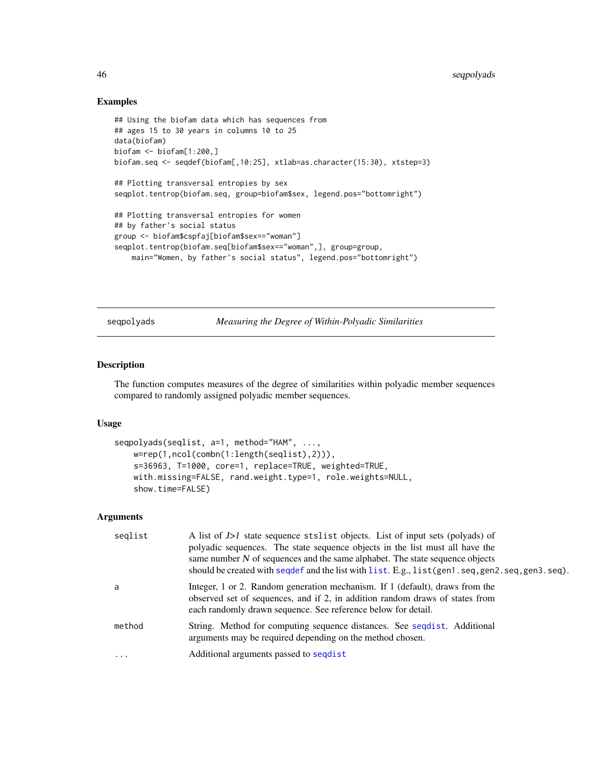#### Examples

```
## Using the biofam data which has sequences from
## ages 15 to 30 years in columns 10 to 25
data(biofam)
biofam <- biofam[1:200,]
biofam.seq <- seqdef(biofam[,10:25], xtlab=as.character(15:30), xtstep=3)
## Plotting transversal entropies by sex
seqplot.tentrop(biofam.seq, group=biofam$sex, legend.pos="bottomright")
## Plotting transversal entropies for women
## by father's social status
group <- biofam$cspfaj[biofam$sex=="woman"]
seqplot.tentrop(biofam.seq[biofam$sex=="woman",], group=group,
    main="Women, by father's social status", legend.pos="bottomright")
```
seqpolyads *Measuring the Degree of Within-Polyadic Similarities*

#### Description

The function computes measures of the degree of similarities within polyadic member sequences compared to randomly assigned polyadic member sequences.

#### Usage

```
seqpolyads(seqlist, a=1, method="HAM", ...,
   w=rep(1,ncol(combn(1:length(seqlist),2))),
   s=36963, T=1000, core=1, replace=TRUE, weighted=TRUE,
   with.missing=FALSE, rand.weight.type=1, role.weights=NULL,
   show.time=FALSE)
```

| seglist                 | A list of J>1 state sequence stslist objects. List of input sets (polyads) of<br>polyadic sequences. The state sequence objects in the list must all have the<br>same number $N$ of sequences and the same alphabet. The state sequence objects<br>should be created with seqdef and the list with list. E.g., list (gen1.seq, gen2.seq, gen3.seq). |
|-------------------------|-----------------------------------------------------------------------------------------------------------------------------------------------------------------------------------------------------------------------------------------------------------------------------------------------------------------------------------------------------|
| a                       | Integer, 1 or 2. Random generation mechanism. If 1 (default), draws from the<br>observed set of sequences, and if 2, in addition random draws of states from<br>each randomly drawn sequence. See reference below for detail.                                                                                                                       |
| method                  | String. Method for computing sequence distances. See seguist. Additional<br>arguments may be required depending on the method chosen.                                                                                                                                                                                                               |
| $\cdot$ $\cdot$ $\cdot$ | Additional arguments passed to segdist                                                                                                                                                                                                                                                                                                              |

<span id="page-45-0"></span>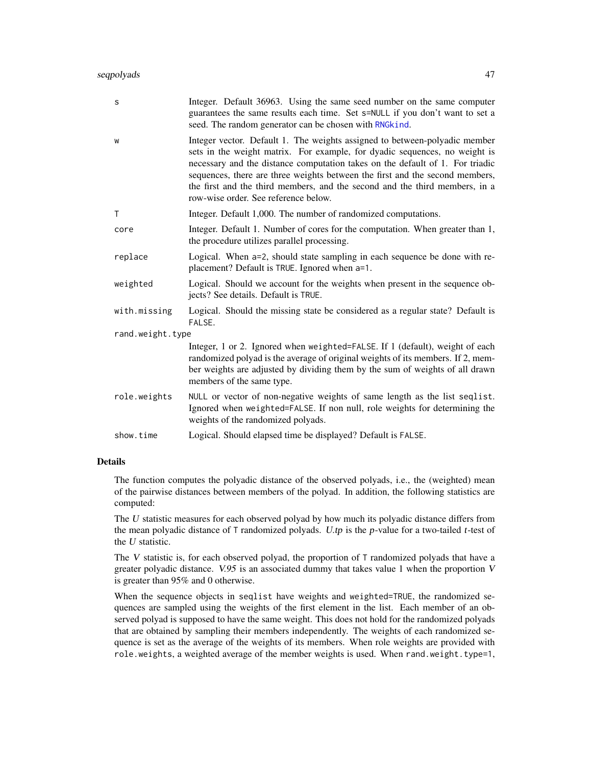## <span id="page-46-0"></span>seqpolyads and the sequence of  $\sim$  47

| s                | Integer. Default 36963. Using the same seed number on the same computer<br>guarantees the same results each time. Set s=NULL if you don't want to set a<br>seed. The random generator can be chosen with RNGkind.                                                                                                                                                                                                                                |  |
|------------------|--------------------------------------------------------------------------------------------------------------------------------------------------------------------------------------------------------------------------------------------------------------------------------------------------------------------------------------------------------------------------------------------------------------------------------------------------|--|
| W                | Integer vector. Default 1. The weights assigned to between-polyadic member<br>sets in the weight matrix. For example, for dyadic sequences, no weight is<br>necessary and the distance computation takes on the default of 1. For triadic<br>sequences, there are three weights between the first and the second members,<br>the first and the third members, and the second and the third members, in a<br>row-wise order. See reference below. |  |
| Т                | Integer. Default 1,000. The number of randomized computations.                                                                                                                                                                                                                                                                                                                                                                                   |  |
| core             | Integer. Default 1. Number of cores for the computation. When greater than 1,<br>the procedure utilizes parallel processing.                                                                                                                                                                                                                                                                                                                     |  |
| replace          | Logical. When a=2, should state sampling in each sequence be done with re-<br>placement? Default is TRUE. Ignored when a=1.                                                                                                                                                                                                                                                                                                                      |  |
| weighted         | Logical. Should we account for the weights when present in the sequence ob-<br>jects? See details. Default is TRUE.                                                                                                                                                                                                                                                                                                                              |  |
| with.missing     | Logical. Should the missing state be considered as a regular state? Default is<br>FALSE.                                                                                                                                                                                                                                                                                                                                                         |  |
| rand.weight.type |                                                                                                                                                                                                                                                                                                                                                                                                                                                  |  |
|                  | Integer, 1 or 2. Ignored when weighted=FALSE. If 1 (default), weight of each<br>randomized polyad is the average of original weights of its members. If 2, mem-<br>ber weights are adjusted by dividing them by the sum of weights of all drawn<br>members of the same type.                                                                                                                                                                     |  |
| role.weights     | NULL or vector of non-negative weights of same length as the list seqlist.<br>Ignored when weighted=FALSE. If non null, role weights for determining the<br>weights of the randomized polyads.                                                                                                                                                                                                                                                   |  |
| show.time        | Logical. Should elapsed time be displayed? Default is FALSE.                                                                                                                                                                                                                                                                                                                                                                                     |  |

## Details

The function computes the polyadic distance of the observed polyads, i.e., the (weighted) mean of the pairwise distances between members of the polyad. In addition, the following statistics are computed:

The U statistic measures for each observed polyad by how much its polyadic distance differs from the mean polyadic distance of  $\text{T}$  randomized polyads. U.tp is the p-value for a two-tailed t-test of the U statistic.

The V statistic is, for each observed polyad, the proportion of T randomized polyads that have a greater polyadic distance.  $V.95$  is an associated dummy that takes value 1 when the proportion V is greater than 95% and 0 otherwise.

When the sequence objects in seqlist have weights and weighted=TRUE, the randomized sequences are sampled using the weights of the first element in the list. Each member of an observed polyad is supposed to have the same weight. This does not hold for the randomized polyads that are obtained by sampling their members independently. The weights of each randomized sequence is set as the average of the weights of its members. When role weights are provided with role.weights, a weighted average of the member weights is used. When rand.weight.type=1,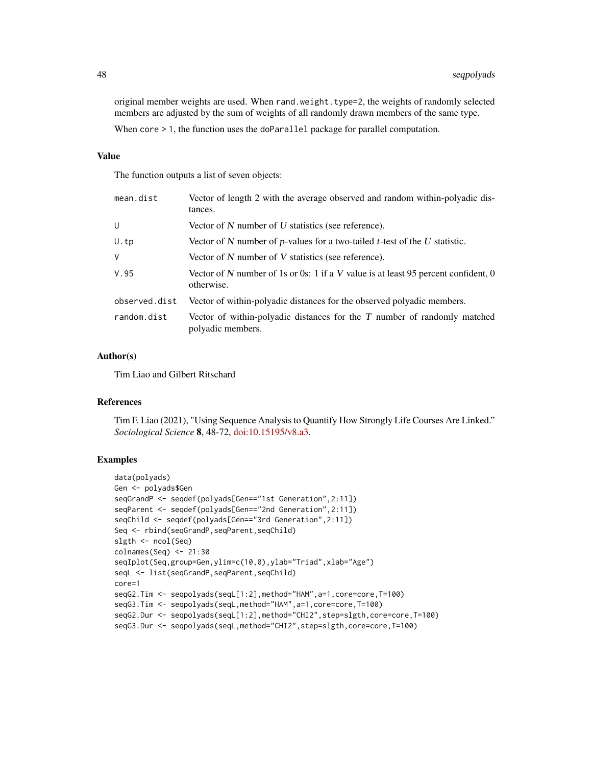original member weights are used. When rand.weight.type=2, the weights of randomly selected members are adjusted by the sum of weights of all randomly drawn members of the same type. When core  $> 1$ , the function uses the doParallel package for parallel computation.

#### Value

The function outputs a list of seven objects:

| mean.dist     | Vector of length 2 with the average observed and random within-polyadic dis-<br>tances.          |
|---------------|--------------------------------------------------------------------------------------------------|
| U             | Vector of N number of U statistics (see reference).                                              |
| U.tp          | Vector of N number of p-values for a two-tailed t-test of the U statistic.                       |
| V             | Vector of N number of V statistics (see reference).                                              |
| V.95          | Vector of N number of 1s or 0s: 1 if a V value is at least 95 percent confident, 0<br>otherwise. |
| observed.dist | Vector of within-polyadic distances for the observed polyadic members.                           |
| random.dist   | Vector of within-polyadic distances for the $T$ number of randomly matched<br>polyadic members.  |

## Author(s)

Tim Liao and Gilbert Ritschard

#### References

Tim F. Liao (2021), "Using Sequence Analysis to Quantify How Strongly Life Courses Are Linked." *Sociological Science* 8, 48-72, [doi:10.15195/v8.a3.](https://doi.org/10.15195/v8.a3)

#### Examples

```
data(polyads)
Gen <- polyads$Gen
seqGrandP <- seqdef(polyads[Gen=="1st Generation",2:11])
seqParent <- seqdef(polyads[Gen=="2nd Generation",2:11])
seqChild <- seqdef(polyads[Gen=="3rd Generation",2:11])
Seq <- rbind(seqGrandP,seqParent,seqChild)
slgth <- ncol(Seq)
colnames(Seq) <- 21:30
seqIplot(Seq,group=Gen,ylim=c(10,0),ylab="Triad",xlab="Age")
seqL <- list(seqGrandP,seqParent,seqChild)
core=1
seqG2.Tim <- seqpolyads(seqL[1:2],method="HAM",a=1,core=core,T=100)
seqG3.Tim <- seqpolyads(seqL,method="HAM",a=1,core=core,T=100)
seqG2.Dur <- seqpolyads(seqL[1:2],method="CHI2",step=slgth,core=core,T=100)
seqG3.Dur <- seqpolyads(seqL,method="CHI2",step=slgth,core=core,T=100)
```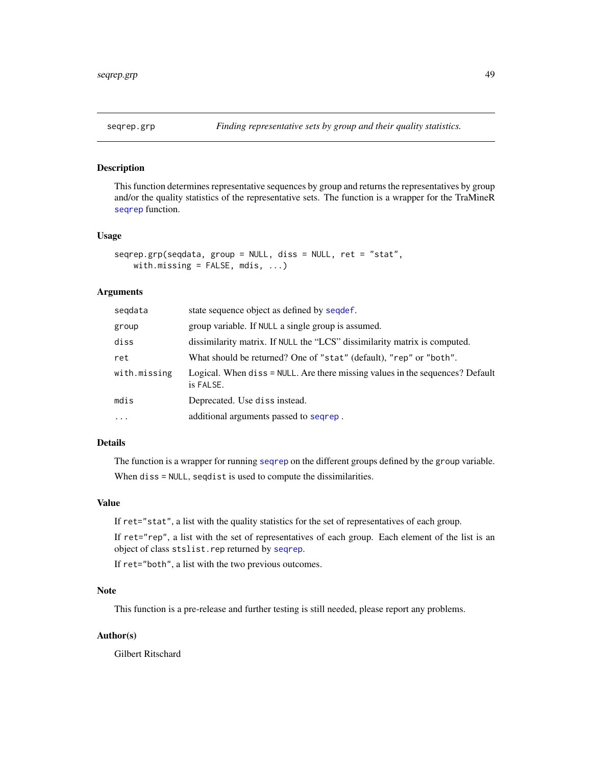<span id="page-48-0"></span>

This function determines representative sequences by group and returns the representatives by group and/or the quality statistics of the representative sets. The function is a wrapper for the TraMineR [seqrep](#page-0-0) function.

#### Usage

```
seqrep.grp(seqdata, group = NULL, diss = NULL, ret = "stat",
   with.missing = FALSE, mdis, ...)
```
## Arguments

| segdata      | state sequence object as defined by sequef.                                                |
|--------------|--------------------------------------------------------------------------------------------|
| group        | group variable. If NULL a single group is assumed.                                         |
| diss         | dissimilarity matrix. If NULL the "LCS" dissimilarity matrix is computed.                  |
| ret          | What should be returned? One of "stat" (default), "rep" or "both".                         |
| with.missing | Logical. When diss = NULL. Are there missing values in the sequences? Default<br>is FALSE. |
| mdis         | Deprecated. Use diss instead.                                                              |
| $\ddotsc$    | additional arguments passed to sequep.                                                     |
|              |                                                                                            |

## Details

The function is a wrapper for running [seqrep](#page-0-0) on the different groups defined by the group variable. When diss = NULL, seqdist is used to compute the dissimilarities.

#### Value

If ret="stat", a list with the quality statistics for the set of representatives of each group.

If ret="rep", a list with the set of representatives of each group. Each element of the list is an object of class stslist.rep returned by [seqrep](#page-0-0).

If ret="both", a list with the two previous outcomes.

## Note

This function is a pre-release and further testing is still needed, please report any problems.

#### Author(s)

Gilbert Ritschard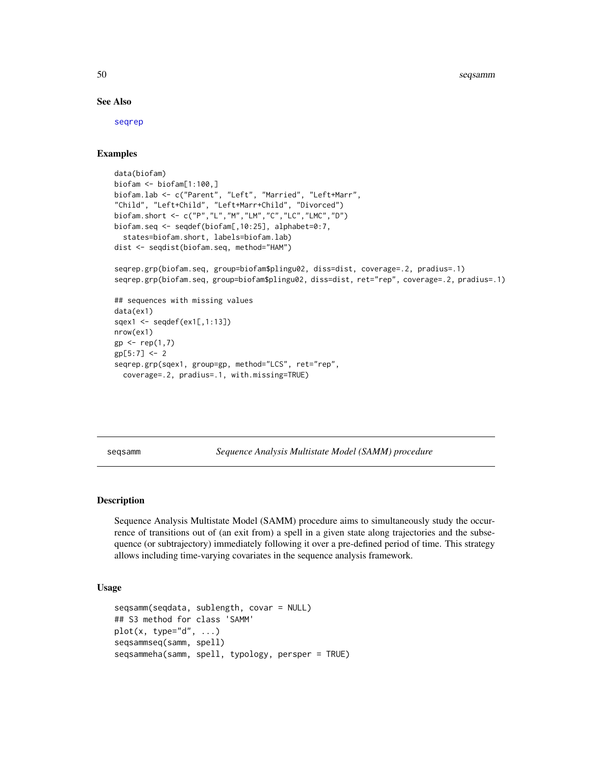#### See Also

[seqrep](#page-0-0)

## Examples

```
data(biofam)
biofam <- biofam[1:100,]
biofam.lab <- c("Parent", "Left", "Married", "Left+Marr",
"Child", "Left+Child", "Left+Marr+Child", "Divorced")
biofam.short <- c("P","L","M","LM","C","LC","LMC","D")
biofam.seq <- seqdef(biofam[,10:25], alphabet=0:7,
  states=biofam.short, labels=biofam.lab)
dist <- seqdist(biofam.seq, method="HAM")
seqrep.grp(biofam.seq, group=biofam$plingu02, diss=dist, coverage=.2, pradius=.1)
seqrep.grp(biofam.seq, group=biofam$plingu02, diss=dist, ret="rep", coverage=.2, pradius=.1)
## sequences with missing values
data(ex1)
sqex1 <- seqdef(ex1[,1:13])
nrow(ex1)
gp \leftarrow rep(1,7)gp[5:7] < -2seqrep.grp(sqex1, group=gp, method="LCS", ret="rep",
  coverage=.2, pradius=.1, with.missing=TRUE)
```
<span id="page-49-1"></span>seqsamm *Sequence Analysis Multistate Model (SAMM) procedure*

## **Description**

Sequence Analysis Multistate Model (SAMM) procedure aims to simultaneously study the occurrence of transitions out of (an exit from) a spell in a given state along trajectories and the subsequence (or subtrajectory) immediately following it over a pre-defined period of time. This strategy allows including time-varying covariates in the sequence analysis framework.

## Usage

```
seqsamm(seqdata, sublength, covar = NULL)
## S3 method for class 'SAMM'
plot(x, type='d", ...)seqsammseq(samm, spell)
seqsammeha(samm, spell, typology, persper = TRUE)
```
<span id="page-49-0"></span>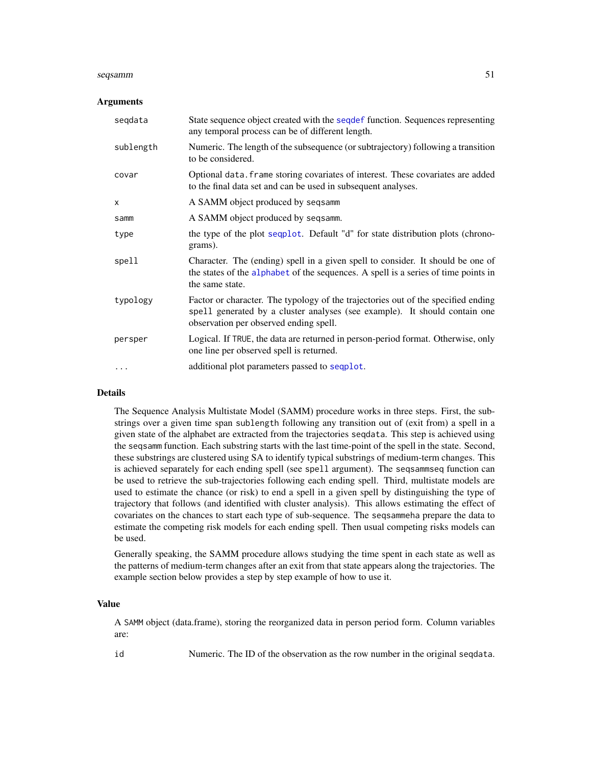#### <span id="page-50-0"></span>seqsamm 51

#### Arguments

| segdata   | State sequence object created with the sequered function. Sequences representing<br>any temporal process can be of different length.                                                                      |
|-----------|-----------------------------------------------------------------------------------------------------------------------------------------------------------------------------------------------------------|
| sublength | Numeric. The length of the subsequence (or subtrajectory) following a transition<br>to be considered.                                                                                                     |
| covar     | Optional data. frame storing covariates of interest. These covariates are added<br>to the final data set and can be used in subsequent analyses.                                                          |
| X         | A SAMM object produced by seqsamm                                                                                                                                                                         |
| samm      | A SAMM object produced by seqsamm.                                                                                                                                                                        |
| type      | the type of the plot sequent. Default "d" for state distribution plots (chrono-<br>grams).                                                                                                                |
| spell     | Character. The (ending) spell in a given spell to consider. It should be one of<br>the states of the alphabet of the sequences. A spell is a series of time points in<br>the same state.                  |
| typology  | Factor or character. The typology of the trajectories out of the specified ending<br>spell generated by a cluster analyses (see example). It should contain one<br>observation per observed ending spell. |
| persper   | Logical. If TRUE, the data are returned in person-period format. Otherwise, only<br>one line per observed spell is returned.                                                                              |
| .         | additional plot parameters passed to sequent.                                                                                                                                                             |

## Details

The Sequence Analysis Multistate Model (SAMM) procedure works in three steps. First, the substrings over a given time span sublength following any transition out of (exit from) a spell in a given state of the alphabet are extracted from the trajectories seqdata. This step is achieved using the seqsamm function. Each substring starts with the last time-point of the spell in the state. Second, these substrings are clustered using SA to identify typical substrings of medium-term changes. This is achieved separately for each ending spell (see spell argument). The seqsammseq function can be used to retrieve the sub-trajectories following each ending spell. Third, multistate models are used to estimate the chance (or risk) to end a spell in a given spell by distinguishing the type of trajectory that follows (and identified with cluster analysis). This allows estimating the effect of covariates on the chances to start each type of sub-sequence. The seqsammeha prepare the data to estimate the competing risk models for each ending spell. Then usual competing risks models can be used.

Generally speaking, the SAMM procedure allows studying the time spent in each state as well as the patterns of medium-term changes after an exit from that state appears along the trajectories. The example section below provides a step by step example of how to use it.

#### Value

A SAMM object (data.frame), storing the reorganized data in person period form. Column variables are:

id Numeric. The ID of the observation as the row number in the original seqdata.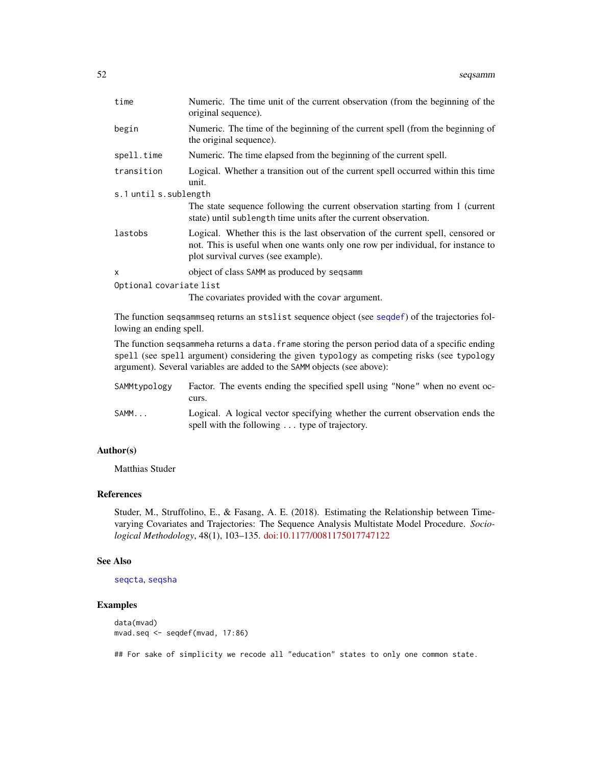<span id="page-51-0"></span>

| time                    | Numeric. The time unit of the current observation (from the beginning of the<br>original sequence).                                                                                                       |
|-------------------------|-----------------------------------------------------------------------------------------------------------------------------------------------------------------------------------------------------------|
| begin                   | Numeric. The time of the beginning of the current spell (from the beginning of<br>the original sequence).                                                                                                 |
| spell.time              | Numeric. The time elapsed from the beginning of the current spell.                                                                                                                                        |
| transition              | Logical. Whether a transition out of the current spell occurred within this time<br>unit.                                                                                                                 |
| s.1 until s.sublength   |                                                                                                                                                                                                           |
|                         | The state sequence following the current observation starting from 1 (current<br>state) until sublength time units after the current observation.                                                         |
| lastobs                 | Logical. Whether this is the last observation of the current spell, censored or<br>not. This is useful when one wants only one row per individual, for instance to<br>plot survival curves (see example). |
| $\mathsf{x}$            | object of class SAMM as produced by seqsamm                                                                                                                                                               |
| Optional covariate list |                                                                                                                                                                                                           |
|                         | The covariates provided with the covar argument.                                                                                                                                                          |
| lowing an ending spell. | The function seqsammseq returns an stslist sequence object (see seqdef) of the trajectories fol-                                                                                                          |
|                         | The function seqsammeha returns a data. frame storing the person period data of a specific ending                                                                                                         |

spell (see spell argument) considering the given typology as competing risks (see typology argument). Several variables are added to the SAMM objects (see above):

| SAMMtvpologv | Factor. The events ending the specified spell using "None" when no event oc-<br>curs.                                          |
|--------------|--------------------------------------------------------------------------------------------------------------------------------|
| SAMM         | Logical. A logical vector specifying whether the current observation ends the<br>spell with the following  type of trajectory. |

## Author(s)

Matthias Studer

## References

Studer, M., Struffolino, E., & Fasang, A. E. (2018). Estimating the Relationship between Timevarying Covariates and Trajectories: The Sequence Analysis Multistate Model Procedure. *Sociological Methodology*, 48(1), 103–135. [doi:10.1177/0081175017747122](https://doi.org/10.1177/0081175017747122)

## See Also

[seqcta](#page-21-1), [seqsha](#page-53-1)

## Examples

```
data(mvad)
mvad.seq <- seqdef(mvad, 17:86)
```
## For sake of simplicity we recode all "education" states to only one common state.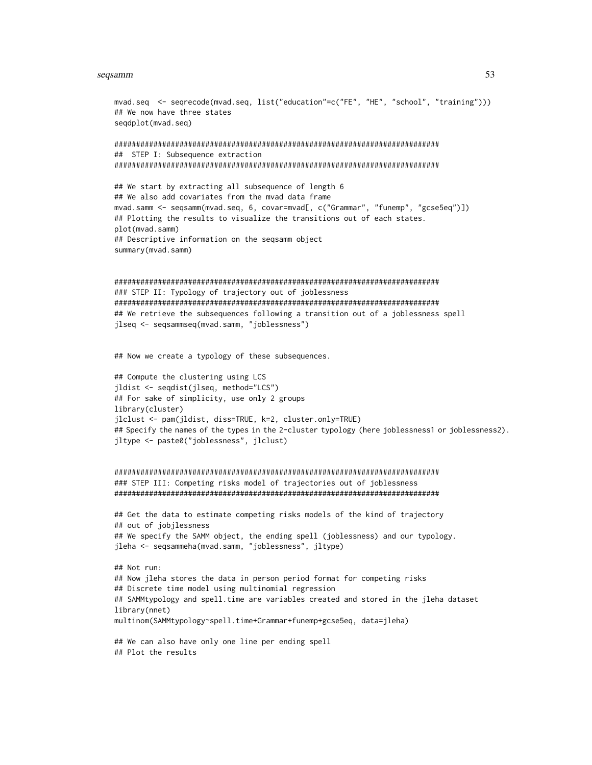#### seqsamm 53

```
mvad.seq <- seqrecode(mvad.seq, list("education"=c("FE", "HE", "school", "training")))
## We now have three states
seqdplot(mvad.seq)
###########################################################################
## STEP I: Subsequence extraction
###########################################################################
## We start by extracting all subsequence of length 6
## We also add covariates from the mvad data frame
mvad.samm <- seqsamm(mvad.seq, 6, covar=mvad[, c("Grammar", "funemp", "gcse5eq")])
## Plotting the results to visualize the transitions out of each states.
plot(mvad.samm)
## Descriptive information on the seqsamm object
summary(mvad.samm)
###########################################################################
### STEP II: Typology of trajectory out of joblessness
###########################################################################
## We retrieve the subsequences following a transition out of a joblessness spell
jlseq <- seqsammseq(mvad.samm, "joblessness")
## Now we create a typology of these subsequences.
## Compute the clustering using LCS
jldist <- seqdist(jlseq, method="LCS")
## For sake of simplicity, use only 2 groups
library(cluster)
jlclust <- pam(jldist, diss=TRUE, k=2, cluster.only=TRUE)
## Specify the names of the types in the 2-cluster typology (here joblessness1 or joblessness2).
jltype <- paste0("joblessness", jlclust)
###########################################################################
### STEP III: Competing risks model of trajectories out of joblessness
###########################################################################
## Get the data to estimate competing risks models of the kind of trajectory
## out of jobjlessness
## We specify the SAMM object, the ending spell (joblessness) and our typology.
jleha <- seqsammeha(mvad.samm, "joblessness", jltype)
## Not run:
## Now jleha stores the data in person period format for competing risks
## Discrete time model using multinomial regression
## SAMMtypology and spell.time are variables created and stored in the jleha dataset
library(nnet)
multinom(SAMMtypology~spell.time+Grammar+funemp+gcse5eq, data=jleha)
## We can also have only one line per ending spell
## Plot the results
```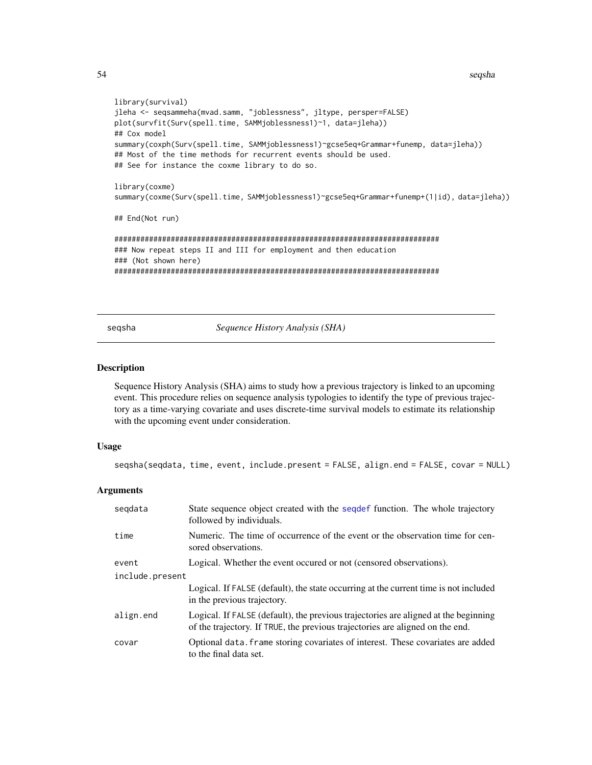54 seqsha

```
library(survival)
jleha <- seqsammeha(mvad.samm, "joblessness", jltype, persper=FALSE)
plot(survfit(Surv(spell.time, SAMMjoblessness1)~1, data=jleha))
## Cox model
summary(coxph(Surv(spell.time, SAMMjoblessness1)~gcse5eq+Grammar+funemp, data=jleha))
## Most of the time methods for recurrent events should be used.
## See for instance the coxme library to do so.
library(coxme)
summary(coxme(Surv(spell.time, SAMMjoblessness1)~gcse5eq+Grammar+funemp+(1|id), data=jleha))
## End(Not run)
###########################################################################
### Now repeat steps II and III for employment and then education
### (Not shown here)
###########################################################################
```
<span id="page-53-1"></span>seqsha *Sequence History Analysis (SHA)*

#### Description

Sequence History Analysis (SHA) aims to study how a previous trajectory is linked to an upcoming event. This procedure relies on sequence analysis typologies to identify the type of previous trajectory as a time-varying covariate and uses discrete-time survival models to estimate its relationship with the upcoming event under consideration.

#### Usage

seqsha(seqdata, time, event, include.present = FALSE, align.end = FALSE, covar = NULL)

| segdata         | State sequence object created with the sequent function. The whole trajectory<br>followed by individuals.                                                            |  |
|-----------------|----------------------------------------------------------------------------------------------------------------------------------------------------------------------|--|
| time            | Numeric. The time of occurrence of the event or the observation time for cen-<br>sored observations.                                                                 |  |
| event           | Logical. Whether the event occurred or not (censored observations).                                                                                                  |  |
| include.present |                                                                                                                                                                      |  |
|                 | Logical. If FALSE (default), the state occurring at the current time is not included<br>in the previous trajectory.                                                  |  |
| align.end       | Logical. If FALSE (default), the previous trajectories are aligned at the beginning<br>of the trajectory. If TRUE, the previous trajectories are aligned on the end. |  |
| covar           | Optional data. Frame storing covariates of interest. These covariates are added<br>to the final data set.                                                            |  |

<span id="page-53-0"></span>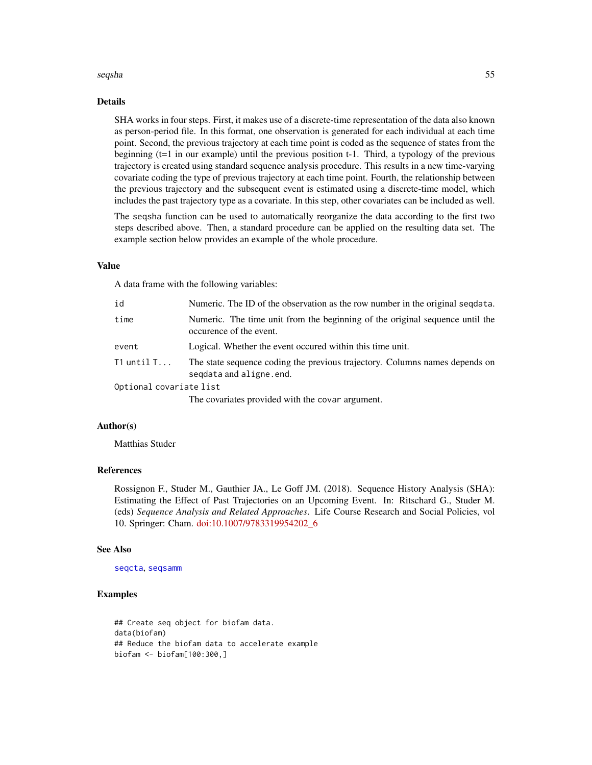#### <span id="page-54-0"></span>seqsha 55

#### Details

SHA works in four steps. First, it makes use of a discrete-time representation of the data also known as person-period file. In this format, one observation is generated for each individual at each time point. Second, the previous trajectory at each time point is coded as the sequence of states from the beginning (t=1 in our example) until the previous position t-1. Third, a typology of the previous trajectory is created using standard sequence analysis procedure. This results in a new time-varying covariate coding the type of previous trajectory at each time point. Fourth, the relationship between the previous trajectory and the subsequent event is estimated using a discrete-time model, which includes the past trajectory type as a covariate. In this step, other covariates can be included as well.

The seqsha function can be used to automatically reorganize the data according to the first two steps described above. Then, a standard procedure can be applied on the resulting data set. The example section below provides an example of the whole procedure.

## Value

A data frame with the following variables:

| id                      | Numeric. The ID of the observation as the row number in the original segdata.                           |
|-------------------------|---------------------------------------------------------------------------------------------------------|
| time                    | Numeric. The time unit from the beginning of the original sequence until the<br>occurence of the event. |
| event                   | Logical. Whether the event occurred within this time unit.                                              |
| T1 until T              | The state sequence coding the previous trajectory. Columns names depends on<br>segdata and aligne.end.  |
| Optional covariate list |                                                                                                         |
|                         |                                                                                                         |

The covariates provided with the covar argument.

#### Author(s)

Matthias Studer

## References

Rossignon F., Studer M., Gauthier JA., Le Goff JM. (2018). Sequence History Analysis (SHA): Estimating the Effect of Past Trajectories on an Upcoming Event. In: Ritschard G., Studer M. (eds) *Sequence Analysis and Related Approaches*. Life Course Research and Social Policies, vol 10. Springer: Cham. [doi:10.1007/9783319954202\\_6](https://doi.org/10.1007/978-3-319-95420-2_6)

#### See Also

[seqcta](#page-21-1), [seqsamm](#page-49-1)

## Examples

## Create seq object for biofam data. data(biofam) ## Reduce the biofam data to accelerate example biofam <- biofam[100:300,]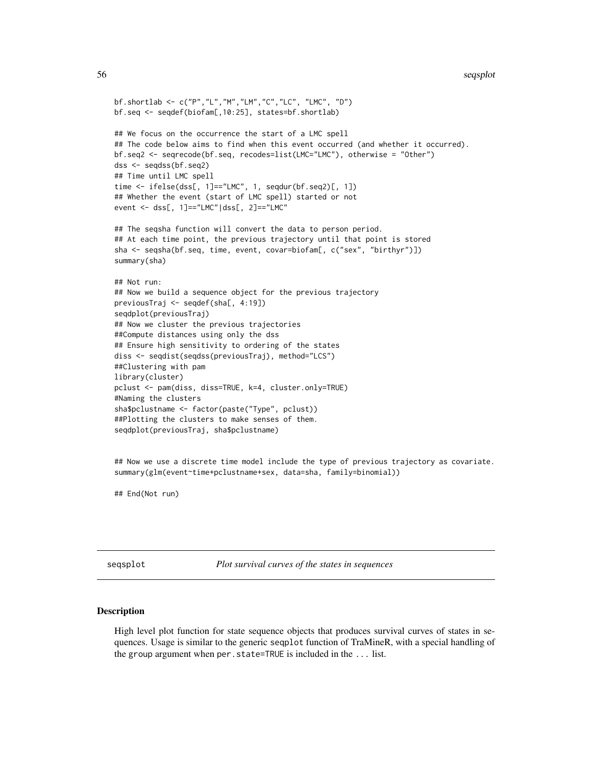```
bf.shortlab <- c("P","L","M","LM","C","LC", "LMC", "D")
bf.seq <- seqdef(biofam[,10:25], states=bf.shortlab)
## We focus on the occurrence the start of a LMC spell
## The code below aims to find when this event occurred (and whether it occurred).
bf.seq2 <- seqrecode(bf.seq, recodes=list(LMC="LMC"), otherwise = "Other")
dss <- seqdss(bf.seq2)
## Time until LMC spell
time <- ifelse(dss[, 1]=="LMC", 1, seqdur(bf.seq2)[, 1])
## Whether the event (start of LMC spell) started or not
event <- dss[, 1]=="LMC"|dss[, 2]=="LMC"
## The seqsha function will convert the data to person period.
## At each time point, the previous trajectory until that point is stored
sha <- seqsha(bf.seq, time, event, covar=biofam[, c("sex", "birthyr")])
summary(sha)
## Not run:
## Now we build a sequence object for the previous trajectory
previousTraj <- seqdef(sha[, 4:19])
seqdplot(previousTraj)
## Now we cluster the previous trajectories
##Compute distances using only the dss
## Ensure high sensitivity to ordering of the states
diss <- seqdist(seqdss(previousTraj), method="LCS")
##Clustering with pam
library(cluster)
pclust <- pam(diss, diss=TRUE, k=4, cluster.only=TRUE)
#Naming the clusters
sha$pclustname <- factor(paste("Type", pclust))
##Plotting the clusters to make senses of them.
seqdplot(previousTraj, sha$pclustname)
```
## Now we use a discrete time model include the type of previous trajectory as covariate. summary(glm(event~time+pclustname+sex, data=sha, family=binomial))

## End(Not run)

<span id="page-55-1"></span>seqsplot *Plot survival curves of the states in sequences*

#### **Description**

High level plot function for state sequence objects that produces survival curves of states in sequences. Usage is similar to the generic seqplot function of TraMineR, with a special handling of the group argument when per.state=TRUE is included in the ... list.

<span id="page-55-0"></span>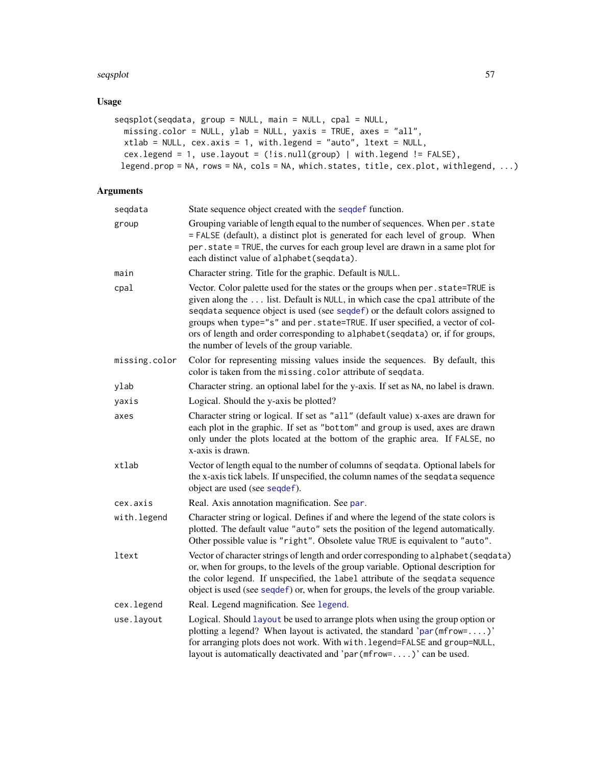#### <span id="page-56-0"></span>seqsplot 57

## Usage

```
seqsplot(seqdata, group = NULL, main = NULL, cpal = NULL,
 missing.color = NULL, ylab = NULL, yaxis = TRUE, axes = "all",
 xtlab = NULL, cex.axis = 1, with.legend = "auto", ltext = NULL,
 cex.legend = 1, use.layout = (!is.null(group) | with.legend != FALSE),
 legend.prop = NA, rows = NA, cols = NA, which.states, title, cex.plot, withlegend, ...)
```

| seqdata       | State sequence object created with the seqdef function.                                                                                                                                                                                                                                                                                                                                                                                                               |
|---------------|-----------------------------------------------------------------------------------------------------------------------------------------------------------------------------------------------------------------------------------------------------------------------------------------------------------------------------------------------------------------------------------------------------------------------------------------------------------------------|
| group         | Grouping variable of length equal to the number of sequences. When per.state<br>= FALSE (default), a distinct plot is generated for each level of group. When<br>per.state = TRUE, the curves for each group level are drawn in a same plot for<br>each distinct value of alphabet(seqdata).                                                                                                                                                                          |
| main          | Character string. Title for the graphic. Default is NULL.                                                                                                                                                                                                                                                                                                                                                                                                             |
| cpal          | Vector. Color palette used for the states or the groups when per. state=TRUE is<br>given along the  list. Default is NULL, in which case the cpal attribute of the<br>seqdata sequence object is used (see seqdef) or the default colors assigned to<br>groups when type="s" and per.state=TRUE. If user specified, a vector of col-<br>ors of length and order corresponding to alphabet (seqdata) or, if for groups,<br>the number of levels of the group variable. |
| missing.color | Color for representing missing values inside the sequences. By default, this<br>color is taken from the missing. color attribute of seqdata.                                                                                                                                                                                                                                                                                                                          |
| ylab          | Character string. an optional label for the y-axis. If set as NA, no label is drawn.                                                                                                                                                                                                                                                                                                                                                                                  |
| yaxis         | Logical. Should the y-axis be plotted?                                                                                                                                                                                                                                                                                                                                                                                                                                |
| axes          | Character string or logical. If set as "all" (default value) x-axes are drawn for<br>each plot in the graphic. If set as "bottom" and group is used, axes are drawn<br>only under the plots located at the bottom of the graphic area. If FALSE, no<br>x-axis is drawn.                                                                                                                                                                                               |
| xtlab         | Vector of length equal to the number of columns of seqdata. Optional labels for<br>the x-axis tick labels. If unspecified, the column names of the sequata sequence<br>object are used (see seqdef).                                                                                                                                                                                                                                                                  |
| cex.axis      | Real. Axis annotation magnification. See par.                                                                                                                                                                                                                                                                                                                                                                                                                         |
| with.legend   | Character string or logical. Defines if and where the legend of the state colors is<br>plotted. The default value "auto" sets the position of the legend automatically.<br>Other possible value is "right". Obsolete value TRUE is equivalent to "auto".                                                                                                                                                                                                              |
| ltext         | Vector of character strings of length and order corresponding to alphabet (seqdata)<br>or, when for groups, to the levels of the group variable. Optional description for<br>the color legend. If unspecified, the label attribute of the seqdata sequence<br>object is used (see seqdef) or, when for groups, the levels of the group variable.                                                                                                                      |
| cex.legend    | Real. Legend magnification. See legend.                                                                                                                                                                                                                                                                                                                                                                                                                               |
| use.layout    | Logical. Should layout be used to arrange plots when using the group option or<br>plotting a legend? When layout is activated, the standard ' $par(mfrow=')'$<br>for arranging plots does not work. With with. legend=FALSE and group=NULL,<br>layout is automatically deactivated and 'par $(mfrow=')$ ' can be used.                                                                                                                                                |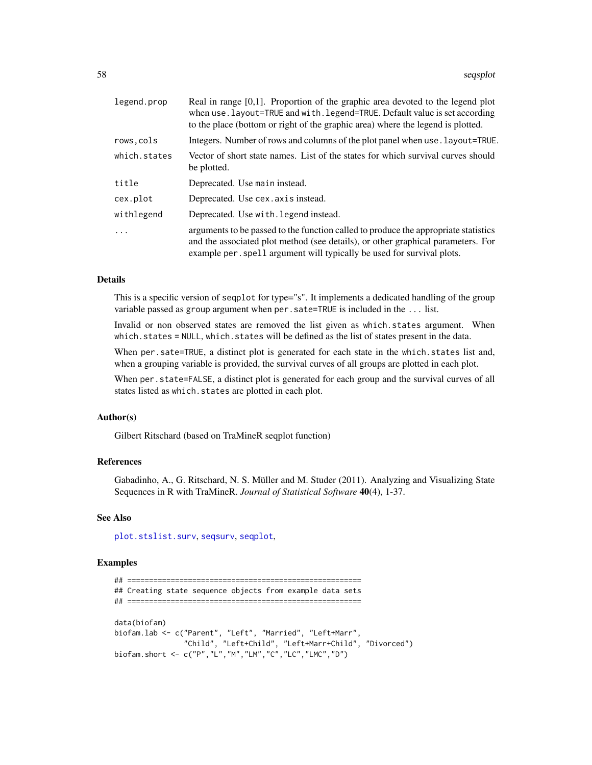<span id="page-57-0"></span>

| legend.prop  | Real in range $[0,1]$ . Proportion of the graphic area devoted to the legend plot<br>when use. layout=TRUE and with. legend=TRUE. Default value is set according<br>to the place (bottom or right of the graphic area) where the legend is plotted. |
|--------------|-----------------------------------------------------------------------------------------------------------------------------------------------------------------------------------------------------------------------------------------------------|
| rows,cols    | Integers. Number of rows and columns of the plot panel when use . Layout=TRUE.                                                                                                                                                                      |
| which.states | Vector of short state names. List of the states for which survival curves should<br>be plotted.                                                                                                                                                     |
| title        | Deprecated. Use main instead.                                                                                                                                                                                                                       |
| cex.plot     | Deprecated. Use cex. axis instead.                                                                                                                                                                                                                  |
| withlegend   | Deprecated. Use with legend instead.                                                                                                                                                                                                                |
| $\ddots$     | arguments to be passed to the function called to produce the appropriate statistics<br>and the associated plot method (see details), or other graphical parameters. For<br>example per spell argument will typically be used for survival plots.    |

#### Details

This is a specific version of seqplot for type="s". It implements a dedicated handling of the group variable passed as group argument when per.sate=TRUE is included in the ... list.

Invalid or non observed states are removed the list given as which.states argument. When which.states = NULL, which.states will be defined as the list of states present in the data.

When per.sate=TRUE, a distinct plot is generated for each state in the which. states list and, when a grouping variable is provided, the survival curves of all groups are plotted in each plot.

When per. state=FALSE, a distinct plot is generated for each group and the survival curves of all states listed as which.states are plotted in each plot.

#### Author(s)

Gilbert Ritschard (based on TraMineR seqplot function)

## References

Gabadinho, A., G. Ritschard, N. S. Müller and M. Studer (2011). Analyzing and Visualizing State Sequences in R with TraMineR. *Journal of Statistical Software* 40(4), 1-37.

#### See Also

[plot.stslist.surv](#page-14-1), [seqsurv](#page-59-1), [seqplot](#page-0-0),

## Examples

```
## ======================================================
## Creating state sequence objects from example data sets
## ======================================================
data(biofam)
biofam.lab <- c("Parent", "Left", "Married", "Left+Marr",
                "Child", "Left+Child", "Left+Marr+Child", "Divorced")
biofam.short <- c("P","L","M","LM","C","LC","LMC","D")
```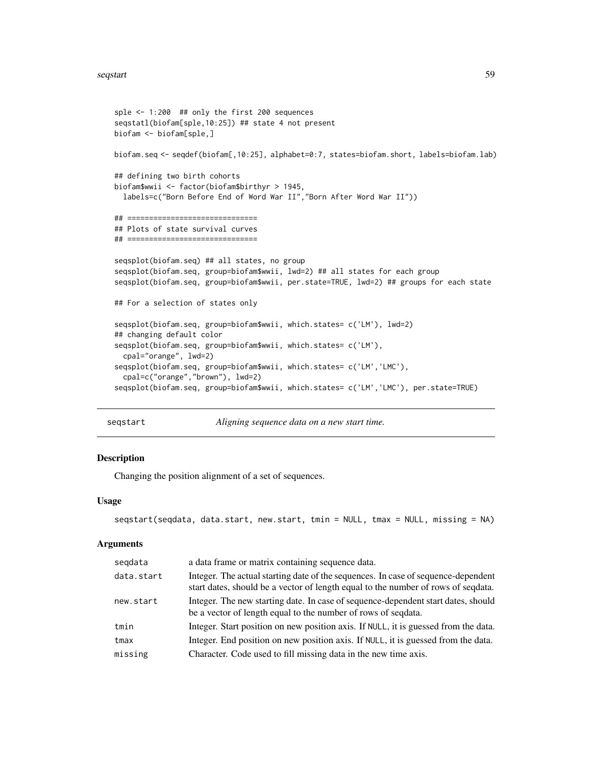```
sple <- 1:200 ## only the first 200 sequences
seqstatl(biofam[sple,10:25]) ## state 4 not present
biofam <- biofam[sple,]
biofam.seq <- seqdef(biofam[,10:25], alphabet=0:7, states=biofam.short, labels=biofam.lab)
## defining two birth cohorts
biofam$wwii <- factor(biofam$birthyr > 1945,
  labels=c("Born Before End of Word War II","Born After Word War II"))
## ==============================
## Plots of state survival curves
## ==============================
seqsplot(biofam.seq) ## all states, no group
seqsplot(biofam.seq, group=biofam$wwii, lwd=2) ## all states for each group
seqsplot(biofam.seq, group=biofam$wwii, per.state=TRUE, lwd=2) ## groups for each state
## For a selection of states only
seqsplot(biofam.seq, group=biofam$wwii, which.states= c('LM'), lwd=2)
## changing default color
seqsplot(biofam.seq, group=biofam$wwii, which.states= c('LM'),
  cpal="orange", lwd=2)
seqsplot(biofam.seq, group=biofam$wwii, which.states= c('LM','LMC'),
  cpal=c("orange","brown"), lwd=2)
seqsplot(biofam.seq, group=biofam$wwii, which.states= c('LM','LMC'), per.state=TRUE)
```
seqstart *Aligning sequence data on a new start time.*

#### Description

Changing the position alignment of a set of sequences.

#### Usage

```
seqstart(seqdata, data.start, new.start, tmin = NULL, tmax = NULL, missing = NA)
```

| segdata    | a data frame or matrix containing sequence data.                                                                                                                       |
|------------|------------------------------------------------------------------------------------------------------------------------------------------------------------------------|
| data.start | Integer. The actual starting date of the sequences. In case of sequence-dependent<br>start dates, should be a vector of length equal to the number of rows of sequata. |
| new.start  | Integer. The new starting date. In case of sequence-dependent start dates, should<br>be a vector of length equal to the number of rows of sequata.                     |
| tmin       | Integer. Start position on new position axis. If NULL, it is guessed from the data.                                                                                    |
| tmax       | Integer. End position on new position axis. If NULL, it is guessed from the data.                                                                                      |
| missing    | Character. Code used to fill missing data in the new time axis.                                                                                                        |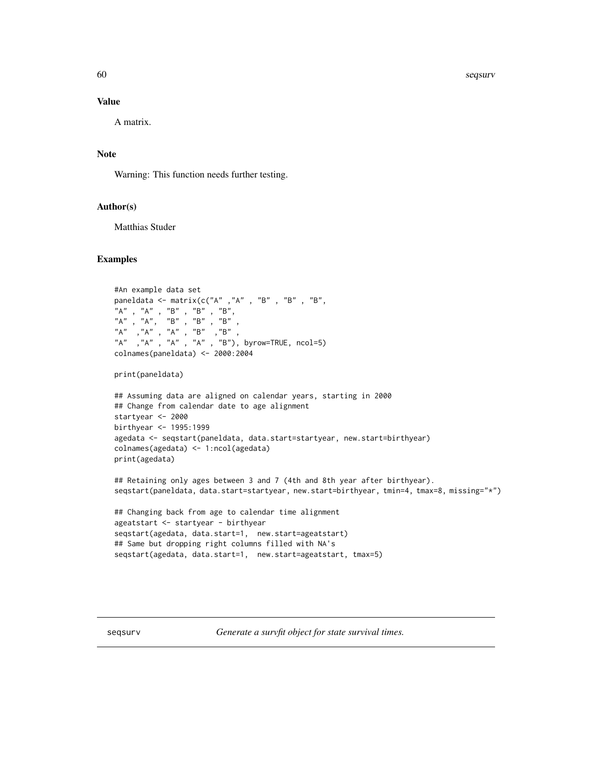<span id="page-59-0"></span>60 seqsurv

#### Value

A matrix.

## Note

Warning: This function needs further testing.

## Author(s)

Matthias Studer

#### Examples

```
#An example data set
paneldata <- matrix(c("A" , "A" , "B" , "B" , "B" , "B""A" , "A" , "B" , "B" , "B",
"A" , "A", "B" , "B" , "B" ,
"A" ,"A" , "A" , "B" ,"B" ,
"A" ,"A" , "A" , "A" , "B"), byrow=TRUE, ncol=5)
colnames(paneldata) <- 2000:2004
print(paneldata)
## Assuming data are aligned on calendar years, starting in 2000
## Change from calendar date to age alignment
startyear <- 2000
birthyear <- 1995:1999
agedata <- seqstart(paneldata, data.start=startyear, new.start=birthyear)
colnames(agedata) <- 1:ncol(agedata)
print(agedata)
## Retaining only ages between 3 and 7 (4th and 8th year after birthyear).
seqstart(paneldata, data.start=startyear, new.start=birthyear, tmin=4, tmax=8, missing="*")
## Changing back from age to calendar time alignment
```

```
ageatstart <- startyear - birthyear
seqstart(agedata, data.start=1, new.start=ageatstart)
## Same but dropping right columns filled with NA's
seqstart(agedata, data.start=1, new.start=ageatstart, tmax=5)
```
<span id="page-59-1"></span>seqsurv *Generate a survfit object for state survival times.*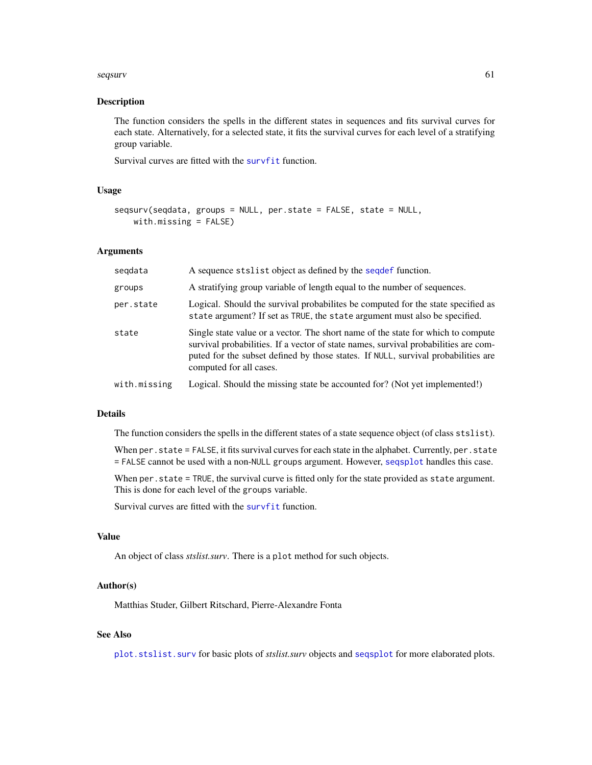#### <span id="page-60-0"></span>seqsurv 61

#### Description

The function considers the spells in the different states in sequences and fits survival curves for each state. Alternatively, for a selected state, it fits the survival curves for each level of a stratifying group variable.

Survival curves are fitted with the [survfit](#page-0-0) function.

## Usage

```
seqsurv(seqdata, groups = NULL, per.state = FALSE, state = NULL,
   with.missing = FALSE)
```
#### Arguments

| segdata      | A sequence stslist object as defined by the sequelef function.                                                                                                                                                                                                                          |
|--------------|-----------------------------------------------------------------------------------------------------------------------------------------------------------------------------------------------------------------------------------------------------------------------------------------|
| groups       | A stratifying group variable of length equal to the number of sequences.                                                                                                                                                                                                                |
| per.state    | Logical. Should the survival probabilities be computed for the state specified as<br>state argument? If set as TRUE, the state argument must also be specified.                                                                                                                         |
| state        | Single state value or a vector. The short name of the state for which to compute<br>survival probabilities. If a vector of state names, survival probabilities are com-<br>puted for the subset defined by those states. If NULL, survival probabilities are<br>computed for all cases. |
| with.missing | Logical. Should the missing state be accounted for? (Not yet implemented!)                                                                                                                                                                                                              |

#### Details

The function considers the spells in the different states of a state sequence object (of class stslist).

When per. state = FALSE, it fits survival curves for each state in the alphabet. Currently, per. state = FALSE cannot be used with a non-NULL groups argument. However, [seqsplot](#page-55-1) handles this case.

When per. state = TRUE, the survival curve is fitted only for the state provided as state argument. This is done for each level of the groups variable.

Survival curves are fitted with the [survfit](#page-0-0) function.

## Value

An object of class *stslist.surv*. There is a plot method for such objects.

#### Author(s)

Matthias Studer, Gilbert Ritschard, Pierre-Alexandre Fonta

#### See Also

[plot.stslist.surv](#page-14-1) for basic plots of *stslist.surv* objects and [seqsplot](#page-55-1) for more elaborated plots.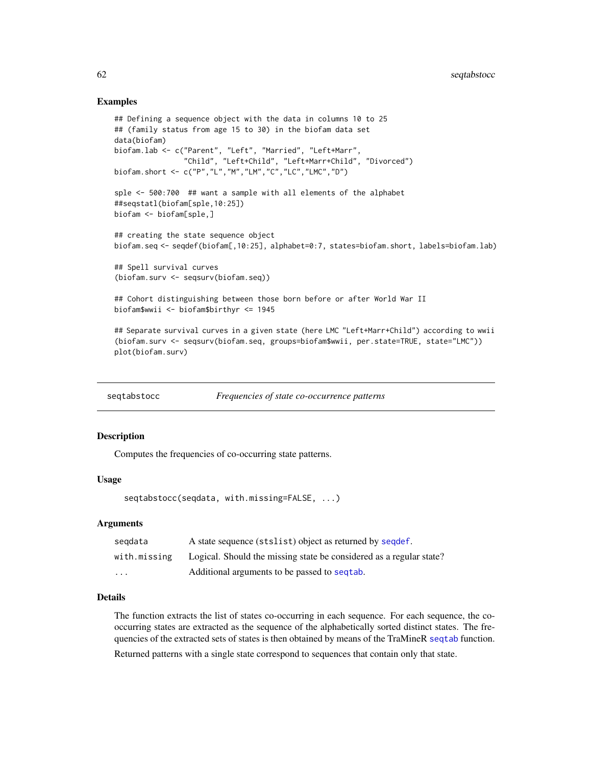#### <span id="page-61-0"></span>Examples

```
## Defining a sequence object with the data in columns 10 to 25
## (family status from age 15 to 30) in the biofam data set
data(biofam)
biofam.lab <- c("Parent", "Left", "Married", "Left+Marr",
                "Child", "Left+Child", "Left+Marr+Child", "Divorced")
biofam.short <- c("P","L","M","LM","C","LC","LMC","D")
sple <- 500:700 ## want a sample with all elements of the alphabet
##seqstatl(biofam[sple,10:25])
biofam <- biofam[sple,]
## creating the state sequence object
biofam.seq <- seqdef(biofam[,10:25], alphabet=0:7, states=biofam.short, labels=biofam.lab)
## Spell survival curves
(biofam.surv <- seqsurv(biofam.seq))
## Cohort distinguishing between those born before or after World War II
biofam$wwii <- biofam$birthyr <= 1945
## Separate survival curves in a given state (here LMC "Left+Marr+Child") according to wwii
(biofam.surv <- seqsurv(biofam.seq, groups=biofam$wwii, per.state=TRUE, state="LMC"))
```

```
plot(biofam.surv)
```

| seqtabstocc | Frequencies of state co-occurrence patterns |
|-------------|---------------------------------------------|
|-------------|---------------------------------------------|

#### Description

Computes the frequencies of co-occurring state patterns.

#### Usage

seqtabstocc(seqdata, with.missing=FALSE, ...)

## Arguments

| segdata      | A state sequence (stslist) object as returned by sequef.            |
|--------------|---------------------------------------------------------------------|
| with.missing | Logical. Should the missing state be considered as a regular state? |
| $\cdot$      | Additional arguments to be passed to sequal.                        |

## **Details**

The function extracts the list of states co-occurring in each sequence. For each sequence, the cooccurring states are extracted as the sequence of the alphabetically sorted distinct states. The frequencies of the extracted sets of states is then obtained by means of the TraMineR [seqtab](#page-0-0) function.

Returned patterns with a single state correspond to sequences that contain only that state.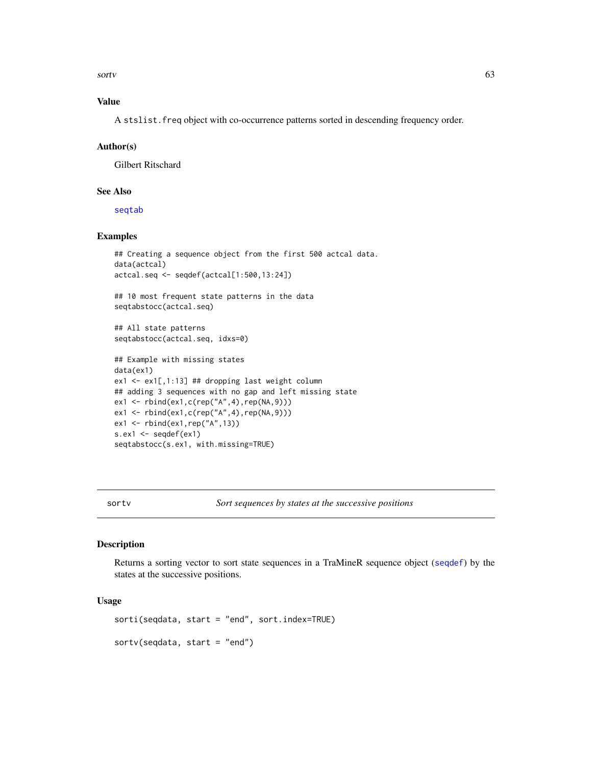<span id="page-62-0"></span>sortv the contract of the contract of the contract of the contract of the contract of the contract of the contract of the contract of the contract of the contract of the contract of the contract of the contract of the cont

## Value

A stslist.freq object with co-occurrence patterns sorted in descending frequency order.

#### Author(s)

Gilbert Ritschard

## See Also

[seqtab](#page-0-0)

## Examples

```
## Creating a sequence object from the first 500 actcal data.
data(actcal)
actcal.seq <- seqdef(actcal[1:500,13:24])
## 10 most frequent state patterns in the data
seqtabstocc(actcal.seq)
## All state patterns
seqtabstocc(actcal.seq, idxs=0)
## Example with missing states
data(ex1)
ex1 <- ex1[,1:13] ## dropping last weight column
## adding 3 sequences with no gap and left missing state
ex1 <- rbind(ex1,c(rep("A",4),rep(NA,9)))
ex1 <- rbind(ex1,c(rep("A",4),rep(NA,9)))
ex1 <- rbind(ex1,rep("A",13))
s.ex1 \leq - seqdef(ex1)
seqtabstocc(s.ex1, with.missing=TRUE)
```
sortv *Sort sequences by states at the successive positions*

#### Description

Returns a sorting vector to sort state sequences in a TraMineR sequence object ([seqdef](#page-0-0)) by the states at the successive positions.

## Usage

```
sorti(seqdata, start = "end", sort.index=TRUE)
sortv(seqdata, start = "end")
```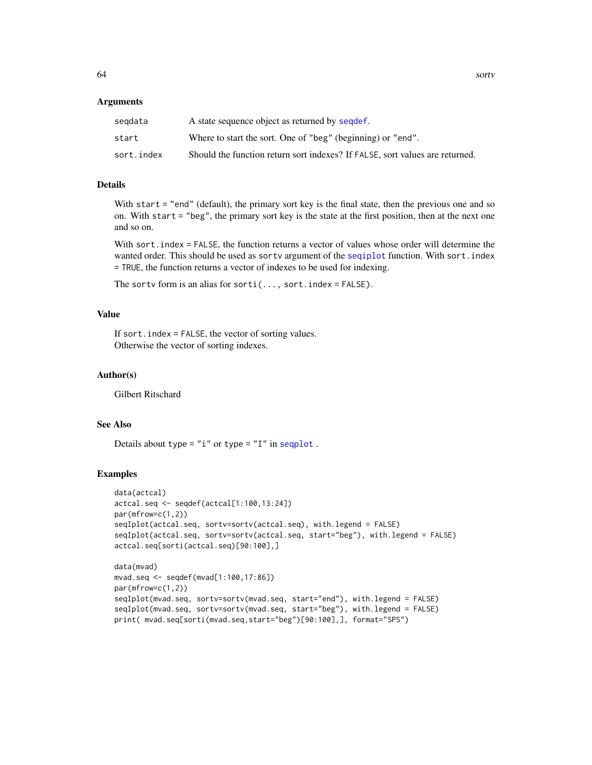#### <span id="page-63-0"></span>Arguments

| segdata    | A state sequence object as returned by sequef.                               |
|------------|------------------------------------------------------------------------------|
| start      | Where to start the sort. One of "beg" (beginning) or "end".                  |
| sort.index | Should the function return sort indexes? If FALSE, sort values are returned. |

## Details

With start = "end" (default), the primary sort key is the final state, then the previous one and so on. With start = "beg", the primary sort key is the state at the first position, then at the next one and so on.

With sort.index = FALSE, the function returns a vector of values whose order will determine the wanted order. This should be used as sortv argument of the [seqiplot](#page-0-0) function. With sort.index = TRUE, the function returns a vector of indexes to be used for indexing.

The sortv form is an alias for sorti $(...,$  sort.index = FALSE).

## Value

If sort.index = FALSE, the vector of sorting values. Otherwise the vector of sorting indexes.

#### Author(s)

Gilbert Ritschard

## See Also

Details about type =  $"i"$  or type =  $"I"$  in [seqplot](#page-0-0).

#### Examples

```
data(actcal)
actcal.seq <- seqdef(actcal[1:100,13:24])
par(mfrow=c(1,2))
seqIplot(actcal.seq, sortv=sortv(actcal.seq), with.legend = FALSE)
seqIplot(actcal.seq, sortv=sortv(actcal.seq, start="beg"), with.legend = FALSE)
actcal.seq[sorti(actcal.seq)[90:100],]
```

```
data(mvad)
mvad.seq <- seqdef(mvad[1:100,17:86])
par(mfrow=c(1,2))
seqIplot(mvad.seq, sortv=sortv(mvad.seq, start="end"), with.legend = FALSE)
seqIplot(mvad.seq, sortv=sortv(mvad.seq, start="beg"), with.legend = FALSE)
print( mvad.seq[sorti(mvad.seq,start="beg")[90:100],], format="SPS")
```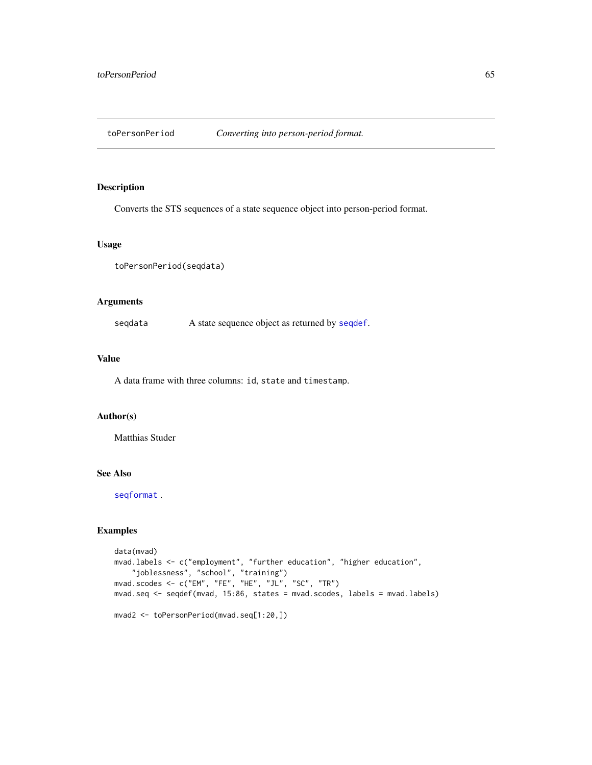<span id="page-64-0"></span>

Converts the STS sequences of a state sequence object into person-period format.

## Usage

```
toPersonPeriod(seqdata)
```
## Arguments

seqdata A state sequence object as returned by [seqdef](#page-0-0).

#### Value

A data frame with three columns: id, state and timestamp.

### Author(s)

Matthias Studer

## See Also

[seqformat](#page-0-0) .

## Examples

```
data(mvad)
mvad.labels <- c("employment", "further education", "higher education",
    "joblessness", "school", "training")
mvad.scodes <- c("EM", "FE", "HE", "JL", "SC", "TR")
mvad.seq <- seqdef(mvad, 15:86, states = mvad.scodes, labels = mvad.labels)
mvad2 <- toPersonPeriod(mvad.seq[1:20,])
```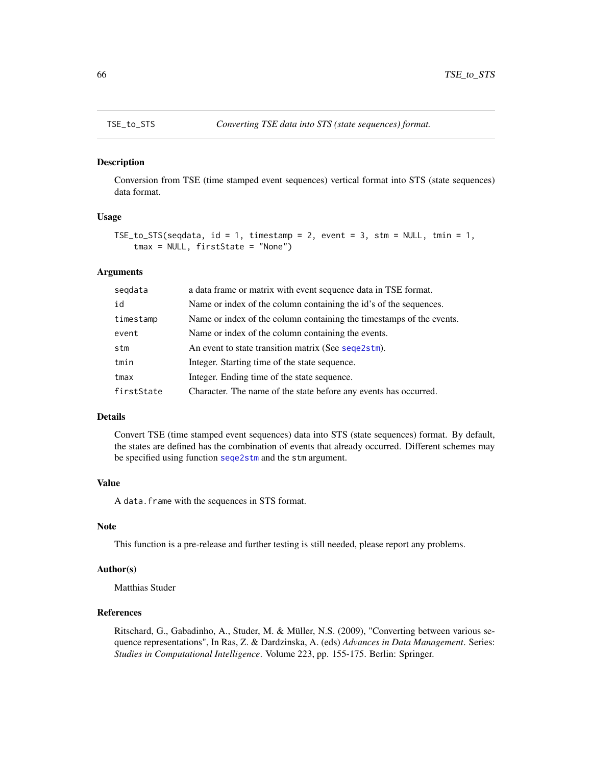<span id="page-65-1"></span><span id="page-65-0"></span>

Conversion from TSE (time stamped event sequences) vertical format into STS (state sequences) data format.

## Usage

```
TSE_to_STS(seqdata, id = 1, timestamp = 2, event = 3, stm = NULL, tmin = 1,
    tmax = NULL, firstState = "None")
```
#### Arguments

| segdata    | a data frame or matrix with event sequence data in TSE format.       |
|------------|----------------------------------------------------------------------|
| id         | Name or index of the column containing the id's of the sequences.    |
| timestamp  | Name or index of the column containing the timestamps of the events. |
| event      | Name or index of the column containing the events.                   |
| stm        | An event to state transition matrix (See sequentless).               |
| tmin       | Integer. Starting time of the state sequence.                        |
| tmax       | Integer. Ending time of the state sequence.                          |
| firstState | Character. The name of the state before any events has occurred.     |

### Details

Convert TSE (time stamped event sequences) data into STS (state sequences) format. By default, the states are defined has the combination of events that already occurred. Different schemes may be specified using function [seqe2stm](#page-24-1) and the stm argument.

## Value

A data.frame with the sequences in STS format.

## Note

This function is a pre-release and further testing is still needed, please report any problems.

#### Author(s)

Matthias Studer

## References

Ritschard, G., Gabadinho, A., Studer, M. & Müller, N.S. (2009), "Converting between various sequence representations", In Ras, Z. & Dardzinska, A. (eds) *Advances in Data Management*. Series: *Studies in Computational Intelligence*. Volume 223, pp. 155-175. Berlin: Springer.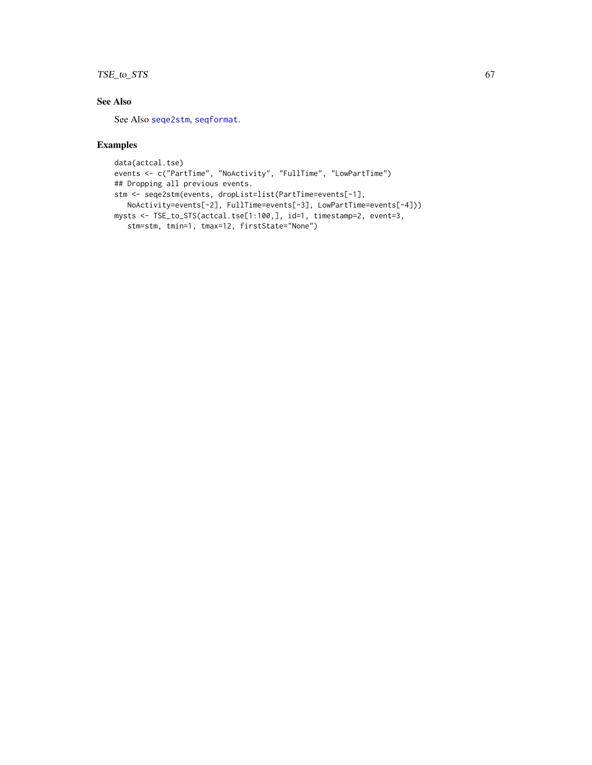## <span id="page-66-0"></span>TSE\_to\_STS 67

## See Also

See Also [seqe2stm](#page-24-1), [seqformat](#page-0-0).

## Examples

```
data(actcal.tse)
events <- c("PartTime", "NoActivity", "FullTime", "LowPartTime")
## Dropping all previous events.
stm <- seqe2stm(events, dropList=list(PartTime=events[-1],
  NoActivity=events[-2], FullTime=events[-3], LowPartTime=events[-4]))
mysts <- TSE_to_STS(actcal.tse[1:100,], id=1, timestamp=2, event=3,
   stm=stm, tmin=1, tmax=12, firstState="None")
```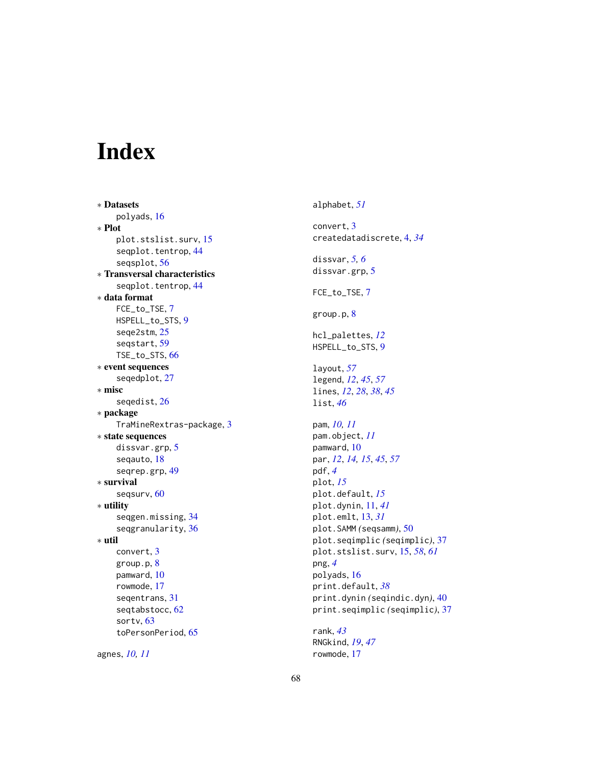# <span id="page-67-0"></span>Index

∗ Datasets polyads, [16](#page-15-0) ∗ Plot plot.stslist.surv, [15](#page-14-0) seqplot.tentrop, [44](#page-43-0) seqsplot, [56](#page-55-0) ∗ Transversal characteristics seqplot.tentrop, [44](#page-43-0) ∗ data format FCE\_to\_TSE, [7](#page-6-0) HSPELL\_to\_STS, [9](#page-8-0) seqe2stm, [25](#page-24-0) seqstart, [59](#page-58-0) TSE\_to\_STS, [66](#page-65-0) ∗ event sequences seqedplot, [27](#page-26-0) ∗ misc seqedist, [26](#page-25-0) ∗ package TraMineRextras-package, [3](#page-2-0) ∗ state sequences dissvar.grp, [5](#page-4-0) seqauto, [18](#page-17-0) seqrep.grp, [49](#page-48-0) ∗ survival seqsurv, [60](#page-59-0) ∗ utility seqgen.missing, [34](#page-33-0) seqgranularity, [36](#page-35-0) ∗ util convert, [3](#page-2-0) group.p, [8](#page-7-0) pamward, [10](#page-9-0) rowmode, [17](#page-16-0) seqentrans, [31](#page-30-0) seqtabstocc, [62](#page-61-0) sortv, [63](#page-62-0) toPersonPeriod, [65](#page-64-0)

agnes, *[10,](#page-9-0) [11](#page-10-0)*

alphabet, *[51](#page-50-0)* convert, [3](#page-2-0) createdatadiscrete, [4,](#page-3-0) *[34](#page-33-0)* dissvar, *[5,](#page-4-0) [6](#page-5-0)* dissvar.grp, [5](#page-4-0) FCE\_to\_TSE, [7](#page-6-0) group.p, [8](#page-7-0) hcl\_palettes, *[12](#page-11-0)* HSPELL\_to\_STS, [9](#page-8-0) layout, *[57](#page-56-0)* legend, *[12](#page-11-0)*, *[45](#page-44-0)*, *[57](#page-56-0)* lines, *[12](#page-11-0)*, *[28](#page-27-0)*, *[38](#page-37-0)*, *[45](#page-44-0)* list, *[46](#page-45-0)* pam, *[10,](#page-9-0) [11](#page-10-0)* pam.object, *[11](#page-10-0)* pamward, [10](#page-9-0) par, *[12](#page-11-0)*, *[14,](#page-13-0) [15](#page-14-0)*, *[45](#page-44-0)*, *[57](#page-56-0)* pdf, *[4](#page-3-0)* plot, *[15](#page-14-0)* plot.default, *[15](#page-14-0)* plot.dynin, [11,](#page-10-0) *[41](#page-40-0)* plot.emlt, [13,](#page-12-0) *[31](#page-30-0)* plot.SAMM *(*seqsamm*)*, [50](#page-49-0) plot.seqimplic *(*seqimplic*)*, [37](#page-36-0) plot.stslist.surv, [15,](#page-14-0) *[58](#page-57-0)*, *[61](#page-60-0)* png, *[4](#page-3-0)* polyads, [16](#page-15-0) print.default, *[38](#page-37-0)* print.dynin *(*seqindic.dyn*)*, [40](#page-39-0) print.seqimplic *(*seqimplic*)*, [37](#page-36-0) rank, *[43](#page-42-0)* RNGkind, *[19](#page-18-0)*, *[47](#page-46-0)* rowmode, [17](#page-16-0)